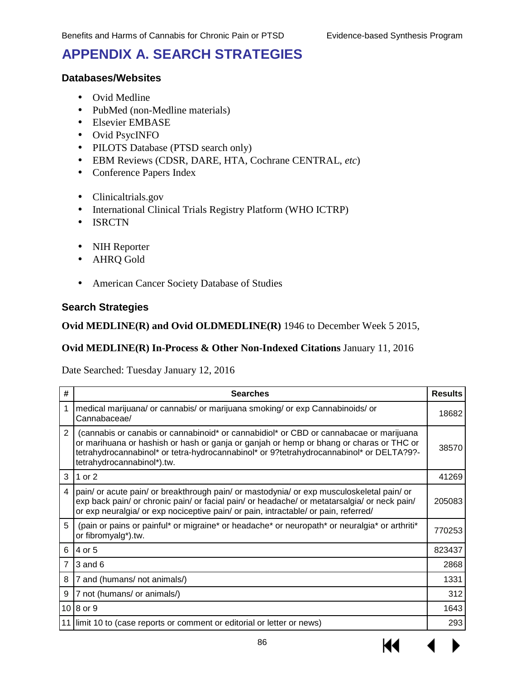# **APPENDIX A. SEARCH STRATEGIES**

### **Databases/Websites**

- Ovid Medline
- PubMed (non-Medline materials)
- Elsevier EMBASE
- Ovid PsycINFO
- PILOTS Database (PTSD search only)
- EBM Reviews (CDSR, DARE, HTA, Cochrane CENTRAL, *etc*)
- Conference Papers Index
- Clinicaltrials.gov
- International Clinical Trials Registry Platform (WHO ICTRP)
- . ISRCTN
- NIH Reporter
- AHRQ Gold
- American Cancer Society Database of Studies

### **Search Strategies**

#### **Ovid MEDLINE(R) and Ovid OLDMEDLINE(R)** 1946 to December Week 5 2015,

### **Ovid MEDLINE(R) In-Process & Other Non-Indexed Citations** January 11, 2016

Date Searched: Tuesday January 12, 2016

| #              | <b>Searches</b>                                                                                                                                                                                                                                                                                            | <b>Results</b> |
|----------------|------------------------------------------------------------------------------------------------------------------------------------------------------------------------------------------------------------------------------------------------------------------------------------------------------------|----------------|
| 1              | medical marijuana/ or cannabis/ or marijuana smoking/ or exp Cannabinoids/ or<br>Cannabaceae/                                                                                                                                                                                                              | 18682          |
| $\mathcal{P}$  | (cannabis or canabis or cannabinoid* or cannabidiol* or CBD or cannabacae or marijuana<br>or marihuana or hashish or hash or ganja or ganjah or hemp or bhang or charas or THC or<br>tetrahydrocannabinol* or tetra-hydrocannabinol* or 9?tetrahydrocannabinol* or DELTA?9?-<br>tetrahydrocannabinol*).tw. | 38570          |
| 3              | 1 or 2                                                                                                                                                                                                                                                                                                     | 41269          |
| 4              | pain/ or acute pain/ or breakthrough pain/ or mastodynia/ or exp musculoskeletal pain/ or<br>exp back pain/ or chronic pain/ or facial pain/ or headache/ or metatarsalgia/ or neck pain/<br>or exp neuralgia/ or exp nociceptive pain/ or pain, intractable/ or pain, referred/                           | 205083         |
| 5              | (pain or pains or painful* or migraine* or headache* or neuropath* or neuralgia* or arthriti*<br>or fibromyalg*).tw.                                                                                                                                                                                       | 770253         |
| 6              | 4 or 5                                                                                                                                                                                                                                                                                                     | 823437         |
| $\overline{7}$ | $3$ and $6$                                                                                                                                                                                                                                                                                                | 2868           |
| 8              | 7 and (humans/ not animals/)                                                                                                                                                                                                                                                                               | 1331           |
| 9              | 7 not (humans/ or animals/)                                                                                                                                                                                                                                                                                | 312            |
|                | $10 8$ or 9                                                                                                                                                                                                                                                                                                | 1643           |
| 11             | limit 10 to (case reports or comment or editorial or letter or news)                                                                                                                                                                                                                                       | 293            |

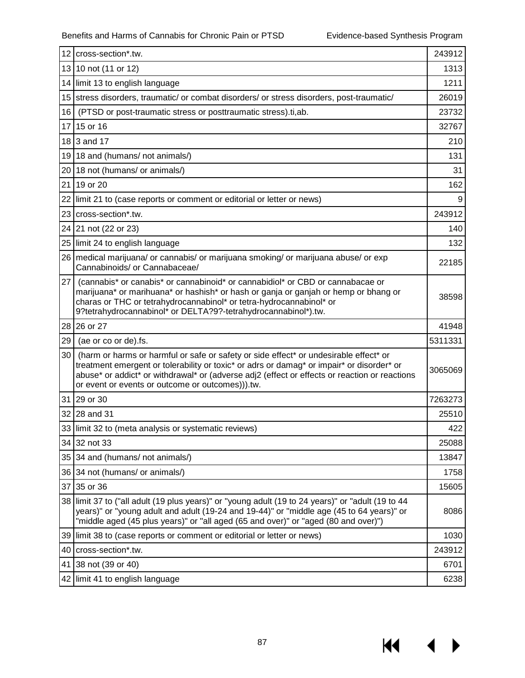**KK** 

▶

|    | 12 cross-section*.tw.                                                                                                                                                                                                                                                                                                                   | 243912  |  |  |  |
|----|-----------------------------------------------------------------------------------------------------------------------------------------------------------------------------------------------------------------------------------------------------------------------------------------------------------------------------------------|---------|--|--|--|
|    | 13 10 not (11 or 12)                                                                                                                                                                                                                                                                                                                    | 1313    |  |  |  |
|    | 14 limit 13 to english language                                                                                                                                                                                                                                                                                                         | 1211    |  |  |  |
|    | 15 stress disorders, traumatic/ or combat disorders/ or stress disorders, post-traumatic/                                                                                                                                                                                                                                               | 26019   |  |  |  |
| 16 | (PTSD or post-traumatic stress or posttraumatic stress).ti,ab.                                                                                                                                                                                                                                                                          |         |  |  |  |
|    | 17 15 or 16                                                                                                                                                                                                                                                                                                                             | 32767   |  |  |  |
|    | 18 3 and 17                                                                                                                                                                                                                                                                                                                             | 210     |  |  |  |
|    | 19 18 and (humans/ not animals/)                                                                                                                                                                                                                                                                                                        | 131     |  |  |  |
|    | 20 18 not (humans/ or animals/)                                                                                                                                                                                                                                                                                                         | 31      |  |  |  |
|    | 21 19 or 20                                                                                                                                                                                                                                                                                                                             | 162     |  |  |  |
|    | 22 limit 21 to (case reports or comment or editorial or letter or news)                                                                                                                                                                                                                                                                 | 9       |  |  |  |
|    | 23   cross-section*.tw.                                                                                                                                                                                                                                                                                                                 | 243912  |  |  |  |
|    | 24 21 not (22 or 23)                                                                                                                                                                                                                                                                                                                    | 140     |  |  |  |
|    | 25 limit 24 to english language                                                                                                                                                                                                                                                                                                         | 132     |  |  |  |
|    | 26 medical marijuana/ or cannabis/ or marijuana smoking/ or marijuana abuse/ or exp<br>Cannabinoids/ or Cannabaceae/                                                                                                                                                                                                                    | 22185   |  |  |  |
| 27 | (cannabis* or canabis* or cannabinoid* or cannabidiol* or CBD or cannabacae or<br>marijuana* or marihuana* or hashish* or hash or ganja or ganjah or hemp or bhang or<br>charas or THC or tetrahydrocannabinol* or tetra-hydrocannabinol* or<br>9?tetrahydrocannabinol* or DELTA?9?-tetrahydrocannabinol*).tw.                          | 38598   |  |  |  |
|    | 28 26 or 27                                                                                                                                                                                                                                                                                                                             | 41948   |  |  |  |
| 29 | (ae or co or de).fs.                                                                                                                                                                                                                                                                                                                    | 5311331 |  |  |  |
| 30 | (harm or harms or harmful or safe or safety or side effect* or undesirable effect* or<br>treatment emergent or tolerability or toxic* or adrs or damag* or impair* or disorder* or<br>abuse* or addict* or withdrawal* or (adverse adj2 (effect or effects or reaction or reactions<br>or event or events or outcome or outcomes))).tw. | 3065069 |  |  |  |
|    | 31 29 or 30                                                                                                                                                                                                                                                                                                                             | 7263273 |  |  |  |
|    | 32 28 and 31                                                                                                                                                                                                                                                                                                                            | 25510   |  |  |  |
|    | 33 limit 32 to (meta analysis or systematic reviews)                                                                                                                                                                                                                                                                                    | 422     |  |  |  |
|    | 34 32 not 33                                                                                                                                                                                                                                                                                                                            | 25088   |  |  |  |
|    | 35 34 and (humans/ not animals/)                                                                                                                                                                                                                                                                                                        | 13847   |  |  |  |
|    | 36 34 not (humans/ or animals/)                                                                                                                                                                                                                                                                                                         | 1758    |  |  |  |
|    | 37 35 or 36                                                                                                                                                                                                                                                                                                                             | 15605   |  |  |  |
|    | 38 limit 37 to ("all adult (19 plus years)" or "young adult (19 to 24 years)" or "adult (19 to 44<br>years)" or "young adult and adult (19-24 and 19-44)" or "middle age (45 to 64 years)" or<br>"middle aged (45 plus years)" or "all aged (65 and over)" or "aged (80 and over)")                                                     | 8086    |  |  |  |
|    | 39 limit 38 to (case reports or comment or editorial or letter or news)                                                                                                                                                                                                                                                                 | 1030    |  |  |  |
|    | 40 cross-section*.tw.                                                                                                                                                                                                                                                                                                                   | 243912  |  |  |  |
|    | 41 38 not (39 or 40)                                                                                                                                                                                                                                                                                                                    | 6701    |  |  |  |
|    | 42 limit 41 to english language                                                                                                                                                                                                                                                                                                         | 6238    |  |  |  |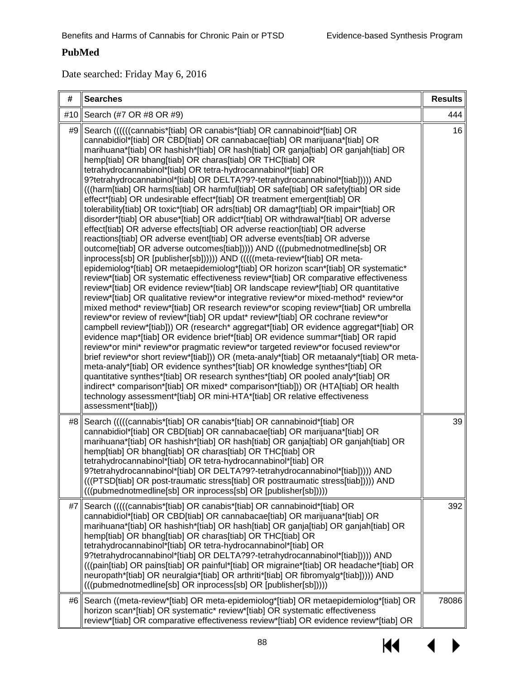## **PubMed**

Date searched: Friday May 6, 2016

| #   | <b>Searches</b>                                                                                                                                                                                                                                                                                                                                                                                                                                                                                                                                                                                                                                                                                                                                                                                                                                                                                                                                                                                                                                                                                                                                                                                                                                                                                                                                                                                                                                                                                                                                                                                                                                                                                                                                                                                                                                                                                                                                                                                                                                                                                                                                                                                                                                                                                                                                                                                 | <b>Results</b> |
|-----|-------------------------------------------------------------------------------------------------------------------------------------------------------------------------------------------------------------------------------------------------------------------------------------------------------------------------------------------------------------------------------------------------------------------------------------------------------------------------------------------------------------------------------------------------------------------------------------------------------------------------------------------------------------------------------------------------------------------------------------------------------------------------------------------------------------------------------------------------------------------------------------------------------------------------------------------------------------------------------------------------------------------------------------------------------------------------------------------------------------------------------------------------------------------------------------------------------------------------------------------------------------------------------------------------------------------------------------------------------------------------------------------------------------------------------------------------------------------------------------------------------------------------------------------------------------------------------------------------------------------------------------------------------------------------------------------------------------------------------------------------------------------------------------------------------------------------------------------------------------------------------------------------------------------------------------------------------------------------------------------------------------------------------------------------------------------------------------------------------------------------------------------------------------------------------------------------------------------------------------------------------------------------------------------------------------------------------------------------------------------------------------------------|----------------|
| #10 | Search (#7 OR #8 OR #9)                                                                                                                                                                                                                                                                                                                                                                                                                                                                                                                                                                                                                                                                                                                                                                                                                                                                                                                                                                                                                                                                                                                                                                                                                                                                                                                                                                                                                                                                                                                                                                                                                                                                                                                                                                                                                                                                                                                                                                                                                                                                                                                                                                                                                                                                                                                                                                         | 444            |
| #9  | Search ((((((cannabis*[tiab] OR canabis*[tiab] OR cannabinoid*[tiab] OR<br>cannabidiol*[tiab] OR CBD[tiab] OR cannabacae[tiab] OR marijuana*[tiab] OR<br>marihuana*[tiab] OR hashish*[tiab] OR hash[tiab] OR ganja[tiab] OR ganjah[tiab] OR<br>hemp[tiab] OR bhang[tiab] OR charas[tiab] OR THC[tiab] OR<br>tetrahydrocannabinol*[tiab] OR tetra-hydrocannabinol*[tiab] OR<br>9?tetrahydrocannabinol*[tiab] OR DELTA?9?-tetrahydrocannabinol*[tiab])))) AND<br>(((harm[tiab] OR harms[tiab] OR harmful[tiab] OR safe[tiab] OR safety[tiab] OR side<br>effect*[tiab] OR undesirable effect*[tiab] OR treatment emergent[tiab] OR<br>tolerability[tiab] OR toxic*[tiab] OR adrs[tiab] OR damag*[tiab] OR impair*[tiab] OR<br>disorder*[tiab] OR abuse*[tiab] OR addict*[tiab] OR withdrawal*[tiab] OR adverse<br>effect[tiab] OR adverse effects[tiab] OR adverse reaction[tiab] OR adverse<br>reactions[tiab] OR adverse event[tiab] OR adverse events[tiab] OR adverse<br>outcome[tiab] OR adverse outcomes[tiab]))) AND (((pubmednotmedline[sb] OR<br>inprocess[sb] OR [publisher[sb])))) AND (((((meta-review*[tiab] OR meta-<br>epidemiolog*[tiab] OR metaepidemiolog*[tiab] OR horizon scan*[tiab] OR systematic*<br>review*[tiab] OR systematic effectiveness review*[tiab] OR comparative effectiveness<br>review*[tiab] OR evidence review*[tiab] OR landscape review*[tiab] OR quantitative<br>review*[tiab] OR qualitative review*or integrative review*or mixed-method* review*or<br>mixed method* review*[tiab] OR research review*or scoping review*[tiab] OR umbrella<br>review*or review of review*[tiab] OR updat* review*[tiab] OR cochrane review*or<br>campbell review*[tiab])) OR (research* aggregat*[tiab] OR evidence aggregat*[tiab] OR<br>evidence map*[tiab] OR evidence brief*[tiab] OR evidence summar*[tiab] OR rapid<br>review*or mini* review*or pragmatic review*or targeted review*or focused review*or<br>brief review*or short review*[tiab])) OR (meta-analy*[tiab] OR metaanaly*[tiab] OR meta-<br>meta-analy*[tiab] OR evidence synthes*[tiab] OR knowledge synthes*[tiab] OR<br>quantitative synthes*[tiab] OR research synthes*[tiab] OR pooled analy*[tiab] OR<br>indirect* comparison*[tiab] OR mixed* comparison*[tiab])) OR (HTA[tiab] OR health<br>technology assessment*[tiab] OR mini-HTA*[tiab] OR relative effectiveness<br>assessment*[tiab])) | 16             |
| #8  | Search (((((cannabis*[tiab] OR canabis*[tiab] OR cannabinoid*[tiab] OR<br>cannabidiol*[tiab] OR CBD[tiab] OR cannabacae[tiab] OR marijuana*[tiab] OR<br>marihuana*[tiab] OR hashish*[tiab] OR hash[tiab] OR ganja[tiab] OR ganjah[tiab] OR<br>hemp[tiab] OR bhang[tiab] OR charas[tiab] OR THC[tiab] OR<br>tetrahydrocannabinol*[tiab] OR tetra-hydrocannabinol*[tiab] OR<br>9?tetrahydrocannabinol*[tiab] OR DELTA?9?-tetrahydrocannabinol*[tiab]))) AND<br>(((PTSD[tiab] OR post-traumatic stress[tiab] OR posttraumatic stress[tiab]))) AND<br>(((pubmednotmedline[sb] OR inprocess[sb] OR [publisher[sb])))                                                                                                                                                                                                                                                                                                                                                                                                                                                                                                                                                                                                                                                                                                                                                                                                                                                                                                                                                                                                                                                                                                                                                                                                                                                                                                                                                                                                                                                                                                                                                                                                                                                                                                                                                                                 | 39             |
| #7  | Search (((((cannabis*[tiab] OR canabis*[tiab] OR cannabinoid*[tiab] OR<br>cannabidiol*[tiab] OR CBD[tiab] OR cannabacae[tiab] OR marijuana*[tiab] OR<br>marihuana*[tiab] OR hashish*[tiab] OR hash[tiab] OR ganja[tiab] OR ganjah[tiab] OR<br>hemp[tiab] OR bhang[tiab] OR charas[tiab] OR THC[tiab] OR<br>tetrahydrocannabinol*[tiab] OR tetra-hydrocannabinol*[tiab] OR<br>9?tetrahydrocannabinol*[tiab] OR DELTA?9?-tetrahydrocannabinol*[tiab])))) AND<br>(((pain[tiab] OR pains[tiab] OR painful*[tiab] OR migraine*[tiab] OR headache*[tiab] OR<br>neuropath*[tiab] OR neuralgia*[tiab] OR arthriti*[tiab] OR fibromyalg*[tiab]))) AND<br>(((pubmednotmedline[sb] OR inprocess[sb] OR [publisher[sb])))                                                                                                                                                                                                                                                                                                                                                                                                                                                                                                                                                                                                                                                                                                                                                                                                                                                                                                                                                                                                                                                                                                                                                                                                                                                                                                                                                                                                                                                                                                                                                                                                                                                                                   | 392            |
| #6  | Search ((meta-review*[tiab] OR meta-epidemiolog*[tiab] OR metaepidemiolog*[tiab] OR<br>horizon scan*[tiab] OR systematic* review*[tiab] OR systematic effectiveness<br>review*[tiab] OR comparative effectiveness review*[tiab] OR evidence review*[tiab] OR                                                                                                                                                                                                                                                                                                                                                                                                                                                                                                                                                                                                                                                                                                                                                                                                                                                                                                                                                                                                                                                                                                                                                                                                                                                                                                                                                                                                                                                                                                                                                                                                                                                                                                                                                                                                                                                                                                                                                                                                                                                                                                                                    | 78086          |

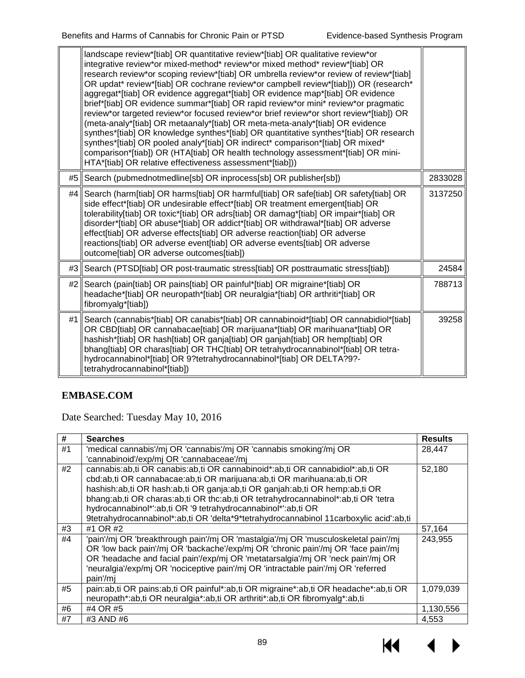|    | landscape review*[tiab] OR quantitative review*[tiab] OR qualitative review*or<br>integrative review*or mixed-method* review*or mixed method* review*[tiab] OR<br>research review*or scoping review*[tiab] OR umbrella review*or review of review*[tiab]<br>OR updat* review*[tiab] OR cochrane review*or campbell review*[tiab])) OR (research*<br>aggregat*[tiab] OR evidence aggregat*[tiab] OR evidence map*[tiab] OR evidence<br>brief*[tiab] OR evidence summar*[tiab] OR rapid review*or mini* review*or pragmatic<br>review*or targeted review*or focused review*or brief review*or short review*[tiab]) OR<br>(meta-analy*[tiab] OR metaanaly*[tiab] OR meta-meta-analy*[tiab] OR evidence<br>synthes*[tiab] OR knowledge synthes*[tiab] OR quantitative synthes*[tiab] OR research<br>synthes*[tiab] OR pooled analy*[tiab] OR indirect* comparison*[tiab] OR mixed*<br>comparison*[tiab]) OR (HTA[tiab] OR health technology assessment*[tiab] OR mini-<br>HTA*[tiab] OR relative effectiveness assessment*[tiab])) |         |
|----|--------------------------------------------------------------------------------------------------------------------------------------------------------------------------------------------------------------------------------------------------------------------------------------------------------------------------------------------------------------------------------------------------------------------------------------------------------------------------------------------------------------------------------------------------------------------------------------------------------------------------------------------------------------------------------------------------------------------------------------------------------------------------------------------------------------------------------------------------------------------------------------------------------------------------------------------------------------------------------------------------------------------------------|---------|
| #5 | Search (pubmednotmedline[sb] OR inprocess[sb] OR publisher[sb])                                                                                                                                                                                                                                                                                                                                                                                                                                                                                                                                                                                                                                                                                                                                                                                                                                                                                                                                                                | 2833028 |
| #4 | Search (harm[tiab] OR harms[tiab] OR harmful[tiab] OR safe[tiab] OR safety[tiab] OR<br>side effect*[tiab] OR undesirable effect*[tiab] OR treatment emergent[tiab] OR<br>tolerability[tiab] OR toxic*[tiab] OR adrs[tiab] OR damag*[tiab] OR impair*[tiab] OR<br>disorder*[tiab] OR abuse*[tiab] OR addict*[tiab] OR withdrawal*[tiab] OR adverse<br>effect[tiab] OR adverse effects[tiab] OR adverse reaction[tiab] OR adverse<br>reactions[tiab] OR adverse event[tiab] OR adverse events[tiab] OR adverse<br>outcome[tiab] OR adverse outcomes[tiab])                                                                                                                                                                                                                                                                                                                                                                                                                                                                       | 3137250 |
| #3 | Search (PTSD[tiab] OR post-traumatic stress[tiab] OR posttraumatic stress[tiab])                                                                                                                                                                                                                                                                                                                                                                                                                                                                                                                                                                                                                                                                                                                                                                                                                                                                                                                                               | 24584   |
| #2 | Search (pain[tiab] OR pains[tiab] OR painful*[tiab] OR migraine*[tiab] OR<br>headache*[tiab] OR neuropath*[tiab] OR neuralgia*[tiab] OR arthriti*[tiab] OR<br>fibromyalg*[tiab])                                                                                                                                                                                                                                                                                                                                                                                                                                                                                                                                                                                                                                                                                                                                                                                                                                               | 788713  |
| #1 | Search (cannabis*[tiab] OR canabis*[tiab] OR cannabinoid*[tiab] OR cannabidiol*[tiab]<br>OR CBD[tiab] OR cannabacae[tiab] OR marijuana*[tiab] OR marihuana*[tiab] OR<br>hashish*[tiab] OR hash[tiab] OR ganja[tiab] OR ganjah[tiab] OR hemp[tiab] OR<br>bhang[tiab] OR charas[tiab] OR THC[tiab] OR tetrahydrocannabinol*[tiab] OR tetra-<br>hydrocannabinol*[tiab] OR 9?tetrahydrocannabinol*[tiab] OR DELTA?9?-<br>tetrahydrocannabinol*[tiab])                                                                                                                                                                                                                                                                                                                                                                                                                                                                                                                                                                              | 39258   |

# **EMBASE.COM**

Date Searched: Tuesday May 10, 2016

| #  | <b>Searches</b>                                                                        | <b>Results</b> |  |  |  |  |
|----|----------------------------------------------------------------------------------------|----------------|--|--|--|--|
| #1 | 'medical cannabis'/mj OR 'cannabis'/mj OR 'cannabis smoking'/mj OR                     | 28,447         |  |  |  |  |
|    | 'cannabinoid'/exp/mj OR 'cannabaceae'/mj                                               |                |  |  |  |  |
| #2 | cannabis: ab, ti OR canabis: ab, ti OR cannabinoid*: ab, ti OR cannabidiol*: ab, ti OR | 52,180         |  |  |  |  |
|    | cbd:ab,ti OR cannabacae:ab,ti OR marijuana:ab,ti OR marihuana:ab,ti OR                 |                |  |  |  |  |
|    | hashish:ab,ti OR hash:ab,ti OR ganja:ab,ti OR ganjah:ab,ti OR hemp:ab,ti OR            |                |  |  |  |  |
|    | bhang:ab,ti OR charas:ab,ti OR thc:ab,ti OR tetrahydrocannabinol*:ab,ti OR 'tetra      |                |  |  |  |  |
|    | hydrocannabinol*':ab,ti OR '9 tetrahydrocannabinol*':ab,ti OR                          |                |  |  |  |  |
|    | 9tetrahydrocannabinol*:ab,ti OR 'delta*9*tetrahydrocannabinol 11carboxylic acid':ab,ti |                |  |  |  |  |
| #3 | #1 OR #2                                                                               | 57,164         |  |  |  |  |
| #4 | 'pain'/mj OR 'breakthrough pain'/mj OR 'mastalgia'/mj OR 'musculoskeletal pain'/mj     | 243,955        |  |  |  |  |
|    | OR 'low back pain'/mj OR 'backache'/exp/mj OR 'chronic pain'/mj OR 'face pain'/mj      |                |  |  |  |  |
|    | OR 'headache and facial pain'/exp/mj OR 'metatarsalgia'/mj OR 'neck pain'/mj OR        |                |  |  |  |  |
|    | 'neuralgia'/exp/mj OR 'nociceptive pain'/mj OR 'intractable pain'/mj OR 'referred      |                |  |  |  |  |
|    | pain'/mj                                                                               |                |  |  |  |  |
| #5 | pain:ab,ti OR pains:ab,ti OR painful*:ab,ti OR migraine*:ab,ti OR headache*:ab,ti OR   | 1,079,039      |  |  |  |  |
|    | neuropath*:ab,ti OR neuralgia*:ab,ti OR arthriti*:ab,ti OR fibromyalg*:ab,ti           |                |  |  |  |  |
| #6 | #4 OR #5                                                                               | 1,130,556      |  |  |  |  |
| #7 | #3 AND #6                                                                              | 4,553          |  |  |  |  |

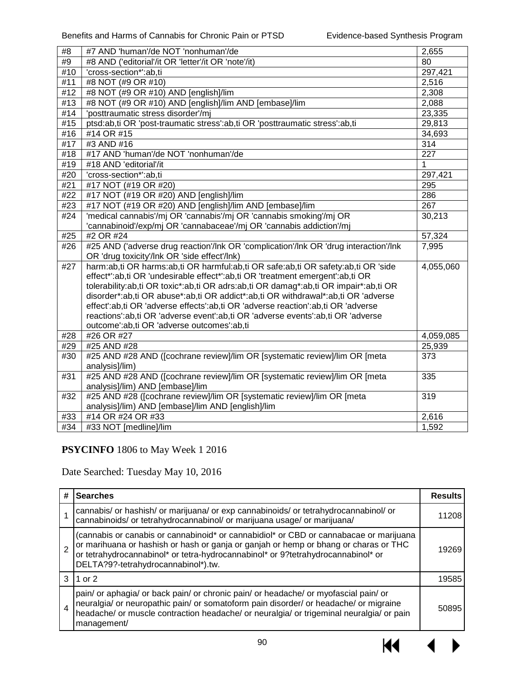| #8  | #7 AND 'human'/de NOT 'nonhuman'/de                                                                           | 2,655            |  |  |  |
|-----|---------------------------------------------------------------------------------------------------------------|------------------|--|--|--|
| #9  | #8 AND ('editorial'/it OR 'letter'/it OR 'note'/it)                                                           | 80               |  |  |  |
| #10 | 'cross-section*':ab,ti                                                                                        | 297,421          |  |  |  |
| #11 | #8 NOT (#9 OR #10)                                                                                            | 2,516            |  |  |  |
| #12 | #8 NOT (#9 OR #10) AND [english]/lim                                                                          | 2,308            |  |  |  |
| #13 | #8 NOT (#9 OR #10) AND [english]/lim AND [embase]/lim                                                         | 2,088            |  |  |  |
| #14 | 'posttraumatic stress disorder'/mj                                                                            | 23,335           |  |  |  |
| #15 | ptsd:ab,ti OR 'post-traumatic stress':ab,ti OR 'posttraumatic stress':ab,ti                                   | 29,813           |  |  |  |
| #16 | #14 OR #15                                                                                                    | 34,693           |  |  |  |
| #17 | #3 AND #16                                                                                                    | $\overline{314}$ |  |  |  |
| #18 | #17 AND 'human'/de NOT 'nonhuman'/de                                                                          | $\overline{227}$ |  |  |  |
| #19 | #18 AND 'editorial'/it                                                                                        | $\mathbf{1}$     |  |  |  |
| #20 | 'cross-section*':ab,ti                                                                                        | 297,421          |  |  |  |
| #21 | #17 NOT (#19 OR #20)                                                                                          | 295              |  |  |  |
| #22 | #17 NOT (#19 OR #20) AND [english]/lim                                                                        | 286              |  |  |  |
| #23 | #17 NOT (#19 OR #20) AND [english]/lim AND [embase]/lim                                                       | $\overline{267}$ |  |  |  |
| #24 | 'medical cannabis'/mj OR 'cannabis'/mj OR 'cannabis smoking'/mj OR                                            | 30,213           |  |  |  |
|     | 'cannabinoid'/exp/mj OR 'cannabaceae'/mj OR 'cannabis addiction'/mj                                           |                  |  |  |  |
| #25 | #2 OR #24                                                                                                     | 57,324           |  |  |  |
| #26 | #25 AND ('adverse drug reaction'/Ink OR 'complication'/Ink OR 'drug interaction'/Ink                          | 7,995            |  |  |  |
|     | OR 'drug toxicity'/Ink OR 'side effect'/Ink)                                                                  |                  |  |  |  |
| #27 | harm:ab,ti OR harms:ab,ti OR harmful:ab,ti OR safe:ab,ti OR safety:ab,ti OR 'side                             | 4,055,060        |  |  |  |
|     | effect*':ab,ti OR 'undesirable effect*':ab,ti OR 'treatment emergent':ab,ti OR                                |                  |  |  |  |
|     | tolerability:ab,ti OR toxic*:ab,ti OR adrs:ab,ti OR damag*:ab,ti OR impair*:ab,ti OR                          |                  |  |  |  |
|     | disorder*:ab,ti OR abuse*:ab,ti OR addict*:ab,ti OR withdrawal*:ab,ti OR 'adverse                             |                  |  |  |  |
|     | effect':ab,ti OR 'adverse effects':ab,ti OR 'adverse reaction':ab,ti OR 'adverse                              |                  |  |  |  |
|     | reactions':ab,ti OR 'adverse event':ab,ti OR 'adverse events':ab,ti OR 'adverse                               |                  |  |  |  |
|     | outcome':ab,ti OR 'adverse outcomes':ab,ti                                                                    |                  |  |  |  |
| #28 | #26 OR #27                                                                                                    | 4,059,085        |  |  |  |
| #29 | #25 AND #28                                                                                                   | 25,939           |  |  |  |
| #30 | #25 AND #28 AND ([cochrane review]/lim OR [systematic review]/lim OR [meta                                    | 373              |  |  |  |
|     | analysis]/lim)                                                                                                |                  |  |  |  |
| #31 | #25 AND #28 AND ([cochrane review]/lim OR [systematic review]/lim OR [meta<br>analysis]/lim) AND [embase]/lim | 335              |  |  |  |
| #32 | #25 AND #28 ([cochrane review]/lim OR [systematic review]/lim OR [meta                                        | 319              |  |  |  |
|     | analysis]/lim) AND [embase]/lim AND [english]/lim                                                             |                  |  |  |  |
| #33 | #14 OR #24 OR #33                                                                                             | 2,616            |  |  |  |
| #34 | #33 NOT [medline]/lim                                                                                         | 1,592            |  |  |  |
|     |                                                                                                               |                  |  |  |  |

## **PSYCINFO** 1806 to May Week 1 2016

Date Searched: Tuesday May 10, 2016

| #              | <b>Searches</b>                                                                                                                                                                                                                                                                                           | <b>Results</b> |
|----------------|-----------------------------------------------------------------------------------------------------------------------------------------------------------------------------------------------------------------------------------------------------------------------------------------------------------|----------------|
|                | cannabis/ or hashish/ or marijuana/ or exp cannabinoids/ or tetrahydrocannabinol/ or<br>cannabinoids/ or tetrahydrocannabinol/ or marijuana usage/ or marijuana/                                                                                                                                          | 11208          |
| $\overline{2}$ | (cannabis or canabis or cannabinoid* or cannabidiol* or CBD or cannabacae or marijuana<br>or marihuana or hashish or hash or ganja or ganjah or hemp or bhang or charas or THC<br>or tetrahydrocannabinol* or tetra-hydrocannabinol* or 9?tetrahydrocannabinol* or<br>DELTA?9?-tetrahydrocannabinol*).tw. | 19269          |
| 3              | 1 or 2                                                                                                                                                                                                                                                                                                    | 19585          |
| $\overline{4}$ | pain/ or aphagia/ or back pain/ or chronic pain/ or headache/ or myofascial pain/ or<br>neuralgia/ or neuropathic pain/ or somatoform pain disorder/ or headache/ or migraine<br>headache/ or muscle contraction headache/ or neuralgia/ or trigeminal neuralgia/ or pain<br>management/                  | 50895          |

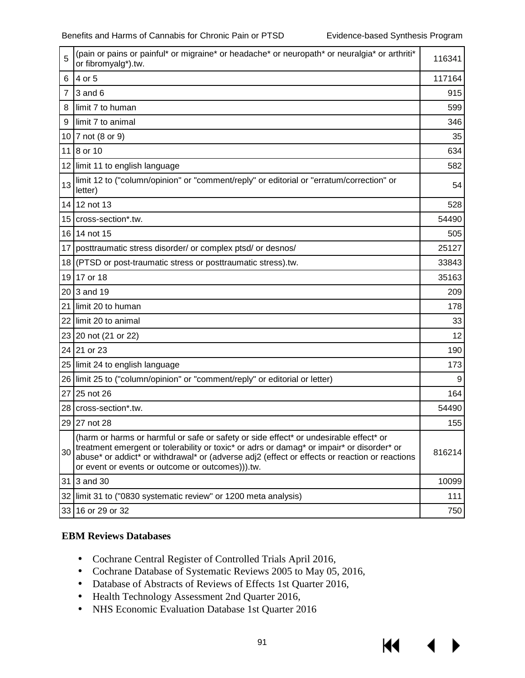К€

| 5  | (pain or pains or painful* or migraine* or headache* or neuropath* or neuralgia* or arthriti*<br>or fibromyalg*).tw.                                                                                                                                                                                                                    | 116341 |
|----|-----------------------------------------------------------------------------------------------------------------------------------------------------------------------------------------------------------------------------------------------------------------------------------------------------------------------------------------|--------|
| 6  | 4 or 5                                                                                                                                                                                                                                                                                                                                  | 117164 |
| 7  | $3$ and $6$                                                                                                                                                                                                                                                                                                                             | 915    |
| 8  | limit 7 to human                                                                                                                                                                                                                                                                                                                        | 599    |
| 9  | limit 7 to animal                                                                                                                                                                                                                                                                                                                       | 346    |
| 10 | 7 not (8 or 9)                                                                                                                                                                                                                                                                                                                          | 35     |
| 11 | 8 or 10                                                                                                                                                                                                                                                                                                                                 | 634    |
| 12 | limit 11 to english language                                                                                                                                                                                                                                                                                                            | 582    |
| 13 | limit 12 to ("column/opinion" or "comment/reply" or editorial or "erratum/correction" or<br>letter)                                                                                                                                                                                                                                     | 54     |
|    | 14 12 not 13                                                                                                                                                                                                                                                                                                                            | 528    |
|    | 15 cross-section*.tw.                                                                                                                                                                                                                                                                                                                   | 54490  |
|    | 16 14 not 15                                                                                                                                                                                                                                                                                                                            | 505    |
| 17 | posttraumatic stress disorder/ or complex ptsd/ or desnos/                                                                                                                                                                                                                                                                              | 25127  |
| 18 | (PTSD or post-traumatic stress or posttraumatic stress).tw.                                                                                                                                                                                                                                                                             | 33843  |
| 19 | 17 or 18                                                                                                                                                                                                                                                                                                                                | 35163  |
| 20 | 3 and 19                                                                                                                                                                                                                                                                                                                                | 209    |
| 21 | limit 20 to human                                                                                                                                                                                                                                                                                                                       | 178    |
| 22 | limit 20 to animal                                                                                                                                                                                                                                                                                                                      | 33     |
|    | 23 20 not (21 or 22)                                                                                                                                                                                                                                                                                                                    | 12     |
| 24 | 21 or 23                                                                                                                                                                                                                                                                                                                                | 190    |
| 25 | limit 24 to english language                                                                                                                                                                                                                                                                                                            | 173    |
| 26 | limit 25 to ("column/opinion" or "comment/reply" or editorial or letter)                                                                                                                                                                                                                                                                | 9      |
| 27 | 25 not 26                                                                                                                                                                                                                                                                                                                               | 164    |
|    | 28 cross-section*.tw.                                                                                                                                                                                                                                                                                                                   | 54490  |
|    | 29 27 not 28                                                                                                                                                                                                                                                                                                                            | 155    |
| 30 | (harm or harms or harmful or safe or safety or side effect* or undesirable effect* or<br>treatment emergent or tolerability or toxic* or adrs or damag* or impair* or disorder* or<br>abuse* or addict* or withdrawal* or (adverse adj2 (effect or effects or reaction or reactions<br>or event or events or outcome or outcomes))).tw. | 816214 |
| 31 | 3 and 30                                                                                                                                                                                                                                                                                                                                | 10099  |
|    | 32 limit 31 to ("0830 systematic review" or 1200 meta analysis)                                                                                                                                                                                                                                                                         | 111    |
|    | 33 16 or 29 or 32                                                                                                                                                                                                                                                                                                                       | 750    |

### **EBM Reviews Databases**

- Cochrane Central Register of Controlled Trials April 2016,  $\mathcal{L}^{\text{max}}$
- Cochrane Database of Systematic Reviews 2005 to May 05, 2016,
- Database of Abstracts of Reviews of Effects 1st Quarter 2016,
- Health Technology Assessment 2nd Quarter 2016,
- NHS Economic Evaluation Database 1st Quarter 2016  $\mathbf{r}^{(1)}$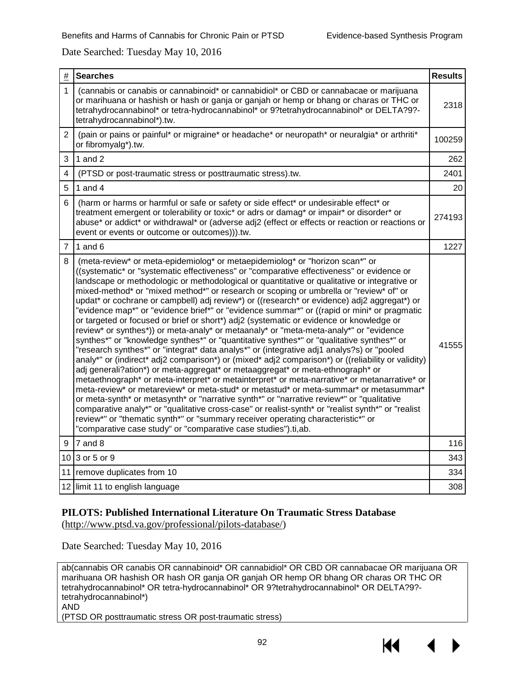#### Date Searched: Tuesday May 10, 2016

| $\#$           | <b>Searches</b>                                                                                                                                                                                                                                                                                                                                                                                                                                                                                                                                                                                                                                                                                                                                                                                                                                                                                                                                                                                                                                                                                                                                                                                                                                                                                                                                                                                                                                                                                                                                                                                                                                                                          | <b>Results</b> |
|----------------|------------------------------------------------------------------------------------------------------------------------------------------------------------------------------------------------------------------------------------------------------------------------------------------------------------------------------------------------------------------------------------------------------------------------------------------------------------------------------------------------------------------------------------------------------------------------------------------------------------------------------------------------------------------------------------------------------------------------------------------------------------------------------------------------------------------------------------------------------------------------------------------------------------------------------------------------------------------------------------------------------------------------------------------------------------------------------------------------------------------------------------------------------------------------------------------------------------------------------------------------------------------------------------------------------------------------------------------------------------------------------------------------------------------------------------------------------------------------------------------------------------------------------------------------------------------------------------------------------------------------------------------------------------------------------------------|----------------|
| 1              | (cannabis or canabis or cannabinoid* or cannabidiol* or CBD or cannabacae or marijuana<br>or marihuana or hashish or hash or ganja or ganjah or hemp or bhang or charas or THC or<br>tetrahydrocannabinol* or tetra-hydrocannabinol* or 9?tetrahydrocannabinol* or DELTA?9?-<br>tetrahydrocannabinol*).tw.                                                                                                                                                                                                                                                                                                                                                                                                                                                                                                                                                                                                                                                                                                                                                                                                                                                                                                                                                                                                                                                                                                                                                                                                                                                                                                                                                                               | 2318           |
| $\overline{2}$ | (pain or pains or painful* or migraine* or headache* or neuropath* or neuralgia* or arthriti*<br>or fibromyalg*).tw.                                                                                                                                                                                                                                                                                                                                                                                                                                                                                                                                                                                                                                                                                                                                                                                                                                                                                                                                                                                                                                                                                                                                                                                                                                                                                                                                                                                                                                                                                                                                                                     | 100259         |
| 3              | 1 and 2                                                                                                                                                                                                                                                                                                                                                                                                                                                                                                                                                                                                                                                                                                                                                                                                                                                                                                                                                                                                                                                                                                                                                                                                                                                                                                                                                                                                                                                                                                                                                                                                                                                                                  | 262            |
| 4              | (PTSD or post-traumatic stress or posttraumatic stress).tw.                                                                                                                                                                                                                                                                                                                                                                                                                                                                                                                                                                                                                                                                                                                                                                                                                                                                                                                                                                                                                                                                                                                                                                                                                                                                                                                                                                                                                                                                                                                                                                                                                              | 2401           |
| 5              | 1 and $4$                                                                                                                                                                                                                                                                                                                                                                                                                                                                                                                                                                                                                                                                                                                                                                                                                                                                                                                                                                                                                                                                                                                                                                                                                                                                                                                                                                                                                                                                                                                                                                                                                                                                                | 20             |
| 6              | (harm or harms or harmful or safe or safety or side effect* or undesirable effect* or<br>treatment emergent or tolerability or toxic* or adrs or damag* or impair* or disorder* or<br>abuse* or addict* or withdrawal* or (adverse adj2 (effect or effects or reaction or reactions or<br>event or events or outcome or outcomes))).tw.                                                                                                                                                                                                                                                                                                                                                                                                                                                                                                                                                                                                                                                                                                                                                                                                                                                                                                                                                                                                                                                                                                                                                                                                                                                                                                                                                  | 274193         |
| $\overline{7}$ | $1$ and 6                                                                                                                                                                                                                                                                                                                                                                                                                                                                                                                                                                                                                                                                                                                                                                                                                                                                                                                                                                                                                                                                                                                                                                                                                                                                                                                                                                                                                                                                                                                                                                                                                                                                                | 1227           |
| 8              | (meta-review* or meta-epidemiolog* or metaepidemiolog* or "horizon scan*" or<br>((systematic* or "systematic effectiveness" or "comparative effectiveness" or evidence or<br>landscape or methodologic or methodological or quantitative or qualitative or integrative or<br>mixed-method* or "mixed method*" or research or scoping or umbrella or "review* of" or<br>updat* or cochrane or campbell) adj review*) or ((research* or evidence) adj2 aggregat*) or<br>"evidence map*" or "evidence brief*" or "evidence summar*" or ((rapid or mini* or pragmatic<br>or targeted or focused or brief or short*) adj2 (systematic or evidence or knowledge or<br>review* or synthes*)) or meta-analy* or metaanaly* or "meta-meta-analy*" or "evidence<br>synthes*" or "knowledge synthes*" or "quantitative synthes*" or "qualitative synthes*" or<br>"research synthes*" or "integrat* data analys*" or (integrative adj1 analys?s) or "pooled<br>analy*" or (indirect* adj2 comparison*) or (mixed* adj2 comparison*) or ((reliability or validity)<br>adj generali?ation*) or meta-aggregat* or metaaggregat* or meta-ethnograph* or<br>metaethnograph* or meta-interpret* or metainterpret* or meta-narrative* or metanarrative* or<br>meta-review* or metareview* or meta-stud* or metastud* or meta-summar* or metasummar*<br>or meta-synth* or metasynth* or "narrative synth*" or "narrative review*" or "qualitative<br>comparative analy*" or "qualitative cross-case" or realist-synth* or "realist synth*" or "realist<br>review*" or "thematic synth*" or "summary receiver operating characteristic*" or<br>"comparative case study" or "comparative case studies").ti,ab. | 41555          |
| 9              | 7 and 8                                                                                                                                                                                                                                                                                                                                                                                                                                                                                                                                                                                                                                                                                                                                                                                                                                                                                                                                                                                                                                                                                                                                                                                                                                                                                                                                                                                                                                                                                                                                                                                                                                                                                  | 116            |
|                | 10 3 or 5 or 9                                                                                                                                                                                                                                                                                                                                                                                                                                                                                                                                                                                                                                                                                                                                                                                                                                                                                                                                                                                                                                                                                                                                                                                                                                                                                                                                                                                                                                                                                                                                                                                                                                                                           | 343            |
|                | 11 remove duplicates from 10                                                                                                                                                                                                                                                                                                                                                                                                                                                                                                                                                                                                                                                                                                                                                                                                                                                                                                                                                                                                                                                                                                                                                                                                                                                                                                                                                                                                                                                                                                                                                                                                                                                             | 334            |
|                | 12 limit 11 to english language                                                                                                                                                                                                                                                                                                                                                                                                                                                                                                                                                                                                                                                                                                                                                                                                                                                                                                                                                                                                                                                                                                                                                                                                                                                                                                                                                                                                                                                                                                                                                                                                                                                          | 308            |

#### **PILOTS: Published International Literature On Traumatic Stress Database**

[\(http://www.ptsd.va.gov/professional/pilots-database/\)](http://www.ptsd.va.gov/professional/pilots-database/)

Date Searched: Tuesday May 10, 2016

ab(cannabis OR canabis OR cannabinoid\* OR cannabidiol\* OR CBD OR cannabacae OR marijuana OR marihuana OR hashish OR hash OR ganja OR ganjah OR hemp OR bhang OR charas OR THC OR tetrahydrocannabinol\* OR tetra-hydrocannabinol\* OR 9?tetrahydrocannabinol\* OR DELTA?9? tetrahydrocannabinol\*) AND (PTSD OR posttraumatic stress OR post-traumatic stress)

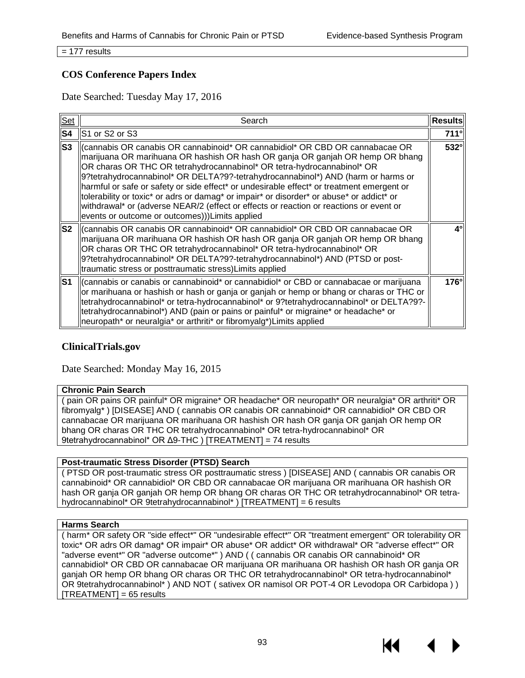= 177 results

### **COS Conference Papers Index**

Date Searched: Tuesday May 17, 2016

| Set            | Search                                                                                                                                                                                                                                                                                                                                                                                                                                                                                                                                                                                                                                                                                    | <b>Results</b> |
|----------------|-------------------------------------------------------------------------------------------------------------------------------------------------------------------------------------------------------------------------------------------------------------------------------------------------------------------------------------------------------------------------------------------------------------------------------------------------------------------------------------------------------------------------------------------------------------------------------------------------------------------------------------------------------------------------------------------|----------------|
| S <sub>4</sub> | S1 or S2 or S3                                                                                                                                                                                                                                                                                                                                                                                                                                                                                                                                                                                                                                                                            | $711^\circ$    |
| IS3            | (cannabis OR canabis OR cannabinoid* OR cannabidiol* OR CBD OR cannabacae OR<br>marijuana OR marihuana OR hashish OR hash OR ganja OR ganjah OR hemp OR bhang<br>OR charas OR THC OR tetrahydrocannabinol* OR tetra-hydrocannabinol* OR<br>9?tetrahydrocannabinol* OR DELTA?9?-tetrahydrocannabinol*) AND (harm or harms or<br>harmful or safe or safety or side effect <sup>*</sup> or undesirable effect <sup>*</sup> or treatment emergent or<br>tolerability or toxic* or adrs or damag* or impair* or disorder* or abuse* or addict* or<br>withdrawal* or (adverse NEAR/2 (effect or effects or reaction or reactions or event or<br>events or outcome or outcomes))) Limits applied | $532^\circ$    |
| S <sub>2</sub> | (cannabis OR canabis OR cannabinoid* OR cannabidiol* OR CBD OR cannabacae OR<br>marijuana OR marihuana OR hashish OR hash OR ganja OR ganjah OR hemp OR bhang<br>OR charas OR THC OR tetrahydrocannabinol* OR tetra-hydrocannabinol* OR<br>9?tetrahydrocannabinol* OR DELTA?9?-tetrahydrocannabinol*) AND (PTSD or post-<br>traumatic stress or posttraumatic stress) Limits applied                                                                                                                                                                                                                                                                                                      | 4°             |
| lS1            | (cannabis or canabis or cannabinoid* or cannabidiol* or CBD or cannabacae or marijuana<br>or marihuana or hashish or hash or ganja or ganjah or hemp or bhang or charas or THC or<br>tetrahydrocannabinol* or tetra-hydrocannabinol* or 9?tetrahydrocannabinol* or DELTA?9?-<br>tetrahydrocannabinol*) AND (pain or pains or painful* or migraine* or headache* or<br>neuropath* or neuralgia* or arthriti* or fibromyalg*) Limits applied                                                                                                                                                                                                                                                | $176^\circ$    |

#### **ClinicalTrials.gov**

Date Searched: Monday May 16, 2015

#### **Chronic Pain Search**

( pain OR pains OR painful\* OR migraine\* OR headache\* OR neuropath\* OR neuralgia\* OR arthriti\* OR fibromyalg\* ) [DISEASE] AND ( cannabis OR canabis OR cannabinoid\* OR cannabidiol\* OR CBD OR cannabacae OR marijuana OR marihuana OR hashish OR hash OR ganja OR ganjah OR hemp OR bhang OR charas OR THC OR tetrahydrocannabinol\* OR tetra-hydrocannabinol\* OR 9tetrahydrocannabinol\* OR Δ9-THC ) [TREATMENT] = 74 results

#### **Post-traumatic Stress Disorder (PTSD) Search**

( PTSD OR post-traumatic stress OR posttraumatic stress ) [DISEASE] AND ( cannabis OR canabis OR cannabinoid\* OR cannabidiol\* OR CBD OR cannabacae OR marijuana OR marihuana OR hashish OR hash OR ganja OR ganjah OR hemp OR bhang OR charas OR THC OR tetrahydrocannabinol\* OR tetrahydrocannabinol\* OR 9tetrahydrocannabinol\* ) [TREATMENT] = 6 results

#### **Harms Search**

( harm\* OR safety OR "side effect\*" OR "undesirable effect\*" OR "treatment emergent" OR tolerability OR toxic\* OR adrs OR damag\* OR impair\* OR abuse\* OR addict\* OR withdrawal\* OR "adverse effect\*" OR "adverse event\*" OR "adverse outcome\*" ) AND ( ( cannabis OR canabis OR cannabinoid\* OR cannabidiol\* OR CBD OR cannabacae OR marijuana OR marihuana OR hashish OR hash OR ganja OR ganjah OR hemp OR bhang OR charas OR THC OR tetrahydrocannabinol\* OR tetra-hydrocannabinol\* OR 9tetrahydrocannabinol\* ) AND NOT ( sativex OR namisol OR POT-4 OR Levodopa OR Carbidopa ) )  $[TREATMENT] = 65$  results



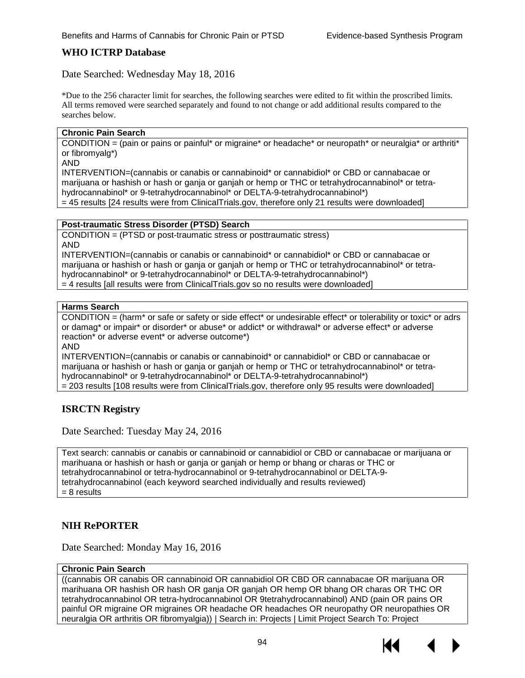### **WHO ICTRP Database**

Date Searched: Wednesday May 18, 2016

\*Due to the 256 character limit for searches, the following searches were edited to fit within the proscribed limits. All terms removed were searched separately and found to not change or add additional results compared to the searches below.

#### **Chronic Pain Search**

CONDITION = (pain or pains or painful\* or migraine\* or headache\* or neuropath\* or neuralgia\* or arthriti\* or fibromyalg\*)

AND

INTERVENTION=(cannabis or canabis or cannabinoid\* or cannabidiol\* or CBD or cannabacae or marijuana or hashish or hash or ganja or ganjah or hemp or THC or tetrahydrocannabinol\* or tetrahydrocannabinol\* or 9-tetrahydrocannabinol\* or DELTA-9-tetrahydrocannabinol\*) = 45 results [24 results were from ClinicalTrials.gov, therefore only 21 results were downloaded]

#### **Post-traumatic Stress Disorder (PTSD) Search**

CONDITION = (PTSD or post-traumatic stress or posttraumatic stress) AND INTERVENTION=(cannabis or canabis or cannabinoid\* or cannabidiol\* or CBD or cannabacae or

marijuana or hashish or hash or ganja or ganjah or hemp or THC or tetrahydrocannabinol\* or tetrahydrocannabinol\* or 9-tetrahydrocannabinol\* or DELTA-9-tetrahydrocannabinol\*)

= 4 results [all results were from ClinicalTrials.gov so no results were downloaded]

#### **Harms Search**

CONDITION = (harm\* or safe or safety or side effect\* or undesirable effect\* or tolerability or toxic\* or adrs or damag\* or impair\* or disorder\* or abuse\* or addict\* or withdrawal\* or adverse effect\* or adverse reaction\* or adverse event\* or adverse outcome\*)

AND

INTERVENTION=(cannabis or canabis or cannabinoid\* or cannabidiol\* or CBD or cannabacae or marijuana or hashish or hash or ganja or ganjah or hemp or THC or tetrahydrocannabinol\* or tetrahydrocannabinol\* or 9-tetrahydrocannabinol\* or DELTA-9-tetrahydrocannabinol\*) = 203 results [108 results were from ClinicalTrials.gov, therefore only 95 results were downloaded]

#### **ISRCTN Registry**

Date Searched: Tuesday May 24, 2016

Text search: cannabis or canabis or cannabinoid or cannabidiol or CBD or cannabacae or marijuana or marihuana or hashish or hash or ganja or ganjah or hemp or bhang or charas or THC or tetrahydrocannabinol or tetra-hydrocannabinol or 9-tetrahydrocannabinol or DELTA-9 tetrahydrocannabinol (each keyword searched individually and results reviewed)  $= 8$  results

#### **NIH RePORTER**

Date Searched: Monday May 16, 2016

#### **Chronic Pain Search**

((cannabis OR canabis OR cannabinoid OR cannabidiol OR CBD OR cannabacae OR marijuana OR marihuana OR hashish OR hash OR ganja OR ganjah OR hemp OR bhang OR charas OR THC OR tetrahydrocannabinol OR tetra-hydrocannabinol OR 9tetrahydrocannabinol) AND (pain OR pains OR painful OR migraine OR migraines OR headache OR headaches OR neuropathy OR neuropathies OR neuralgia OR arthritis OR fibromyalgia)) | Search in: Projects | Limit Project Search To: Project

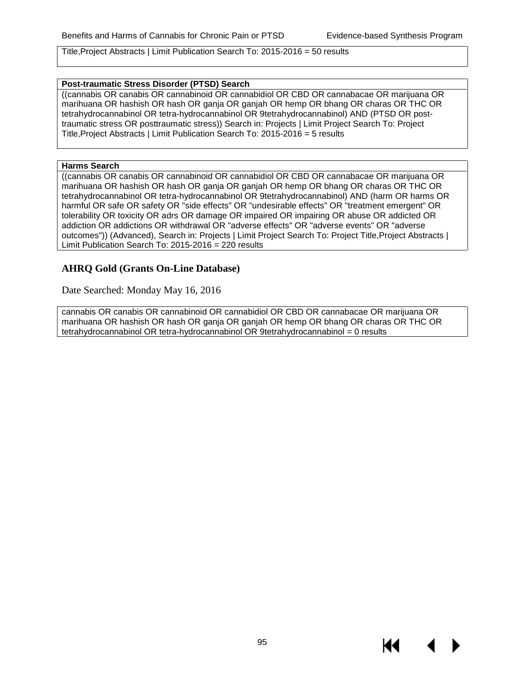Title,Project Abstracts | Limit Publication Search To: 2015-2016 = 50 results

#### **Post-traumatic Stress Disorder (PTSD) Search**

((cannabis OR canabis OR cannabinoid OR cannabidiol OR CBD OR cannabacae OR marijuana OR marihuana OR hashish OR hash OR ganja OR ganjah OR hemp OR bhang OR charas OR THC OR tetrahydrocannabinol OR tetra-hydrocannabinol OR 9tetrahydrocannabinol) AND (PTSD OR posttraumatic stress OR posttraumatic stress)) Search in: Projects | Limit Project Search To: Project Title,Project Abstracts | Limit Publication Search To: 2015-2016 = 5 results

#### **Harms Search**

((cannabis OR canabis OR cannabinoid OR cannabidiol OR CBD OR cannabacae OR marijuana OR marihuana OR hashish OR hash OR ganja OR ganjah OR hemp OR bhang OR charas OR THC OR tetrahydrocannabinol OR tetra-hydrocannabinol OR 9tetrahydrocannabinol) AND (harm OR harms OR harmful OR safe OR safety OR "side effects" OR "undesirable effects" OR "treatment emergent" OR tolerability OR toxicity OR adrs OR damage OR impaired OR impairing OR abuse OR addicted OR addiction OR addictions OR withdrawal OR "adverse effects" OR "adverse events" OR "adverse outcomes")) (Advanced), Search in: Projects | Limit Project Search To: Project Title, Project Abstracts | Limit Publication Search To: 2015-2016 = 220 results

#### **AHRQ Gold (Grants On-Line Database)**

Date Searched: Monday May 16, 2016

cannabis OR canabis OR cannabinoid OR cannabidiol OR CBD OR cannabacae OR marijuana OR marihuana OR hashish OR hash OR ganja OR ganjah OR hemp OR bhang OR charas OR THC OR tetrahydrocannabinol OR tetra-hydrocannabinol OR 9tetrahydrocannabinol = 0 results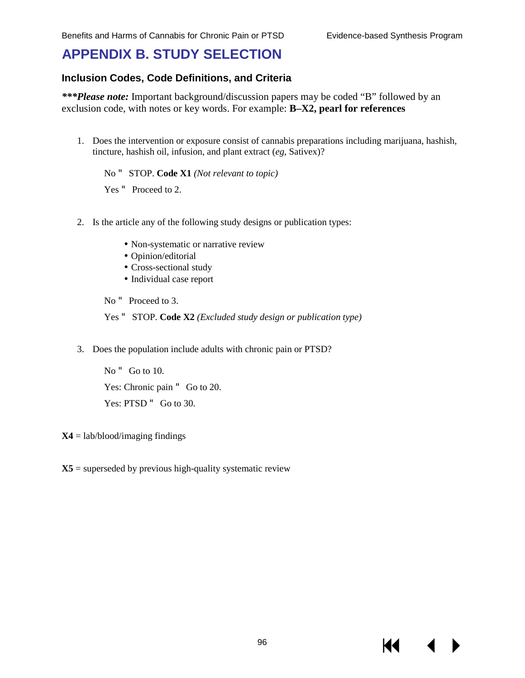К€

# **APPENDIX B. STUDY SELECTION**

#### **Inclusion Codes, Code Definitions, and Criteria**

*\*\*\*Please note:* Important background/discussion papers may be coded "B" followed by an exclusion code, with notes or key words. For example: **B–X2, pearl for references**

1. Does the intervention or exposure consist of cannabis preparations including marijuana, hashish, tincture, hashish oil, infusion, and plant extract (*eg*, Sativex)?

No " STOP. **Code X1** *(Not relevant to topic)*

Yes " Proceed to 2.

- 2. Is the article any of the following study designs or publication types:
	- Non-systematic or narrative review
	- Opinion/editorial
	- Cross-sectional study
	- Individual case report

No " Proceed to 3.

Yes " STOP. **Code X2** *(Excluded study design or publication type)*

3. Does the population include adults with chronic pain or PTSD?

No " Go to 10. Yes: Chronic pain " Go to 20. Yes: PTSD " Go to 30.

**X4** = lab/blood/imaging findings

 $X5$  = superseded by previous high-quality systematic review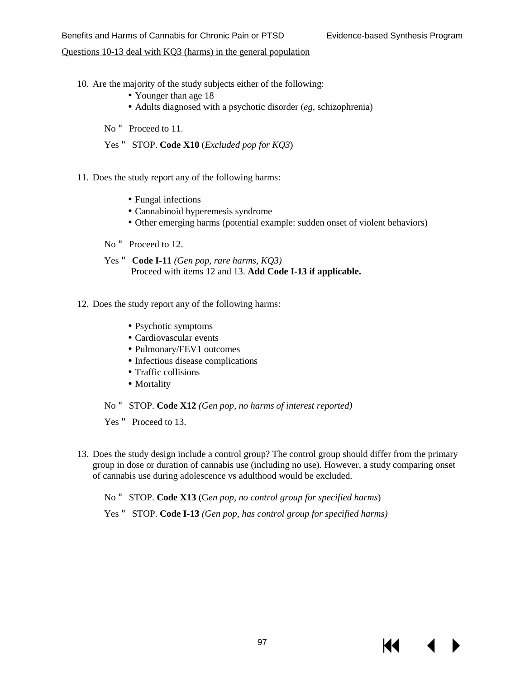#### Questions 10-13 deal with KQ3 (harms) in the general population

- 10. Are the majority of the study subjects either of the following:
	- Younger than age 18
	- Adults diagnosed with a psychotic disorder (*eg*, schizophrenia)
	- No " Proceed to 11.
	- Yes " STOP. **Code X10** (*Excluded pop for KQ3*)
- 11. Does the study report any of the following harms:
	- Fungal infections
	- Cannabinoid hyperemesis syndrome
	- Other emerging harms (potential example: sudden onset of violent behaviors)
	- No " Proceed to 12.
	- Yes " **Code I-11** *(Gen pop, rare harms, KQ3)*  Proceed with items 12 and 13. **Add Code I-13 if applicable.**
- 12. Does the study report any of the following harms:
	- Psychotic symptoms
	- Cardiovascular events
	- Pulmonary/FEV1 outcomes
	- Infectious disease complications
	- Traffic collisions
	- Mortality
	- No " STOP. **Code X12** *(Gen pop, no harms of interest reported)*
	- Yes " Proceed to 13.
- 13. Does the study design include a control group? The control group should differ from the primary group in dose or duration of cannabis use (including no use). However, a study comparing onset of cannabis use during adolescence vs adulthood would be excluded.
	- No " STOP. **Code X13** (G*en pop, no control group for specified harms*)
	- Yes " STOP. **Code I-13** *(Gen pop, has control group for specified harms)*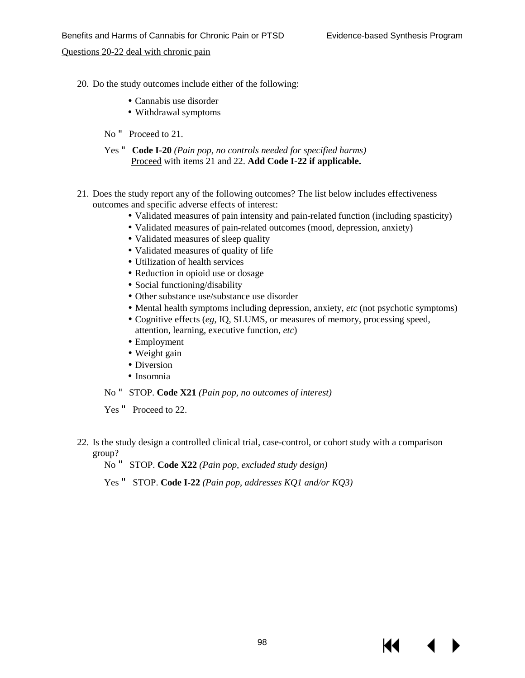Questions 20-22 deal with chronic pain

- 20. Do the study outcomes include either of the following:
	- Cannabis use disorder
	- Withdrawal symptoms
	- No "Proceed to 21.
	- Yes " **Code I-20** *(Pain pop, no controls needed for specified harms)* Proceed with items 21 and 22. **Add Code I-22 if applicable.**
- 21. Does the study report any of the following outcomes? The list below includes effectiveness outcomes and specific adverse effects of interest:
	- Validated measures of pain intensity and pain-related function (including spasticity)
	- Validated measures of pain-related outcomes (mood, depression, anxiety)
	- Validated measures of sleep quality
	- Validated measures of quality of life
	- Utilization of health services
	- Reduction in opioid use or dosage
	- Social functioning/disability
	- Other substance use/substance use disorder
	- Mental health symptoms including depression, anxiety, *etc* (not psychotic symptoms)
	- Cognitive effects (*eg,* IQ, SLUMS, or measures of memory, processing speed, attention, learning, executive function, *etc*)
	- Employment
	- Weight gain
	- Diversion
	- Insomnia
	- No " STOP. **Code X21** *(Pain pop, no outcomes of interest)*

Yes " Proceed to 22.

- 22. Is the study design a controlled clinical trial, case-control, or cohort study with a comparison group?
	- No " STOP. **Code X22** *(Pain pop, excluded study design)*

Yes " STOP. **Code I-22** *(Pain pop, addresses KQ1 and/or KQ3)*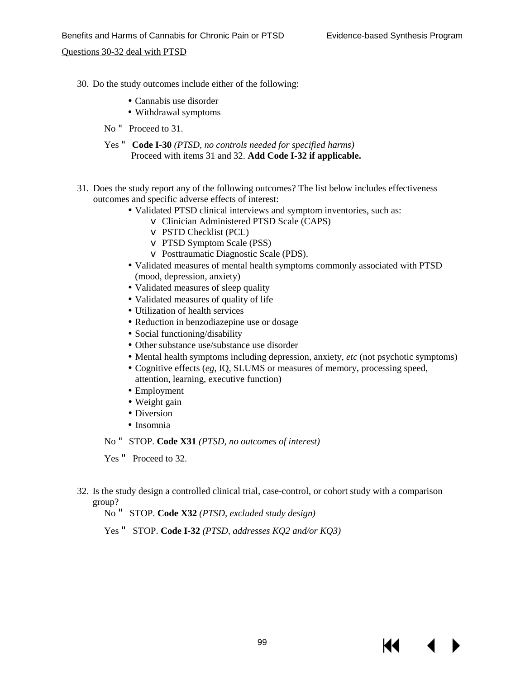Questions 30-32 deal with PTSD

- 30. Do the study outcomes include either of the following:
	- Cannabis use disorder
	- Withdrawal symptoms
	- No " Proceed to 31.
	- Yes " **Code I-30** *(PTSD, no controls needed for specified harms)*  Proceed with items 31 and 32. **Add Code I-32 if applicable.**
- 31. Does the study report any of the following outcomes? The list below includes effectiveness outcomes and specific adverse effects of interest:
	- Validated PTSD clinical interviews and symptom inventories, such as:
		- v Clinician Administered PTSD Scale (CAPS)
		- v PSTD Checklist (PCL)
		- v PTSD Symptom Scale (PSS)
		- v Posttraumatic Diagnostic Scale (PDS).
	- Validated measures of mental health symptoms commonly associated with PTSD (mood, depression, anxiety)
	- Validated measures of sleep quality
	- Validated measures of quality of life
	- Utilization of health services
	- Reduction in benzodiazepine use or dosage
	- Social functioning/disability
	- Other substance use/substance use disorder
	- Mental health symptoms including depression, anxiety, *etc* (not psychotic symptoms)
	- Cognitive effects (*eg*, IQ, SLUMS or measures of memory, processing speed, attention, learning, executive function)
	- Employment
	- Weight gain
	- Diversion
	- Insomnia

No " STOP. **Code X31** *(PTSD, no outcomes of interest)*

Yes " Proceed to 32.

- 32. Is the study design a controlled clinical trial, case-control, or cohort study with a comparison group?
	- No " STOP. **Code X32** *(PTSD, excluded study design)*
	- Yes " STOP. **Code I-32** *(PTSD, addresses KQ2 and/or KQ3)*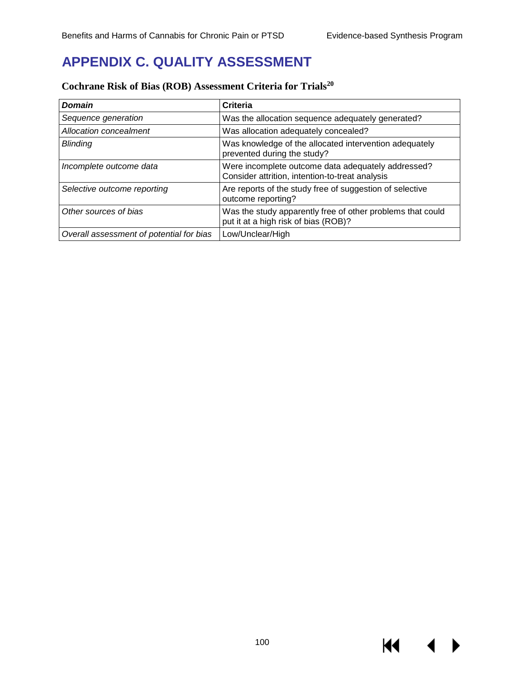KI I

# **APPENDIX C. QUALITY ASSESSMENT**

| <b>Domain</b>                            | <b>Criteria</b>                                                                                       |
|------------------------------------------|-------------------------------------------------------------------------------------------------------|
| Sequence generation                      | Was the allocation sequence adequately generated?                                                     |
| Allocation concealment                   | Was allocation adequately concealed?                                                                  |
| <b>Blinding</b>                          | Was knowledge of the allocated intervention adequately<br>prevented during the study?                 |
| Incomplete outcome data                  | Were incomplete outcome data adequately addressed?<br>Consider attrition, intention-to-treat analysis |
| Selective outcome reporting              | Are reports of the study free of suggestion of selective<br>outcome reporting?                        |
| Other sources of bias                    | Was the study apparently free of other problems that could<br>put it at a high risk of bias (ROB)?    |
| Overall assessment of potential for bias | Low/Unclear/High                                                                                      |

# **Cochrane Risk of Bias (ROB) Assessment Criteria for Trials20**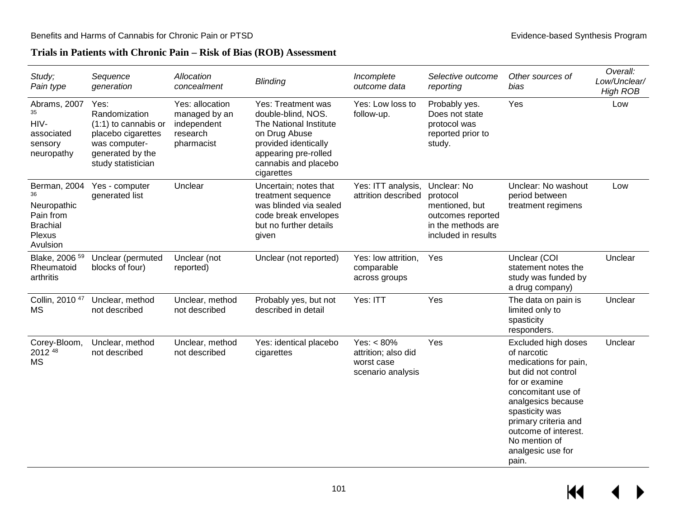### **Trials in Patients with Chronic Pain – Risk of Bias (ROB) Assessment**

| Study;<br>Pain type                                                                     | Sequence<br>generation                                                                                                           | Allocation<br>concealment                                                 | <b>Blinding</b>                                                                                                                                                           | Incomplete<br>outcome data                                              | Selective outcome<br>reporting                                                                              | Other sources of<br>bias                                                                                                                                                                                                                                          | Overall:<br>Low/Unclear/<br><b>High ROB</b> |
|-----------------------------------------------------------------------------------------|----------------------------------------------------------------------------------------------------------------------------------|---------------------------------------------------------------------------|---------------------------------------------------------------------------------------------------------------------------------------------------------------------------|-------------------------------------------------------------------------|-------------------------------------------------------------------------------------------------------------|-------------------------------------------------------------------------------------------------------------------------------------------------------------------------------------------------------------------------------------------------------------------|---------------------------------------------|
| Abrams, 2007<br>35<br>HIV-<br>associated<br>sensory<br>neuropathy                       | Yes:<br>Randomization<br>$(1:1)$ to cannabis or<br>placebo cigarettes<br>was computer-<br>generated by the<br>study statistician | Yes: allocation<br>managed by an<br>independent<br>research<br>pharmacist | Yes: Treatment was<br>double-blind, NOS.<br>The National Institute<br>on Drug Abuse<br>provided identically<br>appearing pre-rolled<br>cannabis and placebo<br>cigarettes | Yes: Low loss to<br>follow-up.                                          | Probably yes.<br>Does not state<br>protocol was<br>reported prior to<br>study.                              | Yes                                                                                                                                                                                                                                                               | Low                                         |
| Berman, 2004<br>36<br>Neuropathic<br>Pain from<br><b>Brachial</b><br>Plexus<br>Avulsion | Yes - computer<br>generated list                                                                                                 | Unclear                                                                   | Uncertain; notes that<br>treatment sequence<br>was blinded via sealed<br>code break envelopes<br>but no further details<br>given                                          | Yes: ITT analysis,<br>attrition described                               | Unclear: No<br>protocol<br>mentioned, but<br>outcomes reported<br>in the methods are<br>included in results | Unclear: No washout<br>period between<br>treatment regimens                                                                                                                                                                                                       | Low                                         |
| Blake, 2006 <sup>59</sup><br>Rheumatoid<br>arthritis                                    | Unclear (permuted<br>blocks of four)                                                                                             | Unclear (not<br>reported)                                                 | Unclear (not reported)                                                                                                                                                    | Yes: low attrition,<br>comparable<br>across groups                      | Yes                                                                                                         | Unclear (COI<br>statement notes the<br>study was funded by<br>a drug company)                                                                                                                                                                                     | Unclear                                     |
| Collin, 2010 <sup>47</sup><br>MS                                                        | Unclear, method<br>not described                                                                                                 | Unclear, method<br>not described                                          | Probably yes, but not<br>described in detail                                                                                                                              | Yes: ITT                                                                | Yes                                                                                                         | The data on pain is<br>limited only to<br>spasticity<br>responders.                                                                                                                                                                                               | Unclear                                     |
| Corey-Bloom,<br>2012 48<br><b>MS</b>                                                    | Unclear, method<br>not described                                                                                                 | Unclear, method<br>not described                                          | Yes: identical placebo<br>cigarettes                                                                                                                                      | Yes: $< 80\%$<br>attrition; also did<br>worst case<br>scenario analysis | Yes                                                                                                         | Excluded high doses<br>of narcotic<br>medications for pain,<br>but did not control<br>for or examine<br>concomitant use of<br>analgesics because<br>spasticity was<br>primary criteria and<br>outcome of interest.<br>No mention of<br>analgesic use for<br>pain. | Unclear                                     |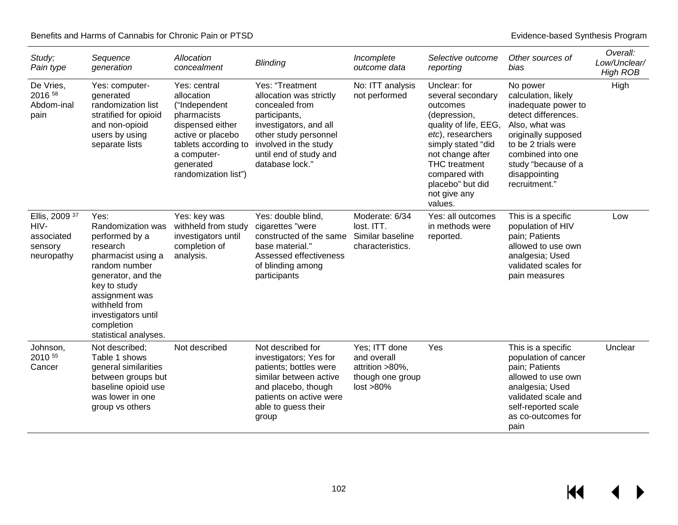$\leftrightarrow$ 

 $H$ 

| Study;<br>Pain type                                           | Sequence<br>generation                                                                                                                                                                                                                | Allocation<br>concealment                                                                                                                                                       | <b>Blinding</b>                                                                                                                                                                                        | Incomplete<br>outcome data                                                           | Selective outcome<br>reporting                                                                                                                                                                                                                | Other sources of<br>bias                                                                                                                                                                                                    | Overall:<br>Low/Unclear/<br><b>High ROB</b> |
|---------------------------------------------------------------|---------------------------------------------------------------------------------------------------------------------------------------------------------------------------------------------------------------------------------------|---------------------------------------------------------------------------------------------------------------------------------------------------------------------------------|--------------------------------------------------------------------------------------------------------------------------------------------------------------------------------------------------------|--------------------------------------------------------------------------------------|-----------------------------------------------------------------------------------------------------------------------------------------------------------------------------------------------------------------------------------------------|-----------------------------------------------------------------------------------------------------------------------------------------------------------------------------------------------------------------------------|---------------------------------------------|
| De Vries,<br>2016 58<br>Abdom-inal<br>pain                    | Yes: computer-<br>generated<br>randomization list<br>stratified for opioid<br>and non-opioid<br>users by using<br>separate lists                                                                                                      | Yes: central<br>allocation<br>("Independent<br>pharmacists<br>dispensed either<br>active or placebo<br>tablets according to<br>a computer-<br>generated<br>randomization list") | Yes: "Treatment<br>allocation was strictly<br>concealed from<br>participants,<br>investigators, and all<br>other study personnel<br>involved in the study<br>until end of study and<br>database lock." | No: ITT analysis<br>not performed                                                    | Unclear: for<br>several secondary<br>outcomes<br>(depression,<br>quality of life, EEG,<br>etc), researchers<br>simply stated "did<br>not change after<br><b>THC</b> treatment<br>compared with<br>placebo" but did<br>not give any<br>values. | No power<br>calculation, likely<br>inadequate power to<br>detect differences.<br>Also, what was<br>originally supposed<br>to be 2 trials were<br>combined into one<br>study "because of a<br>disappointing<br>recruitment." | High                                        |
| Ellis, 2009 37<br>HIV-<br>associated<br>sensory<br>neuropathy | Yes:<br>Randomization was<br>performed by a<br>research<br>pharmacist using a<br>random number<br>generator, and the<br>key to study<br>assignment was<br>withheld from<br>investigators until<br>completion<br>statistical analyses. | Yes: key was<br>withheld from study<br>investigators until<br>completion of<br>analysis.                                                                                        | Yes: double blind,<br>cigarettes "were<br>constructed of the same<br>base material."<br>Assessed effectiveness<br>of blinding among<br>participants                                                    | Moderate: 6/34<br>lost. ITT.<br>Similar baseline<br>characteristics.                 | Yes: all outcomes<br>in methods were<br>reported.                                                                                                                                                                                             | This is a specific<br>population of HIV<br>pain; Patients<br>allowed to use own<br>analgesia; Used<br>validated scales for<br>pain measures                                                                                 | Low                                         |
| Johnson,<br>2010 55<br>Cancer                                 | Not described;<br>Table 1 shows<br>general similarities<br>between groups but<br>baseline opioid use<br>was lower in one<br>group vs others                                                                                           | Not described                                                                                                                                                                   | Not described for<br>investigators; Yes for<br>patients; bottles were<br>similar between active<br>and placebo, though<br>patients on active were<br>able to guess their<br>group                      | Yes; ITT done<br>and overall<br>attrition >80%,<br>though one group<br>$lost > 80\%$ | Yes                                                                                                                                                                                                                                           | This is a specific<br>population of cancer<br>pain; Patients<br>allowed to use own<br>analgesia; Used<br>validated scale and<br>self-reported scale<br>as co-outcomes for<br>pain                                           | Unclear                                     |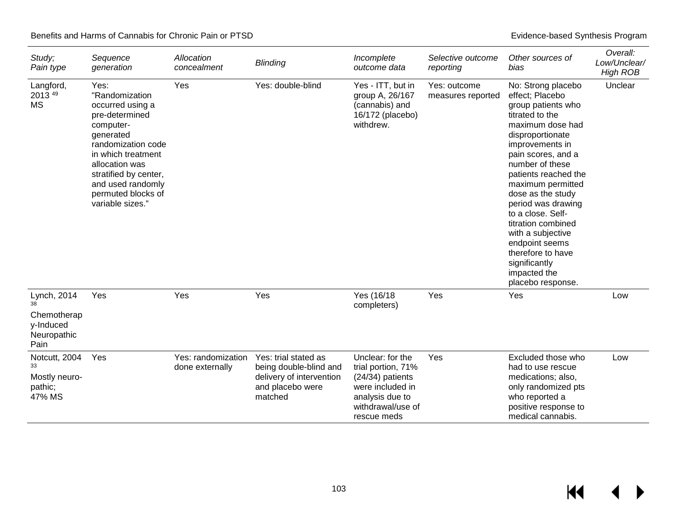| Study;<br>Pain type                                            | Sequence<br>generation                                                                                                                                                                                                                       | Allocation<br>concealment             | <b>Blinding</b>                                                                                           | Incomplete<br>outcome data                                                                                                              | Selective outcome<br>reporting    | Other sources of<br>bias                                                                                                                                                                                                                                                                                                                                                                                                                | Overall:<br>Low/Unclear/<br><b>High ROB</b> |
|----------------------------------------------------------------|----------------------------------------------------------------------------------------------------------------------------------------------------------------------------------------------------------------------------------------------|---------------------------------------|-----------------------------------------------------------------------------------------------------------|-----------------------------------------------------------------------------------------------------------------------------------------|-----------------------------------|-----------------------------------------------------------------------------------------------------------------------------------------------------------------------------------------------------------------------------------------------------------------------------------------------------------------------------------------------------------------------------------------------------------------------------------------|---------------------------------------------|
| Langford,<br>2013 49<br><b>MS</b>                              | Yes:<br>"Randomization<br>occurred using a<br>pre-determined<br>computer-<br>generated<br>randomization code<br>in which treatment<br>allocation was<br>stratified by center,<br>and used randomly<br>permuted blocks of<br>variable sizes." | Yes                                   | Yes: double-blind                                                                                         | Yes - ITT, but in<br>group A, 26/167<br>(cannabis) and<br>16/172 (placebo)<br>withdrew.                                                 | Yes: outcome<br>measures reported | No: Strong placebo<br>effect: Placebo<br>group patients who<br>titrated to the<br>maximum dose had<br>disproportionate<br>improvements in<br>pain scores, and a<br>number of these<br>patients reached the<br>maximum permitted<br>dose as the study<br>period was drawing<br>to a close. Self-<br>titration combined<br>with a subjective<br>endpoint seems<br>therefore to have<br>significantly<br>impacted the<br>placebo response. | Unclear                                     |
| Lynch, 2014<br>Chemotherap<br>y-Induced<br>Neuropathic<br>Pain | Yes                                                                                                                                                                                                                                          | Yes                                   | Yes                                                                                                       | Yes (16/18<br>completers)                                                                                                               | Yes                               | Yes                                                                                                                                                                                                                                                                                                                                                                                                                                     | Low                                         |
| Notcutt, 2004<br>33<br>Mostly neuro-<br>pathic;<br>47% MS      | Yes                                                                                                                                                                                                                                          | Yes: randomization<br>done externally | Yes: trial stated as<br>being double-blind and<br>delivery of intervention<br>and placebo were<br>matched | Unclear: for the<br>trial portion, 71%<br>$(24/34)$ patients<br>were included in<br>analysis due to<br>withdrawal/use of<br>rescue meds | Yes                               | Excluded those who<br>had to use rescue<br>medications; also,<br>only randomized pts<br>who reported a<br>positive response to<br>medical cannabis.                                                                                                                                                                                                                                                                                     | Low                                         |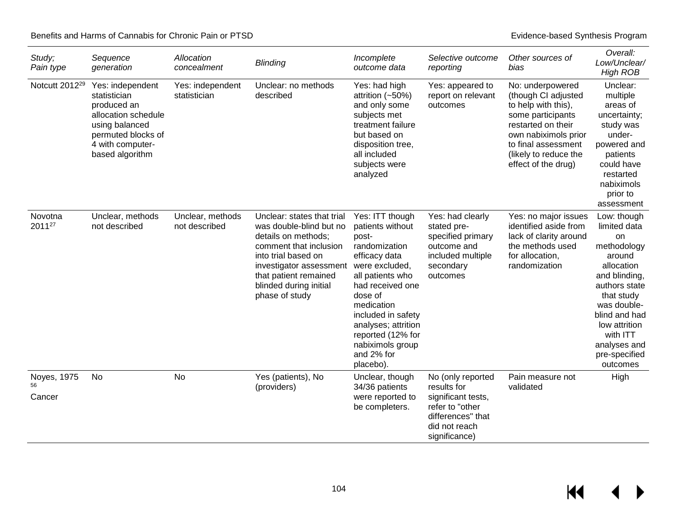| Study;<br>Pain type         | Sequence<br>generation                                                                                                                                | Allocation<br>concealment         | <b>Blinding</b>                                                                                                                                                                                                               | Incomplete<br>outcome data                                                                                                                                                                                                                                                         | Selective outcome<br>reporting                                                                                                   | Other sources of<br>bias                                                                                                                                                                                 | Overall:<br>Low/Unclear/<br><b>High ROB</b>                                                                                                                                                                                        |
|-----------------------------|-------------------------------------------------------------------------------------------------------------------------------------------------------|-----------------------------------|-------------------------------------------------------------------------------------------------------------------------------------------------------------------------------------------------------------------------------|------------------------------------------------------------------------------------------------------------------------------------------------------------------------------------------------------------------------------------------------------------------------------------|----------------------------------------------------------------------------------------------------------------------------------|----------------------------------------------------------------------------------------------------------------------------------------------------------------------------------------------------------|------------------------------------------------------------------------------------------------------------------------------------------------------------------------------------------------------------------------------------|
| Notcutt 2012 <sup>29</sup>  | Yes: independent<br>statistician<br>produced an<br>allocation schedule<br>using balanced<br>permuted blocks of<br>4 with computer-<br>based algorithm | Yes: independent<br>statistician  | Unclear: no methods<br>described                                                                                                                                                                                              | Yes: had high<br>attrition $(-50%)$<br>and only some<br>subjects met<br>treatment failure<br>but based on<br>disposition tree,<br>all included<br>subjects were<br>analyzed                                                                                                        | Yes: appeared to<br>report on relevant<br>outcomes                                                                               | No: underpowered<br>(though CI adjusted<br>to help with this),<br>some participants<br>restarted on their<br>own nabiximols prior<br>to final assessment<br>(likely to reduce the<br>effect of the drug) | Unclear:<br>multiple<br>areas of<br>uncertainty;<br>study was<br>under-<br>powered and<br>patients<br>could have<br>restarted<br>nabiximols<br>prior to<br>assessment                                                              |
| Novotna<br>201127           | Unclear, methods<br>not described                                                                                                                     | Unclear, methods<br>not described | Unclear: states that trial<br>was double-blind but no<br>details on methods;<br>comment that inclusion<br>into trial based on<br>investigator assessment<br>that patient remained<br>blinded during initial<br>phase of study | Yes: ITT though<br>patients without<br>post-<br>randomization<br>efficacy data<br>were excluded,<br>all patients who<br>had received one<br>dose of<br>medication<br>included in safety<br>analyses; attrition<br>reported (12% for<br>nabiximols group<br>and 2% for<br>placebo). | Yes: had clearly<br>stated pre-<br>specified primary<br>outcome and<br>included multiple<br>secondary<br>outcomes                | Yes: no major issues<br>identified aside from<br>lack of clarity around<br>the methods used<br>for allocation,<br>randomization                                                                          | Low: though<br>limited data<br>on<br>methodology<br>around<br>allocation<br>and blinding,<br>authors state<br>that study<br>was double-<br>blind and had<br>low attrition<br>with ITT<br>analyses and<br>pre-specified<br>outcomes |
| Noyes, 1975<br>56<br>Cancer | <b>No</b>                                                                                                                                             | No                                | Yes (patients), No<br>(providers)                                                                                                                                                                                             | Unclear, though<br>34/36 patients<br>were reported to<br>be completers.                                                                                                                                                                                                            | No (only reported<br>results for<br>significant tests,<br>refer to "other<br>differences" that<br>did not reach<br>significance) | Pain measure not<br>validated                                                                                                                                                                            | High                                                                                                                                                                                                                               |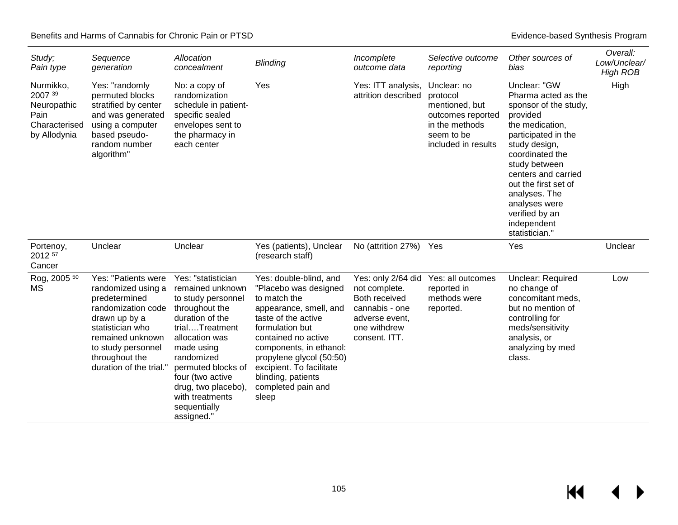| Study;<br>Pain type                                                          | Sequence<br>generation                                                                                                                                                                                       | Allocation<br>concealment                                                                                                                                                                                                                                                           | <b>Blinding</b>                                                                                                                                                                                                                                                                                    | Incomplete<br>outcome data                                                                                                | Selective outcome<br>reporting                                                                                        | Other sources of<br>bias                                                                                                                                                                                                                                                                                    | Overall:<br>Low/Unclear/<br><b>High ROB</b> |
|------------------------------------------------------------------------------|--------------------------------------------------------------------------------------------------------------------------------------------------------------------------------------------------------------|-------------------------------------------------------------------------------------------------------------------------------------------------------------------------------------------------------------------------------------------------------------------------------------|----------------------------------------------------------------------------------------------------------------------------------------------------------------------------------------------------------------------------------------------------------------------------------------------------|---------------------------------------------------------------------------------------------------------------------------|-----------------------------------------------------------------------------------------------------------------------|-------------------------------------------------------------------------------------------------------------------------------------------------------------------------------------------------------------------------------------------------------------------------------------------------------------|---------------------------------------------|
| Nurmikko,<br>2007 39<br>Neuropathic<br>Pain<br>Characterised<br>by Allodynia | Yes: "randomly<br>permuted blocks<br>stratified by center<br>and was generated<br>using a computer<br>based pseudo-<br>random number<br>algorithm"                                                           | No: a copy of<br>randomization<br>schedule in patient-<br>specific sealed<br>envelopes sent to<br>the pharmacy in<br>each center                                                                                                                                                    | Yes                                                                                                                                                                                                                                                                                                | Yes: ITT analysis,<br>attrition described                                                                                 | Unclear: no<br>protocol<br>mentioned, but<br>outcomes reported<br>in the methods<br>seem to be<br>included in results | Unclear: "GW<br>Pharma acted as the<br>sponsor of the study,<br>provided<br>the medication,<br>participated in the<br>study design,<br>coordinated the<br>study between<br>centers and carried<br>out the first set of<br>analyses. The<br>analyses were<br>verified by an<br>independent<br>statistician." | High                                        |
| Portenoy,<br>2012 57<br>Cancer                                               | Unclear                                                                                                                                                                                                      | Unclear                                                                                                                                                                                                                                                                             | Yes (patients), Unclear<br>(research staff)                                                                                                                                                                                                                                                        | No (attrition 27%)                                                                                                        | Yes                                                                                                                   | Yes                                                                                                                                                                                                                                                                                                         | Unclear                                     |
| Rog, 2005 50<br>MS                                                           | Yes: "Patients were<br>randomized using a<br>predetermined<br>randomization code<br>drawn up by a<br>statistician who<br>remained unknown<br>to study personnel<br>throughout the<br>duration of the trial." | Yes: "statistician<br>remained unknown<br>to study personnel<br>throughout the<br>duration of the<br>trialTreatment<br>allocation was<br>made using<br>randomized<br>permuted blocks of<br>four (two active<br>drug, two placebo),<br>with treatments<br>sequentially<br>assigned." | Yes: double-blind, and<br>"Placebo was designed<br>to match the<br>appearance, smell, and<br>taste of the active<br>formulation but<br>contained no active<br>components, in ethanol:<br>propylene glycol (50:50)<br>excipient. To facilitate<br>blinding, patients<br>completed pain and<br>sleep | Yes: only 2/64 did<br>not complete.<br>Both received<br>cannabis - one<br>adverse event,<br>one withdrew<br>consent. ITT. | Yes: all outcomes<br>reported in<br>methods were<br>reported.                                                         | Unclear: Required<br>no change of<br>concomitant meds,<br>but no mention of<br>controlling for<br>meds/sensitivity<br>analysis, or<br>analyzing by med<br>class.                                                                                                                                            | Low                                         |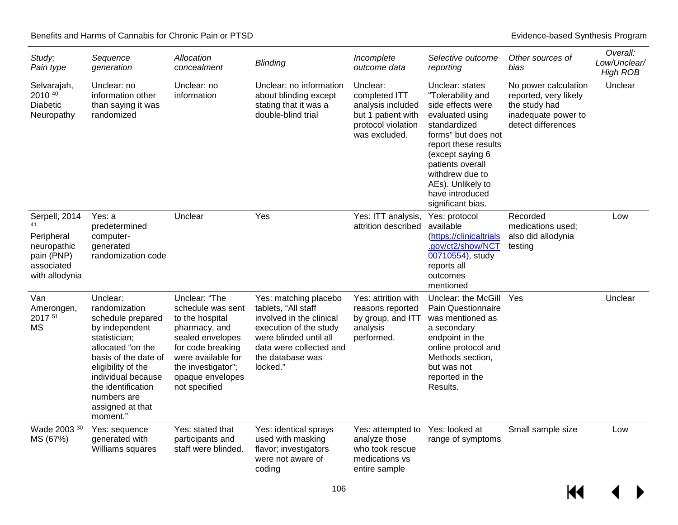| Study;<br>Pain type                                                                            | Sequence<br>generation                                                                                                                                                                                                                          | Allocation<br>concealment                                                                                                                                                                        | <b>Blinding</b>                                                                                                                                                                         | Incomplete<br>outcome data                                                                                  | Selective outcome<br>reporting                                                                                                                                                                                                                                      | Other sources of<br>bias                                                                                    | Overall:<br>Low/Unclear/<br><b>High ROB</b> |
|------------------------------------------------------------------------------------------------|-------------------------------------------------------------------------------------------------------------------------------------------------------------------------------------------------------------------------------------------------|--------------------------------------------------------------------------------------------------------------------------------------------------------------------------------------------------|-----------------------------------------------------------------------------------------------------------------------------------------------------------------------------------------|-------------------------------------------------------------------------------------------------------------|---------------------------------------------------------------------------------------------------------------------------------------------------------------------------------------------------------------------------------------------------------------------|-------------------------------------------------------------------------------------------------------------|---------------------------------------------|
| Selvarajah,<br>2010 40<br><b>Diabetic</b><br>Neuropathy                                        | Unclear: no<br>information other<br>than saying it was<br>randomized                                                                                                                                                                            | Unclear: no<br>information                                                                                                                                                                       | Unclear: no information<br>about blinding except<br>stating that it was a<br>double-blind trial                                                                                         | Unclear:<br>completed ITT<br>analysis included<br>but 1 patient with<br>protocol violation<br>was excluded. | Unclear: states<br>"Tolerability and<br>side effects were<br>evaluated using<br>standardized<br>forms" but does not<br>report these results<br>(except saying 6<br>patients overall<br>withdrew due to<br>AEs). Unlikely to<br>have introduced<br>significant bias. | No power calculation<br>reported, very likely<br>the study had<br>inadequate power to<br>detect differences | Unclear                                     |
| Serpell, 2014<br>41<br>Peripheral<br>neuropathic<br>pain (PNP)<br>associated<br>with allodynia | Yes: a<br>predetermined<br>computer-<br>generated<br>randomization code                                                                                                                                                                         | Unclear                                                                                                                                                                                          | Yes                                                                                                                                                                                     | Yes: ITT analysis,<br>attrition described                                                                   | Yes: protocol<br>available<br>(https://clinicaltrials<br>.gov/ct2/show/NCT<br>00710554), study<br>reports all<br>outcomes<br>mentioned                                                                                                                              | Recorded<br>medications used;<br>also did allodynia<br>testing                                              | Low                                         |
| Van<br>Amerongen,<br>2017 51<br><b>MS</b>                                                      | Unclear:<br>randomization<br>schedule prepared<br>by independent<br>statistician;<br>allocated "on the<br>basis of the date of<br>eligibility of the<br>individual because<br>the identification<br>numbers are<br>assigned at that<br>moment." | Unclear: "The<br>schedule was sent<br>to the hospital<br>pharmacy, and<br>sealed envelopes<br>for code breaking<br>were available for<br>the investigator";<br>opaque envelopes<br>not specified | Yes: matching placebo<br>tablets, "All staff<br>involved in the clinical<br>execution of the study<br>were blinded until all<br>data were collected and<br>the database was<br>locked." | Yes: attrition with<br>reasons reported<br>by group, and ITT<br>analysis<br>performed.                      | Unclear: the McGill<br><b>Pain Questionnaire</b><br>was mentioned as<br>a secondary<br>endpoint in the<br>online protocol and<br>Methods section.<br>but was not<br>reported in the<br>Results.                                                                     | Yes                                                                                                         | Unclear                                     |
| Wade 2003 30<br>MS (67%)                                                                       | Yes: sequence<br>generated with<br>Williams squares                                                                                                                                                                                             | Yes: stated that<br>participants and<br>staff were blinded.                                                                                                                                      | Yes: identical sprays<br>used with masking<br>flavor; investigators<br>were not aware of<br>coding                                                                                      | Yes: attempted to<br>analyze those<br>who took rescue<br>medications vs<br>entire sample                    | Yes: looked at<br>range of symptoms                                                                                                                                                                                                                                 | Small sample size                                                                                           | Low                                         |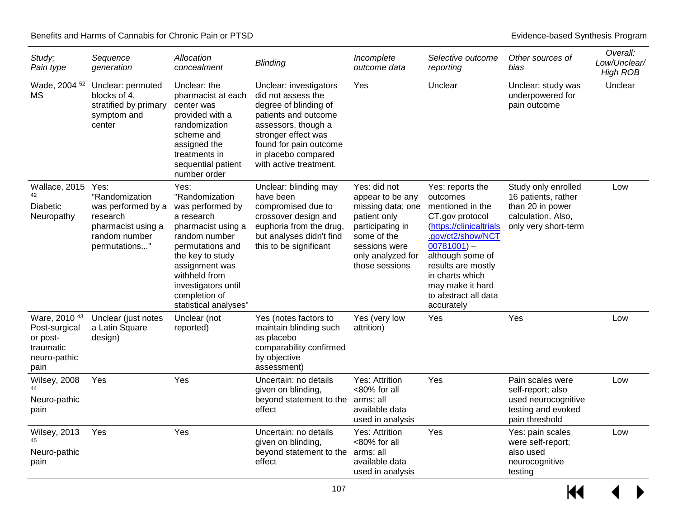| Study;<br>Pain type                                                                        | Sequence<br>generation                                                                                           | Allocation<br>concealment                                                                                                                                                                                                                   | <b>Blinding</b>                                                                                                                                                                                                        | Incomplete<br>outcome data                                                                                                                                       | Selective outcome<br>reporting                                                                                                                                                                                                                             | Other sources of<br>bias                                                                                     | Overall:<br>Low/Unclear/<br><b>High ROB</b> |
|--------------------------------------------------------------------------------------------|------------------------------------------------------------------------------------------------------------------|---------------------------------------------------------------------------------------------------------------------------------------------------------------------------------------------------------------------------------------------|------------------------------------------------------------------------------------------------------------------------------------------------------------------------------------------------------------------------|------------------------------------------------------------------------------------------------------------------------------------------------------------------|------------------------------------------------------------------------------------------------------------------------------------------------------------------------------------------------------------------------------------------------------------|--------------------------------------------------------------------------------------------------------------|---------------------------------------------|
| Wade, 2004 52<br>МS                                                                        | Unclear: permuted<br>blocks of 4,<br>stratified by primary<br>symptom and<br>center                              | Unclear: the<br>pharmacist at each<br>center was<br>provided with a<br>randomization<br>scheme and<br>assigned the<br>treatments in<br>sequential patient<br>number order                                                                   | Unclear: investigators<br>did not assess the<br>degree of blinding of<br>patients and outcome<br>assessors, though a<br>stronger effect was<br>found for pain outcome<br>in placebo compared<br>with active treatment. | Yes                                                                                                                                                              | Unclear                                                                                                                                                                                                                                                    | Unclear: study was<br>underpowered for<br>pain outcome                                                       | Unclear                                     |
| Wallace, 2015<br><b>Diabetic</b><br>Neuropathy                                             | Yes:<br>"Randomization<br>was performed by a<br>research<br>pharmacist using a<br>random number<br>permutations" | Yes:<br>"Randomization<br>was performed by<br>a research<br>pharmacist using a<br>random number<br>permutations and<br>the key to study<br>assignment was<br>withheld from<br>investigators until<br>completion of<br>statistical analyses" | Unclear: blinding may<br>have been<br>compromised due to<br>crossover design and<br>euphoria from the drug,<br>but analyses didn't find<br>this to be significant                                                      | Yes: did not<br>appear to be any<br>missing data; one<br>patient only<br>participating in<br>some of the<br>sessions were<br>only analyzed for<br>those sessions | Yes: reports the<br>outcomes<br>mentioned in the<br>CT.gov protocol<br>(https://clinicaltrials<br>.gov/ct2/show/NCT<br>$00781001$ -<br>although some of<br>results are mostly<br>in charts which<br>may make it hard<br>to abstract all data<br>accurately | Study only enrolled<br>16 patients, rather<br>than 20 in power<br>calculation. Also,<br>only very short-term | Low                                         |
| Ware, 2010 <sup>43</sup><br>Post-surgical<br>or post-<br>traumatic<br>neuro-pathic<br>pain | Unclear (just notes<br>a Latin Square<br>design)                                                                 | Unclear (not<br>reported)                                                                                                                                                                                                                   | Yes (notes factors to<br>maintain blinding such<br>as placebo<br>comparability confirmed<br>by objective<br>assessment)                                                                                                | Yes (very low<br>attrition)                                                                                                                                      | Yes                                                                                                                                                                                                                                                        | Yes                                                                                                          | Low                                         |
| Wilsey, 2008<br>Neuro-pathic<br>pain                                                       | Yes                                                                                                              | Yes                                                                                                                                                                                                                                         | Uncertain: no details<br>given on blinding,<br>beyond statement to the arms; all<br>effect                                                                                                                             | Yes: Attrition<br><80% for all<br>available data<br>used in analysis                                                                                             | Yes                                                                                                                                                                                                                                                        | Pain scales were<br>self-report; also<br>used neurocognitive<br>testing and evoked<br>pain threshold         | Low                                         |
| <b>Wilsey, 2013</b><br>Neuro-pathic<br>pain                                                | Yes                                                                                                              | Yes                                                                                                                                                                                                                                         | Uncertain: no details<br>given on blinding,<br>beyond statement to the arms; all<br>effect                                                                                                                             | Yes: Attrition<br><80% for all<br>available data<br>used in analysis                                                                                             | Yes                                                                                                                                                                                                                                                        | Yes: pain scales<br>were self-report;<br>also used<br>neurocognitive<br>testing                              | Low                                         |

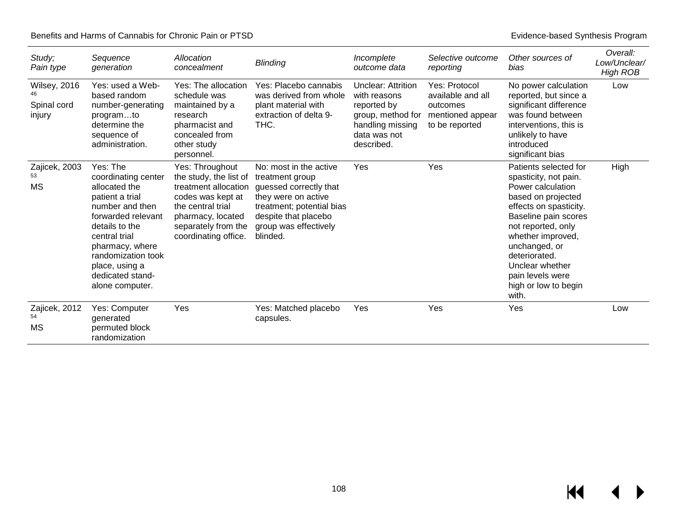| Study;<br>Pain type                          | Sequence<br>generation                                                                                                                                                                                                                            | Allocation<br>concealment                                                                                                                                                       | <b>Blinding</b>                                                                                                                                                                      | Incomplete<br>outcome data                                                                                                      | Selective outcome<br>reporting                                                       | Other sources of<br>bias                                                                                                                                                                                                                                                                         | Overall:<br>Low/Unclear/<br><b>High ROB</b> |
|----------------------------------------------|---------------------------------------------------------------------------------------------------------------------------------------------------------------------------------------------------------------------------------------------------|---------------------------------------------------------------------------------------------------------------------------------------------------------------------------------|--------------------------------------------------------------------------------------------------------------------------------------------------------------------------------------|---------------------------------------------------------------------------------------------------------------------------------|--------------------------------------------------------------------------------------|--------------------------------------------------------------------------------------------------------------------------------------------------------------------------------------------------------------------------------------------------------------------------------------------------|---------------------------------------------|
| <b>Wilsey, 2016</b><br>Spinal cord<br>injury | Yes: used a Web-<br>based random<br>number-generating<br>programto<br>determine the<br>sequence of<br>administration.                                                                                                                             | Yes: The allocation<br>schedule was<br>maintained by a<br>research<br>pharmacist and<br>concealed from<br>other study<br>personnel.                                             | Yes: Placebo cannabis<br>was derived from whole<br>plant material with<br>extraction of delta 9-<br>THC.                                                                             | <b>Unclear: Attrition</b><br>with reasons<br>reported by<br>group, method for<br>handling missing<br>data was not<br>described. | Yes: Protocol<br>available and all<br>outcomes<br>mentioned appear<br>to be reported | No power calculation<br>reported, but since a<br>significant difference<br>was found between<br>interventions, this is<br>unlikely to have<br>introduced<br>significant bias                                                                                                                     | Low                                         |
| Zajicek, 2003<br>53<br>MS                    | Yes: The<br>coordinating center<br>allocated the<br>patient a trial<br>number and then<br>forwarded relevant<br>details to the<br>central trial<br>pharmacy, where<br>randomization took<br>place, using a<br>dedicated stand-<br>alone computer. | Yes: Throughout<br>the study, the list of<br>treatment allocation<br>codes was kept at<br>the central trial<br>pharmacy, located<br>separately from the<br>coordinating office. | No: most in the active<br>treatment group<br>guessed correctly that<br>they were on active<br>treatment; potential bias<br>despite that placebo<br>group was effectively<br>blinded. | Yes                                                                                                                             | Yes                                                                                  | Patients selected for<br>spasticity, not pain.<br>Power calculation<br>based on projected<br>effects on spasticity.<br>Baseline pain scores<br>not reported, only<br>whether improved,<br>unchanged, or<br>deteriorated.<br>Unclear whether<br>pain levels were<br>high or low to begin<br>with. | High                                        |
| Zajicek, 2012<br>54<br>MS                    | Yes: Computer<br>generated<br>permuted block<br>randomization                                                                                                                                                                                     | Yes                                                                                                                                                                             | Yes: Matched placebo<br>capsules.                                                                                                                                                    | Yes                                                                                                                             | Yes                                                                                  | Yes                                                                                                                                                                                                                                                                                              | Low                                         |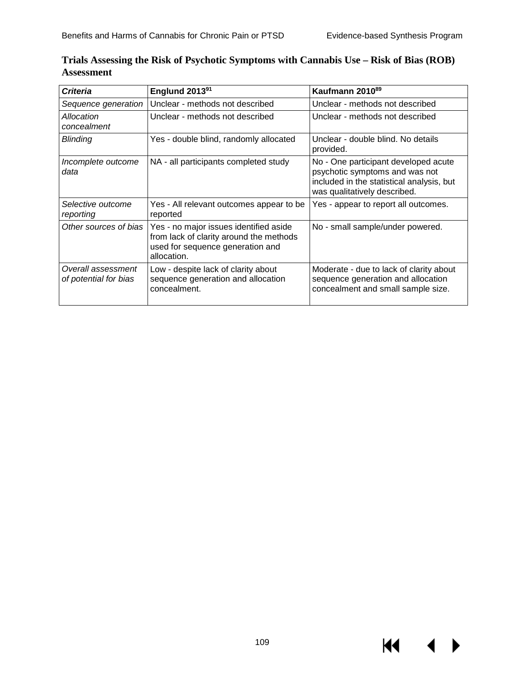$\blacktriangleleft$ 

**KK** 

| Criteria                                    | Englund 2013 <sup>91</sup>                                                                                                           | Kaufmann 2010 <sup>89</sup>                                                                                                                         |
|---------------------------------------------|--------------------------------------------------------------------------------------------------------------------------------------|-----------------------------------------------------------------------------------------------------------------------------------------------------|
| Sequence generation                         | Unclear - methods not described                                                                                                      | Unclear - methods not described                                                                                                                     |
| Allocation<br>concealment                   | Unclear - methods not described                                                                                                      | Unclear - methods not described                                                                                                                     |
| Blinding                                    | Yes - double blind, randomly allocated                                                                                               | Unclear - double blind. No details<br>provided.                                                                                                     |
| Incomplete outcome<br>data                  | NA - all participants completed study                                                                                                | No - One participant developed acute<br>psychotic symptoms and was not<br>included in the statistical analysis, but<br>was qualitatively described. |
| Selective outcome<br>reporting              | Yes - All relevant outcomes appear to be<br>reported                                                                                 | Yes - appear to report all outcomes.                                                                                                                |
| Other sources of bias                       | Yes - no major issues identified aside<br>from lack of clarity around the methods<br>used for sequence generation and<br>allocation. | No - small sample/under powered.                                                                                                                    |
| Overall assessment<br>of potential for bias | Low - despite lack of clarity about<br>sequence generation and allocation<br>concealment.                                            | Moderate - due to lack of clarity about<br>sequence generation and allocation<br>concealment and small sample size.                                 |

### **Trials Assessing the Risk of Psychotic Symptoms with Cannabis Use – Risk of Bias (ROB) Assessment**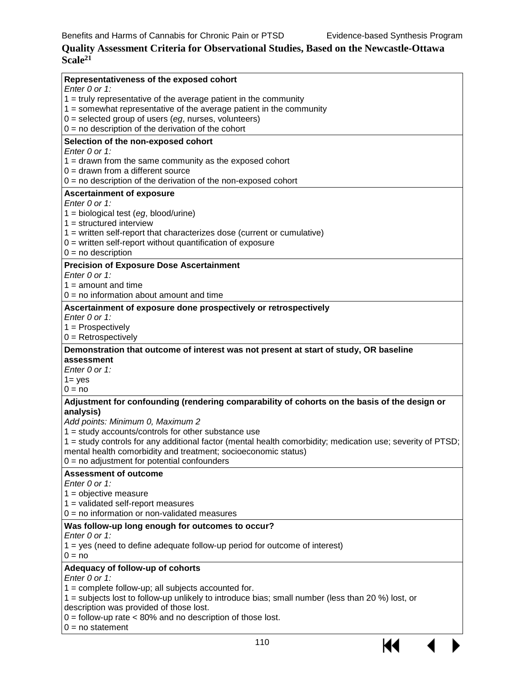14

### **Quality Assessment Criteria for Observational Studies, Based on the Newcastle-Ottawa Scale21**

| Representativeness of the exposed cohort                                                                       |
|----------------------------------------------------------------------------------------------------------------|
| Enter 0 or 1:                                                                                                  |
| $1 =$ truly representative of the average patient in the community                                             |
| $1 =$ somewhat representative of the average patient in the community                                          |
| $0 =$ selected group of users (eg, nurses, volunteers)<br>$0 = no$ description of the derivation of the cohort |
|                                                                                                                |
| Selection of the non-exposed cohort                                                                            |
| Enter $0$ or 1:                                                                                                |
| $1 =$ drawn from the same community as the exposed cohort<br>$0 =$ drawn from a different source               |
| $0 =$ no description of the derivation of the non-exposed cohort                                               |
|                                                                                                                |
| <b>Ascertainment of exposure</b><br>Enter $0$ or 1:                                                            |
| $1 = biological test (eg, blood/urine)$                                                                        |
| $1 =$ structured interview                                                                                     |
| 1 = written self-report that characterizes dose (current or cumulative)                                        |
| $0 =$ written self-report without quantification of exposure                                                   |
| $0 = no$ description                                                                                           |
| <b>Precision of Exposure Dose Ascertainment</b>                                                                |
| Enter $0$ or 1:                                                                                                |
| $1 =$ amount and time                                                                                          |
| $0 = no$ information about amount and time                                                                     |
| Ascertainment of exposure done prospectively or retrospectively                                                |
| Enter $0$ or 1:                                                                                                |
| $1 =$ Prospectively                                                                                            |
| $0 =$ Retrospectively                                                                                          |
| Demonstration that outcome of interest was not present at start of study, OR baseline                          |
| assessment                                                                                                     |
| Enter 0 or 1:                                                                                                  |
| $1 = yes$                                                                                                      |
| $0 = no$                                                                                                       |
| Adjustment for confounding (rendering comparability of cohorts on the basis of the design or                   |
| analysis)                                                                                                      |
| Add points: Minimum 0, Maximum 2                                                                               |
| $1 =$ study accounts/controls for other substance use                                                          |
| 1 = study controls for any additional factor (mental health comorbidity; medication use; severity of PTSD;     |
| mental health comorbidity and treatment; socioeconomic status)                                                 |
| $0 = no$ adjustment for potential confounders                                                                  |
| <b>Assessment of outcome</b>                                                                                   |
| Enter 0 or 1:                                                                                                  |
| $1 =$ objective measure                                                                                        |
| $1 =$ validated self-report measures                                                                           |
| $0 = no$ information or non-validated measures                                                                 |
| Was follow-up long enough for outcomes to occur?                                                               |
| Enter $0$ or 1:                                                                                                |
| $1 = yes$ (need to define adequate follow-up period for outcome of interest)                                   |
| $0 = no$                                                                                                       |
| Adequacy of follow-up of cohorts                                                                               |
| Enter 0 or 1:                                                                                                  |
| $1 =$ complete follow-up; all subjects accounted for.                                                          |
| 1 = subjects lost to follow-up unlikely to introduce bias; small number (less than 20 %) lost, or              |
| description was provided of those lost.                                                                        |
| $0 =$ follow-up rate $<$ 80% and no description of those lost.                                                 |
| $0 = no statement$                                                                                             |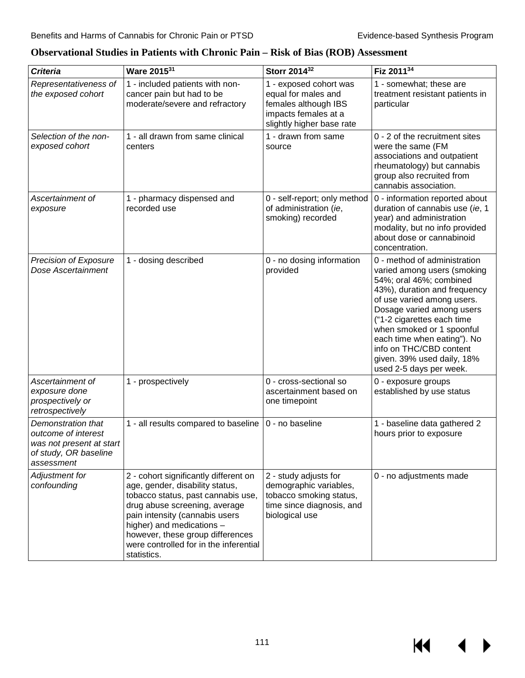| <b>Criteria</b>                                                                                              | Ware 2015 <sup>31</sup>                                                                                                                                                                                                                                                                                     | Storr 2014 <sup>32</sup>                                                                                                   | Fiz 201134                                                                                                                                                                                                                                                                                                                                                      |
|--------------------------------------------------------------------------------------------------------------|-------------------------------------------------------------------------------------------------------------------------------------------------------------------------------------------------------------------------------------------------------------------------------------------------------------|----------------------------------------------------------------------------------------------------------------------------|-----------------------------------------------------------------------------------------------------------------------------------------------------------------------------------------------------------------------------------------------------------------------------------------------------------------------------------------------------------------|
| Representativeness of<br>the exposed cohort                                                                  | 1 - included patients with non-<br>cancer pain but had to be<br>moderate/severe and refractory                                                                                                                                                                                                              | 1 - exposed cohort was<br>equal for males and<br>females although IBS<br>impacts females at a<br>slightly higher base rate | 1 - somewhat; these are<br>treatment resistant patients in<br>particular                                                                                                                                                                                                                                                                                        |
| Selection of the non-<br>exposed cohort                                                                      | 1 - all drawn from same clinical<br>centers                                                                                                                                                                                                                                                                 | 1 - drawn from same<br>source                                                                                              | 0 - 2 of the recruitment sites<br>were the same (FM<br>associations and outpatient<br>rheumatology) but cannabis<br>group also recruited from<br>cannabis association.                                                                                                                                                                                          |
| Ascertainment of<br>exposure                                                                                 | 1 - pharmacy dispensed and<br>recorded use                                                                                                                                                                                                                                                                  | 0 - self-report; only method<br>of administration (ie,<br>smoking) recorded                                                | 0 - information reported about<br>duration of cannabis use (ie, 1<br>year) and administration<br>modality, but no info provided<br>about dose or cannabinoid<br>concentration.                                                                                                                                                                                  |
| Precision of Exposure<br>Dose Ascertainment                                                                  | 1 - dosing described                                                                                                                                                                                                                                                                                        | 0 - no dosing information<br>provided                                                                                      | 0 - method of administration<br>varied among users (smoking<br>54%; oral 46%; combined<br>43%), duration and frequency<br>of use varied among users.<br>Dosage varied among users<br>("1-2 cigarettes each time<br>when smoked or 1 spoonful<br>each time when eating"). No<br>info on THC/CBD content<br>given. 39% used daily, 18%<br>used 2-5 days per week. |
| Ascertainment of<br>exposure done<br>prospectively or<br>retrospectively                                     | 1 - prospectively                                                                                                                                                                                                                                                                                           | 0 - cross-sectional so<br>ascertainment based on<br>one timepoint                                                          | 0 - exposure groups<br>established by use status                                                                                                                                                                                                                                                                                                                |
| Demonstration that<br>outcome of interest<br>was not present at start<br>of study, OR baseline<br>assessment | 1 - all results compared to baseline                                                                                                                                                                                                                                                                        | 0 - no baseline                                                                                                            | 1 - baseline data gathered 2<br>hours prior to exposure                                                                                                                                                                                                                                                                                                         |
| Adjustment for<br>confounding                                                                                | 2 - cohort significantly different on<br>age, gender, disability status,<br>tobacco status, past cannabis use,<br>drug abuse screening, average<br>pain intensity (cannabis users<br>higher) and medications -<br>however, these group differences<br>were controlled for in the inferential<br>statistics. | 2 - study adjusts for<br>demographic variables,<br>tobacco smoking status,<br>time since diagnosis, and<br>biological use  | 0 - no adjustments made                                                                                                                                                                                                                                                                                                                                         |

### **Observational Studies in Patients with Chronic Pain – Risk of Bias (ROB) Assessment**

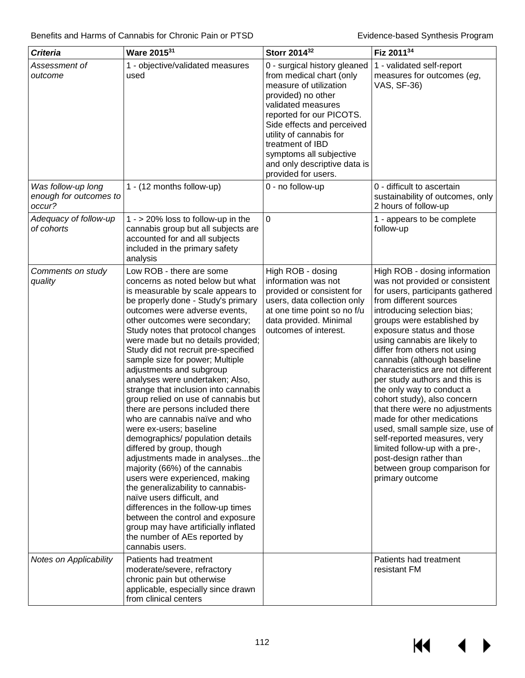| <b>Criteria</b>                                        | Ware 201531                                                                                                                                                                                                                                                                                                                                                                                                                                                                                                                                                                                                                                                                                                                                                                                                                                                                                                                                                                                                                     | Storr 2014 <sup>32</sup>                                                                                                                                                                                                                                                                                                  | Fiz 201134                                                                                                                                                                                                                                                                                                                                                                                                                                                                                                                                                                                                                                                                                                  |
|--------------------------------------------------------|---------------------------------------------------------------------------------------------------------------------------------------------------------------------------------------------------------------------------------------------------------------------------------------------------------------------------------------------------------------------------------------------------------------------------------------------------------------------------------------------------------------------------------------------------------------------------------------------------------------------------------------------------------------------------------------------------------------------------------------------------------------------------------------------------------------------------------------------------------------------------------------------------------------------------------------------------------------------------------------------------------------------------------|---------------------------------------------------------------------------------------------------------------------------------------------------------------------------------------------------------------------------------------------------------------------------------------------------------------------------|-------------------------------------------------------------------------------------------------------------------------------------------------------------------------------------------------------------------------------------------------------------------------------------------------------------------------------------------------------------------------------------------------------------------------------------------------------------------------------------------------------------------------------------------------------------------------------------------------------------------------------------------------------------------------------------------------------------|
| Assessment of<br>outcome                               | 1 - objective/validated measures<br>used                                                                                                                                                                                                                                                                                                                                                                                                                                                                                                                                                                                                                                                                                                                                                                                                                                                                                                                                                                                        | 0 - surgical history gleaned<br>from medical chart (only<br>measure of utilization<br>provided) no other<br>validated measures<br>reported for our PICOTS.<br>Side effects and perceived<br>utility of cannabis for<br>treatment of IBD<br>symptoms all subjective<br>and only descriptive data is<br>provided for users. | 1 - validated self-report<br>measures for outcomes (eg,<br>VAS, SF-36)                                                                                                                                                                                                                                                                                                                                                                                                                                                                                                                                                                                                                                      |
| Was follow-up long<br>enough for outcomes to<br>occur? | 1 - (12 months follow-up)                                                                                                                                                                                                                                                                                                                                                                                                                                                                                                                                                                                                                                                                                                                                                                                                                                                                                                                                                                                                       | 0 - no follow-up                                                                                                                                                                                                                                                                                                          | 0 - difficult to ascertain<br>sustainability of outcomes, only<br>2 hours of follow-up                                                                                                                                                                                                                                                                                                                                                                                                                                                                                                                                                                                                                      |
| Adequacy of follow-up<br>of cohorts                    | $1 - 20\%$ loss to follow-up in the<br>cannabis group but all subjects are<br>accounted for and all subjects<br>included in the primary safety<br>analysis                                                                                                                                                                                                                                                                                                                                                                                                                                                                                                                                                                                                                                                                                                                                                                                                                                                                      | 0                                                                                                                                                                                                                                                                                                                         | 1 - appears to be complete<br>follow-up                                                                                                                                                                                                                                                                                                                                                                                                                                                                                                                                                                                                                                                                     |
| Comments on study<br>quality                           | Low ROB - there are some<br>concerns as noted below but what<br>is measurable by scale appears to<br>be properly done - Study's primary<br>outcomes were adverse events,<br>other outcomes were secondary;<br>Study notes that protocol changes<br>were made but no details provided;<br>Study did not recruit pre-specified<br>sample size for power; Multiple<br>adjustments and subgroup<br>analyses were undertaken; Also,<br>strange that inclusion into cannabis<br>group relied on use of cannabis but<br>there are persons included there<br>who are cannabis naïve and who<br>were ex-users; baseline<br>demographics/ population details<br>differed by group, though<br>adjustments made in analysesthe<br>majority (66%) of the cannabis<br>users were experienced, making<br>the generalizability to cannabis-<br>naïve users difficult, and<br>differences in the follow-up times<br>between the control and exposure<br>group may have artificially inflated<br>the number of AEs reported by<br>cannabis users. | High ROB - dosing<br>information was not<br>provided or consistent for<br>users, data collection only<br>at one time point so no f/u<br>data provided. Minimal<br>outcomes of interest.                                                                                                                                   | High ROB - dosing information<br>was not provided or consistent<br>for users, participants gathered<br>from different sources<br>introducing selection bias;<br>groups were established by<br>exposure status and those<br>using cannabis are likely to<br>differ from others not using<br>cannabis (although baseline<br>characteristics are not different<br>per study authors and this is<br>the only way to conduct a<br>cohort study), also concern<br>that there were no adjustments<br>made for other medications<br>used, small sample size, use of<br>self-reported measures, very<br>limited follow-up with a pre-,<br>post-design rather than<br>between group comparison for<br>primary outcome |
| Notes on Applicability                                 | Patients had treatment<br>moderate/severe, refractory<br>chronic pain but otherwise<br>applicable, especially since drawn<br>from clinical centers                                                                                                                                                                                                                                                                                                                                                                                                                                                                                                                                                                                                                                                                                                                                                                                                                                                                              |                                                                                                                                                                                                                                                                                                                           | Patients had treatment<br>resistant FM                                                                                                                                                                                                                                                                                                                                                                                                                                                                                                                                                                                                                                                                      |

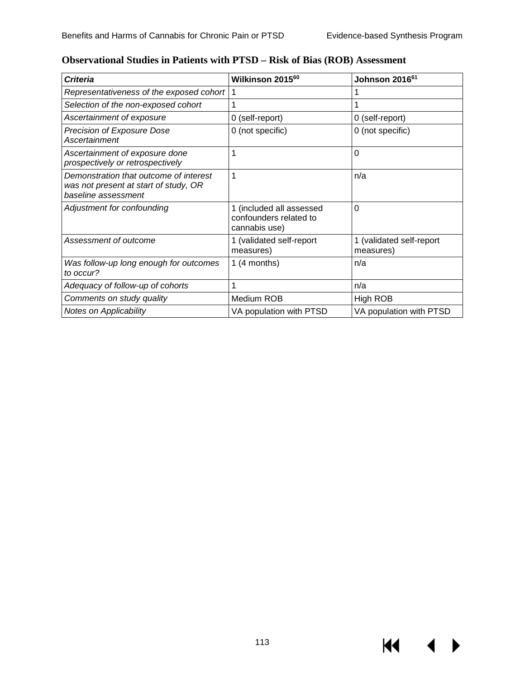KI I

| Criteria                                                                                               | Wilkinson 2015 <sup>60</sup>                                        | Johnson 2016 <sup>61</sup>            |
|--------------------------------------------------------------------------------------------------------|---------------------------------------------------------------------|---------------------------------------|
| Representativeness of the exposed cohort                                                               | 1                                                                   |                                       |
| Selection of the non-exposed cohort                                                                    |                                                                     |                                       |
| Ascertainment of exposure                                                                              | 0 (self-report)                                                     | 0 (self-report)                       |
| Precision of Exposure Dose<br>Ascertainment                                                            | 0 (not specific)                                                    | 0 (not specific)                      |
| Ascertainment of exposure done<br>prospectively or retrospectively                                     | 1                                                                   | $\Omega$                              |
| Demonstration that outcome of interest<br>was not present at start of study, OR<br>baseline assessment | 1                                                                   | n/a                                   |
| Adjustment for confounding                                                                             | 1 (included all assessed<br>confounders related to<br>cannabis use) | $\Omega$                              |
| Assessment of outcome                                                                                  | 1 (validated self-report<br>measures)                               | 1 (validated self-report<br>measures) |
| Was follow-up long enough for outcomes<br>to occur?                                                    | 1 $(4$ months)                                                      | n/a                                   |
| Adequacy of follow-up of cohorts                                                                       |                                                                     | n/a                                   |
| Comments on study quality                                                                              | Medium ROB                                                          | High ROB                              |
| <b>Notes on Applicability</b>                                                                          | VA population with PTSD                                             | VA population with PTSD               |

### **Observational Studies in Patients with PTSD – Risk of Bias (ROB) Assessment**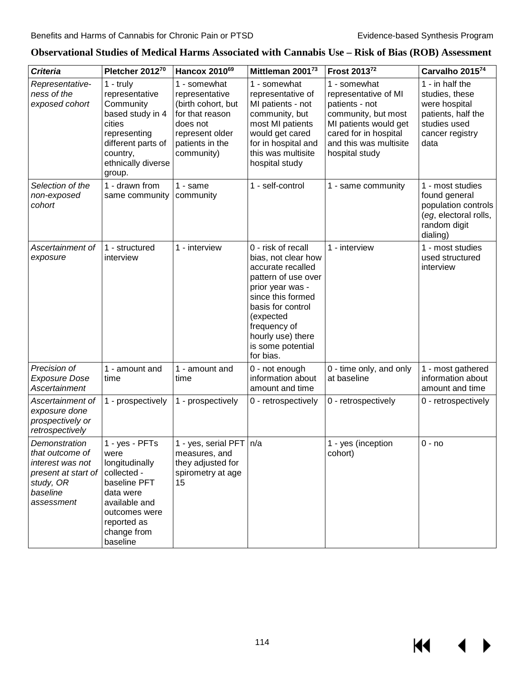KI

ь

| <b>Criteria</b>                                                                                                    | Pletcher 201270                                                                                                                                                  | Hancox 2010 <sup>69</sup>                                                                                                               | Mittleman 2001 <sup>73</sup>                                                                                                                                                                                                            | Frost 2013 <sup>72</sup>                                                                                                                                                    | Carvalho 201574                                                                                                     |
|--------------------------------------------------------------------------------------------------------------------|------------------------------------------------------------------------------------------------------------------------------------------------------------------|-----------------------------------------------------------------------------------------------------------------------------------------|-----------------------------------------------------------------------------------------------------------------------------------------------------------------------------------------------------------------------------------------|-----------------------------------------------------------------------------------------------------------------------------------------------------------------------------|---------------------------------------------------------------------------------------------------------------------|
| Representative-<br>ness of the<br>exposed cohort                                                                   | 1 - truly<br>representative<br>Community<br>based study in 4<br>cities<br>representing<br>different parts of<br>country,<br>ethnically diverse<br>group.         | 1 - somewhat<br>representative<br>(birth cohort, but<br>for that reason<br>does not<br>represent older<br>patients in the<br>community) | 1 - somewhat<br>representative of<br>MI patients - not<br>community, but<br>most MI patients<br>would get cared<br>for in hospital and<br>this was multisite<br>hospital study                                                          | 1 - somewhat<br>representative of MI<br>patients - not<br>community, but most<br>MI patients would get<br>cared for in hospital<br>and this was multisite<br>hospital study | 1 - in half the<br>studies, these<br>were hospital<br>patients, half the<br>studies used<br>cancer registry<br>data |
| Selection of the<br>non-exposed<br>cohort                                                                          | 1 - drawn from<br>same community                                                                                                                                 | $1 - same$<br>community                                                                                                                 | 1 - self-control                                                                                                                                                                                                                        | 1 - same community                                                                                                                                                          | 1 - most studies<br>found general<br>population controls<br>(eg, electoral rolls,<br>random digit<br>dialing)       |
| Ascertainment of<br>exposure                                                                                       | 1 - structured<br>interview                                                                                                                                      | 1 - interview                                                                                                                           | 0 - risk of recall<br>bias, not clear how<br>accurate recalled<br>pattern of use over<br>prior year was -<br>since this formed<br>basis for control<br>(expected<br>frequency of<br>hourly use) there<br>is some potential<br>for bias. | 1 - interview                                                                                                                                                               | 1 - most studies<br>used structured<br>interview                                                                    |
| Precision of<br><b>Exposure Dose</b><br>Ascertainment                                                              | 1 - amount and<br>time                                                                                                                                           | 1 - amount and<br>time                                                                                                                  | 0 - not enough<br>information about<br>amount and time                                                                                                                                                                                  | 0 - time only, and only<br>at baseline                                                                                                                                      | 1 - most gathered<br>information about<br>amount and time                                                           |
| Ascertainment of<br>exposure done<br>prospectively or<br>retrospectively                                           | 1 - prospectively                                                                                                                                                | 1 - prospectively                                                                                                                       | 0 - retrospectively                                                                                                                                                                                                                     | 0 - retrospectively                                                                                                                                                         | 0 - retrospectively                                                                                                 |
| Demonstration<br>that outcome of<br>interest was not<br>present at start of<br>study, OR<br>baseline<br>assessment | 1 - yes - PFTs<br>were<br>longitudinally<br>collected -<br>baseline PFT<br>data were<br>available and<br>outcomes were<br>reported as<br>change from<br>baseline | 1 - yes, serial PFT   n/a<br>measures, and<br>they adjusted for<br>spirometry at age<br>15                                              |                                                                                                                                                                                                                                         | 1 - yes (inception<br>cohort)                                                                                                                                               | $0 - no$                                                                                                            |

### **Observational Studies of Medical Harms Associated with Cannabis Use – Risk of Bias (ROB) Assessment**

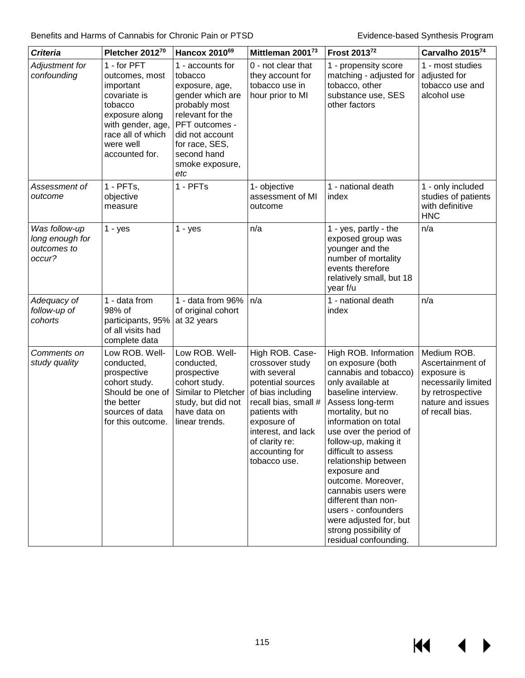| <b>Criteria</b>                                           | Pletcher 201270                                                                                                                                                  | Hancox 2010 <sup>69</sup>                                                                                                                                                                              | Mittleman 200173                                                                                                                                                                                                               | Frost 201372                                                                                                                                                                                                                                                                                                                                                                                                                                                             | Carvalho 201574                                                                                                                   |
|-----------------------------------------------------------|------------------------------------------------------------------------------------------------------------------------------------------------------------------|--------------------------------------------------------------------------------------------------------------------------------------------------------------------------------------------------------|--------------------------------------------------------------------------------------------------------------------------------------------------------------------------------------------------------------------------------|--------------------------------------------------------------------------------------------------------------------------------------------------------------------------------------------------------------------------------------------------------------------------------------------------------------------------------------------------------------------------------------------------------------------------------------------------------------------------|-----------------------------------------------------------------------------------------------------------------------------------|
| Adjustment for<br>confounding                             | 1 - for PFT<br>outcomes, most<br>important<br>covariate is<br>tobacco<br>exposure along<br>with gender, age,<br>race all of which<br>were well<br>accounted for. | 1 - accounts for<br>tobacco<br>exposure, age,<br>gender which are<br>probably most<br>relevant for the<br>PFT outcomes -<br>did not account<br>for race, SES,<br>second hand<br>smoke exposure,<br>etc | 0 - not clear that<br>they account for<br>tobacco use in<br>hour prior to MI                                                                                                                                                   | 1 - propensity score<br>matching - adjusted for<br>tobacco, other<br>substance use, SES<br>other factors                                                                                                                                                                                                                                                                                                                                                                 | 1 - most studies<br>adjusted for<br>tobacco use and<br>alcohol use                                                                |
| Assessment of<br>outcome                                  | 1 - PFTs,<br>objective<br>measure                                                                                                                                | 1 - PFTs                                                                                                                                                                                               | 1- objective<br>assessment of MI<br>outcome                                                                                                                                                                                    | 1 - national death<br>index                                                                                                                                                                                                                                                                                                                                                                                                                                              | 1 - only included<br>studies of patients<br>with definitive<br><b>HNC</b>                                                         |
| Was follow-up<br>long enough for<br>outcomes to<br>occur? | $1 - yes$                                                                                                                                                        | $1 - yes$                                                                                                                                                                                              | n/a                                                                                                                                                                                                                            | 1 - yes, partly - the<br>exposed group was<br>younger and the<br>number of mortality<br>events therefore<br>relatively small, but 18<br>year f/u                                                                                                                                                                                                                                                                                                                         | n/a                                                                                                                               |
| Adequacy of<br>follow-up of<br>cohorts                    | 1 - data from<br>98% of<br>participants, 95%<br>of all visits had<br>complete data                                                                               | 1 - data from 96%<br>of original cohort<br>at 32 years                                                                                                                                                 | n/a                                                                                                                                                                                                                            | 1 - national death<br>index                                                                                                                                                                                                                                                                                                                                                                                                                                              | n/a                                                                                                                               |
| Comments on<br>study quality                              | Low ROB. Well-<br>conducted,<br>prospective<br>cohort study.<br>Should be one of<br>the better<br>sources of data<br>for this outcome.                           | Low ROB. Well-<br>conducted,<br>prospective<br>cohort study.<br>Similar to Pletcher<br>study, but did not<br>have data on<br>linear trends.                                                            | High ROB. Case-<br>crossover study<br>with several<br>potential sources<br>of bias including<br>recall bias, small #<br>patients with<br>exposure of<br>interest, and lack<br>of clarity re:<br>accounting for<br>tobacco use. | High ROB. Information<br>on exposure (both<br>cannabis and tobacco)<br>only available at<br>baseline interview.<br>Assess long-term<br>mortality, but no<br>information on total<br>use over the period of<br>follow-up, making it<br>difficult to assess<br>relationship between<br>exposure and<br>outcome. Moreover,<br>cannabis users were<br>different than non-<br>users - confounders<br>were adjusted for, but<br>strong possibility of<br>residual confounding. | Medium ROB.<br>Ascertainment of<br>exposure is<br>necessarily limited<br>by retrospective<br>nature and issues<br>of recall bias. |

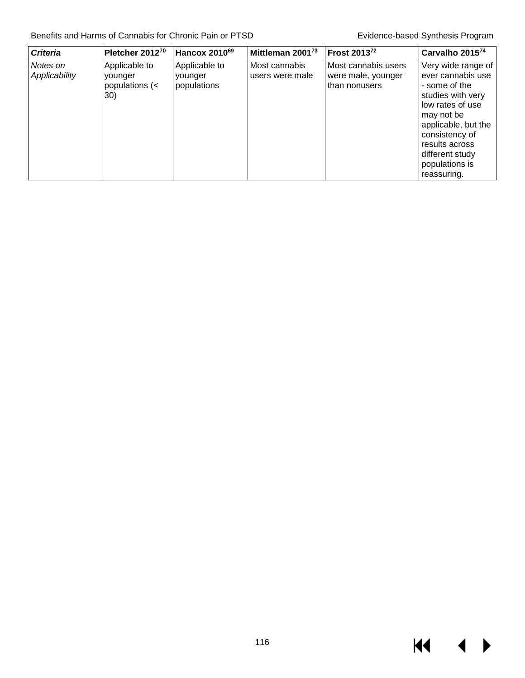| <b>Criteria</b>           | Pletcher 201270                                           | Hancox 2010 <sup>69</sup>               | Mittleman 2001 <sup>73</sup>     | Frost 2013 <sup>72</sup>                                   | Carvalho 201574                                                                                                                                                                                                                |
|---------------------------|-----------------------------------------------------------|-----------------------------------------|----------------------------------|------------------------------------------------------------|--------------------------------------------------------------------------------------------------------------------------------------------------------------------------------------------------------------------------------|
| Notes on<br>Applicability | Applicable to<br>vounger<br>populations $\left($ <<br>30) | Applicable to<br>vounger<br>populations | Most cannabis<br>users were male | Most cannabis users<br>were male, younger<br>than nonusers | Very wide range of<br>ever cannabis use<br>- some of the<br>studies with very<br>low rates of use<br>may not be<br>applicable, but the<br>consistency of<br>results across<br>different study<br>populations is<br>reassuring. |

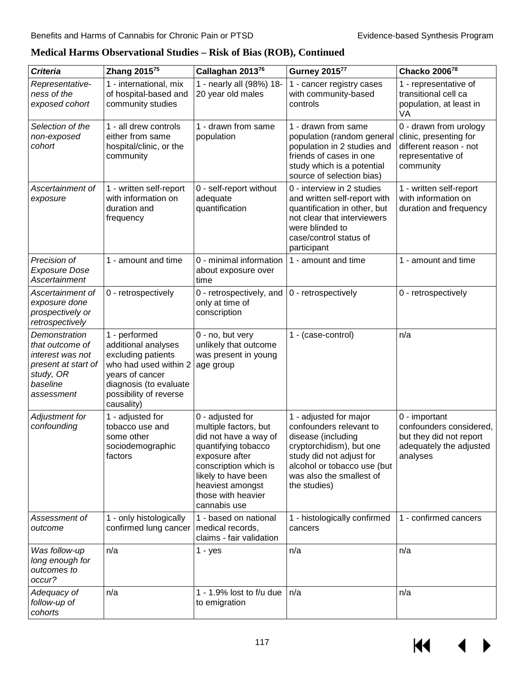| <b>Criteria</b>                                                                                                    | Zhang 2015 <sup>75</sup>                                                                                                                                                 | Callaghan 201376                                                                                                                                                                                                      | <b>Gurney 201577</b>                                                                                                                                                                                       | Chacko 200678                                                                                                |
|--------------------------------------------------------------------------------------------------------------------|--------------------------------------------------------------------------------------------------------------------------------------------------------------------------|-----------------------------------------------------------------------------------------------------------------------------------------------------------------------------------------------------------------------|------------------------------------------------------------------------------------------------------------------------------------------------------------------------------------------------------------|--------------------------------------------------------------------------------------------------------------|
| Representative-<br>ness of the<br>exposed cohort                                                                   | 1 - international, mix<br>of hospital-based and<br>community studies                                                                                                     | 1 - nearly all (98%) 18-<br>20 year old males                                                                                                                                                                         | 1 - cancer registry cases<br>with community-based<br>controls                                                                                                                                              | 1 - representative of<br>transitional cell ca<br>population, at least in<br>VA                               |
| Selection of the<br>non-exposed<br>cohort                                                                          | 1 - all drew controls<br>either from same<br>hospital/clinic, or the<br>community                                                                                        | 1 - drawn from same<br>population                                                                                                                                                                                     | 1 - drawn from same<br>population (random general<br>population in 2 studies and<br>friends of cases in one<br>study which is a potential<br>source of selection bias)                                     | 0 - drawn from urology<br>clinic, presenting for<br>different reason - not<br>representative of<br>community |
| Ascertainment of<br>exposure                                                                                       | 1 - written self-report<br>with information on<br>duration and<br>frequency                                                                                              | 0 - self-report without<br>adequate<br>quantification                                                                                                                                                                 | 0 - interview in 2 studies<br>and written self-report with<br>quantification in other, but<br>not clear that interviewers<br>were blinded to<br>case/control status of<br>participant                      | 1 - written self-report<br>with information on<br>duration and frequency                                     |
| Precision of<br><b>Exposure Dose</b><br>Ascertainment                                                              | 1 - amount and time                                                                                                                                                      | 0 - minimal information<br>about exposure over<br>time                                                                                                                                                                | 1 - amount and time                                                                                                                                                                                        | 1 - amount and time                                                                                          |
| Ascertainment of<br>exposure done<br>prospectively or<br>retrospectively                                           | 0 - retrospectively                                                                                                                                                      | 0 - retrospectively, and<br>only at time of<br>conscription                                                                                                                                                           | 0 - retrospectively                                                                                                                                                                                        | 0 - retrospectively                                                                                          |
| Demonstration<br>that outcome of<br>interest was not<br>present at start of<br>study, OR<br>baseline<br>assessment | 1 - performed<br>additional analyses<br>excluding patients<br>who had used within 2<br>years of cancer<br>diagnosis (to evaluate<br>possibility of reverse<br>causality) | 0 - no, but very<br>unlikely that outcome<br>was present in young<br>age group                                                                                                                                        | 1 - (case-control)                                                                                                                                                                                         | n/a                                                                                                          |
| Adjustment for<br>confounding                                                                                      | 1 - adjusted for<br>tobacco use and<br>some other<br>sociodemographic<br>factors                                                                                         | 0 - adjusted for<br>multiple factors, but<br>did not have a way of<br>quantifying tobacco<br>exposure after<br>conscription which is<br>likely to have been<br>heaviest amongst<br>those with heavier<br>cannabis use | 1 - adjusted for major<br>confounders relevant to<br>disease (including<br>cryptorchidism), but one<br>study did not adjust for<br>alcohol or tobacco use (but<br>was also the smallest of<br>the studies) | 0 - important<br>confounders considered,<br>but they did not report<br>adequately the adjusted<br>analyses   |
| Assessment of<br>outcome                                                                                           | 1 - only histologically<br>confirmed lung cancer                                                                                                                         | 1 - based on national<br>medical records,<br>claims - fair validation                                                                                                                                                 | 1 - histologically confirmed<br>cancers                                                                                                                                                                    | 1 - confirmed cancers                                                                                        |
| Was follow-up<br>long enough for<br>outcomes to<br>occur?                                                          | n/a                                                                                                                                                                      | $1 - yes$                                                                                                                                                                                                             | n/a                                                                                                                                                                                                        | n/a                                                                                                          |
| Adequacy of<br>follow-up of<br>cohorts                                                                             | n/a                                                                                                                                                                      | 1 - 1.9% lost to $f/u$ due<br>to emigration                                                                                                                                                                           | n/a                                                                                                                                                                                                        | n/a                                                                                                          |

**Medical Harms Observational Studies – Risk of Bias (ROB), Continued**

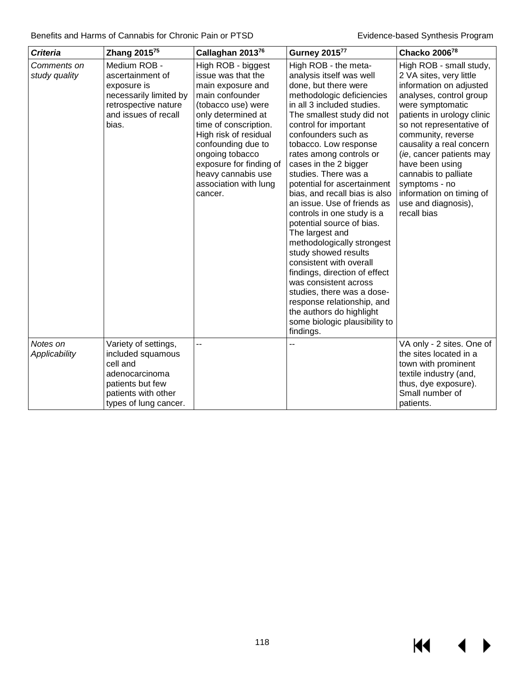$M \rightarrow$ 

| <b>Criteria</b>              | Zhang 2015 <sup>75</sup>                                                                                                                    | Callaghan 201376                                                                                                                                                                                                                                                                                             | <b>Gurney 201577</b>                                                                                                                                                                                                                                                                                                                                                                                                                                                                                                                                                                                                                                                                                                                                                                 | Chacko 200678                                                                                                                                                                                                                                                                                                                                                                                      |
|------------------------------|---------------------------------------------------------------------------------------------------------------------------------------------|--------------------------------------------------------------------------------------------------------------------------------------------------------------------------------------------------------------------------------------------------------------------------------------------------------------|--------------------------------------------------------------------------------------------------------------------------------------------------------------------------------------------------------------------------------------------------------------------------------------------------------------------------------------------------------------------------------------------------------------------------------------------------------------------------------------------------------------------------------------------------------------------------------------------------------------------------------------------------------------------------------------------------------------------------------------------------------------------------------------|----------------------------------------------------------------------------------------------------------------------------------------------------------------------------------------------------------------------------------------------------------------------------------------------------------------------------------------------------------------------------------------------------|
| Comments on<br>study quality | Medium ROB -<br>ascertainment of<br>exposure is<br>necessarily limited by<br>retrospective nature<br>and issues of recall<br>bias.          | High ROB - biggest<br>issue was that the<br>main exposure and<br>main confounder<br>(tobacco use) were<br>only determined at<br>time of conscription.<br>High risk of residual<br>confounding due to<br>ongoing tobacco<br>exposure for finding of<br>heavy cannabis use<br>association with lung<br>cancer. | High ROB - the meta-<br>analysis itself was well<br>done, but there were<br>methodologic deficiencies<br>in all 3 included studies.<br>The smallest study did not<br>control for important<br>confounders such as<br>tobacco. Low response<br>rates among controls or<br>cases in the 2 bigger<br>studies. There was a<br>potential for ascertainment<br>bias, and recall bias is also<br>an issue. Use of friends as<br>controls in one study is a<br>potential source of bias.<br>The largest and<br>methodologically strongest<br>study showed results<br>consistent with overall<br>findings, direction of effect<br>was consistent across<br>studies, there was a dose-<br>response relationship, and<br>the authors do highlight<br>some biologic plausibility to<br>findings. | High ROB - small study,<br>2 VA sites, very little<br>information on adjusted<br>analyses, control group<br>were symptomatic<br>patients in urology clinic<br>so not representative of<br>community, reverse<br>causality a real concern<br>(ie, cancer patients may<br>have been using<br>cannabis to palliate<br>symptoms - no<br>information on timing of<br>use and diagnosis),<br>recall bias |
| Notes on<br>Applicability    | Variety of settings,<br>included squamous<br>cell and<br>adenocarcinoma<br>patients but few<br>patients with other<br>types of lung cancer. | --                                                                                                                                                                                                                                                                                                           |                                                                                                                                                                                                                                                                                                                                                                                                                                                                                                                                                                                                                                                                                                                                                                                      | VA only - 2 sites. One of<br>the sites located in a<br>town with prominent<br>textile industry (and,<br>thus, dye exposure).<br>Small number of<br>patients.                                                                                                                                                                                                                                       |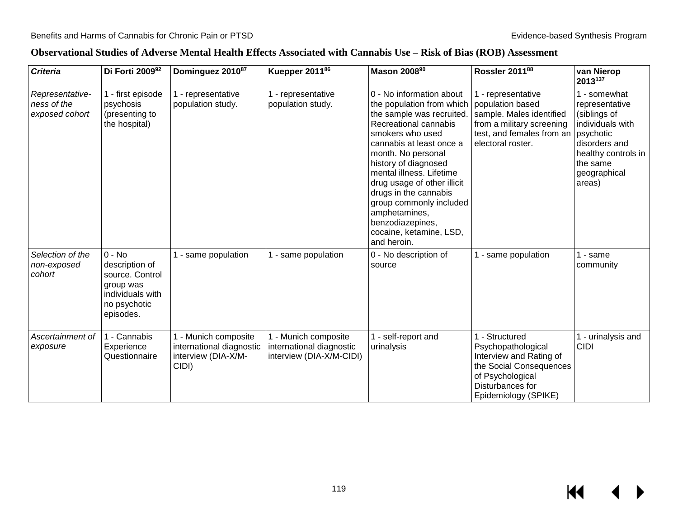### **Observational Studies of Adverse Mental Health Effects Associated with Cannabis Use – Risk of Bias (ROB) Assessment**

| <b>Criteria</b>                                  | Di Forti 200992                                                                                             | Dominguez 2010 <sup>87</sup>                                                     | Kuepper 2011 <sup>86</sup>                                                   | Mason 200890                                                                                                                                                                                                                                                                                                                                                                                            | Rossler 2011 <sup>88</sup>                                                                                                                               | van Nierop<br>2013137                                                                                                                                         |
|--------------------------------------------------|-------------------------------------------------------------------------------------------------------------|----------------------------------------------------------------------------------|------------------------------------------------------------------------------|---------------------------------------------------------------------------------------------------------------------------------------------------------------------------------------------------------------------------------------------------------------------------------------------------------------------------------------------------------------------------------------------------------|----------------------------------------------------------------------------------------------------------------------------------------------------------|---------------------------------------------------------------------------------------------------------------------------------------------------------------|
| Representative-<br>ness of the<br>exposed cohort | 1 - first episode<br>psychosis<br>(presenting to<br>the hospital)                                           | 1 - representative<br>population study.                                          | 1 - representative<br>population study.                                      | 0 - No information about<br>the population from which<br>the sample was recruited.<br>Recreational cannabis<br>smokers who used<br>cannabis at least once a<br>month. No personal<br>history of diagnosed<br>mental illness. Lifetime<br>drug usage of other illicit<br>drugs in the cannabis<br>group commonly included<br>amphetamines,<br>benzodiazepines,<br>cocaine, ketamine, LSD,<br>and heroin. | 1 - representative<br>population based<br>sample. Males identified<br>from a military screening<br>test, and females from an<br>electoral roster.        | 1 - somewhat<br>representative<br>(siblings of<br>individuals with<br>psychotic<br>disorders and<br>healthy controls in<br>the same<br>geographical<br>areas) |
| Selection of the<br>non-exposed<br>cohort        | $0 - No$<br>description of<br>source. Control<br>group was<br>individuals with<br>no psychotic<br>episodes. | 1 - same population                                                              | - same population                                                            | 0 - No description of<br>source                                                                                                                                                                                                                                                                                                                                                                         | - same population                                                                                                                                        | - same<br>community                                                                                                                                           |
| Ascertainment of<br>exposure                     | 1 - Cannabis<br>Experience<br>Questionnaire                                                                 | 1 - Munich composite<br>international diagnostic<br>interview (DIA-X/M-<br>CIDI) | 1 - Munich composite<br>international diagnostic<br>interview (DIA-X/M-CIDI) | - self-report and<br>urinalysis                                                                                                                                                                                                                                                                                                                                                                         | - Structured<br>Psychopathological<br>Interview and Rating of<br>the Social Consequences<br>of Psychological<br>Disturbances for<br>Epidemiology (SPIKE) | - urinalysis and<br><b>CIDI</b>                                                                                                                               |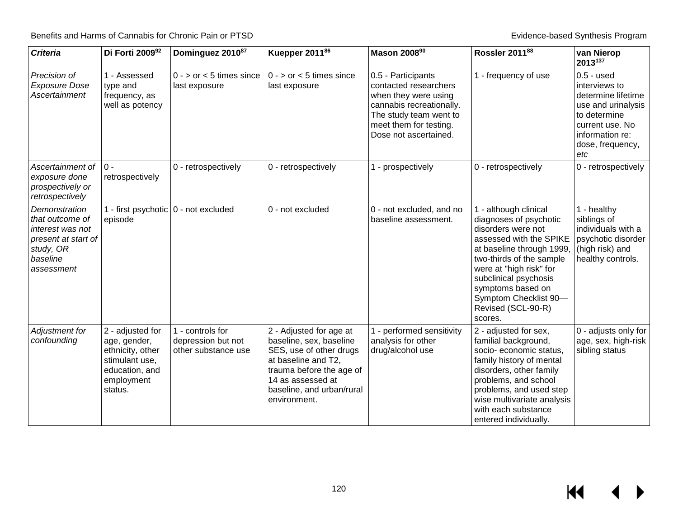$M$ 

 $\blacktriangleright$ 

| <b>Criteria</b>                                                                                                    | Di Forti 200992                                                                                                   | Dominguez 201087                                              | Kuepper 2011 <sup>86</sup>                                                                                                                                                                         | Mason 2008 <sup>90</sup>                                                                                                                                                     | Rossler 201188                                                                                                                                                                                                                                                                               | van Nierop<br>2013137                                                                                                                                      |
|--------------------------------------------------------------------------------------------------------------------|-------------------------------------------------------------------------------------------------------------------|---------------------------------------------------------------|----------------------------------------------------------------------------------------------------------------------------------------------------------------------------------------------------|------------------------------------------------------------------------------------------------------------------------------------------------------------------------------|----------------------------------------------------------------------------------------------------------------------------------------------------------------------------------------------------------------------------------------------------------------------------------------------|------------------------------------------------------------------------------------------------------------------------------------------------------------|
| Precision of<br><b>Exposure Dose</b><br>Ascertainment                                                              | 1 - Assessed<br>type and<br>frequency, as<br>well as potency                                                      | $0 -$ > or < 5 times since<br>last exposure                   | $0 -$ > or < 5 times since<br>last exposure                                                                                                                                                        | 0.5 - Participants<br>contacted researchers<br>when they were using<br>cannabis recreationally.<br>The study team went to<br>meet them for testing.<br>Dose not ascertained. | 1 - frequency of use                                                                                                                                                                                                                                                                         | $0.5 -$ used<br>interviews to<br>determine lifetime<br>use and urinalysis<br>to determine<br>current use. No<br>information re:<br>dose, frequency,<br>etc |
| Ascertainment of<br>exposure done<br>prospectively or<br>retrospectively                                           | $0 -$<br>retrospectively                                                                                          | 0 - retrospectively                                           | 0 - retrospectively                                                                                                                                                                                | 1 - prospectively                                                                                                                                                            | 0 - retrospectively                                                                                                                                                                                                                                                                          | 0 - retrospectively                                                                                                                                        |
| Demonstration<br>that outcome of<br>interest was not<br>present at start of<br>study, OR<br>baseline<br>assessment | 1 - first psychotic   0 - not excluded<br>episode                                                                 |                                                               | 0 - not excluded                                                                                                                                                                                   | 0 - not excluded, and no<br>baseline assessment.                                                                                                                             | 1 - although clinical<br>diagnoses of psychotic<br>disorders were not<br>assessed with the SPIKE<br>at baseline through 1999.<br>two-thirds of the sample<br>were at "high risk" for<br>subclinical psychosis<br>symptoms based on<br>Symptom Checklist 90-<br>Revised (SCL-90-R)<br>scores. | $1 -$ healthy<br>siblings of<br>individuals with a<br>psychotic disorder<br>(high risk) and<br>healthy controls.                                           |
| Adjustment for<br>confounding                                                                                      | 2 - adjusted for<br>age, gender,<br>ethnicity, other<br>stimulant use,<br>education, and<br>employment<br>status. | 1 - controls for<br>depression but not<br>other substance use | 2 - Adjusted for age at<br>baseline, sex, baseline<br>SES, use of other drugs<br>at baseline and T2,<br>trauma before the age of<br>14 as assessed at<br>baseline, and urban/rural<br>environment. | - performed sensitivity<br>analysis for other<br>drug/alcohol use                                                                                                            | 2 - adjusted for sex,<br>familial background,<br>socio- economic status,<br>family history of mental<br>disorders, other family<br>problems, and school<br>problems, and used step<br>wise multivariate analysis<br>with each substance<br>entered individually.                             | 0 - adjusts only for<br>age, sex, high-risk<br>sibling status                                                                                              |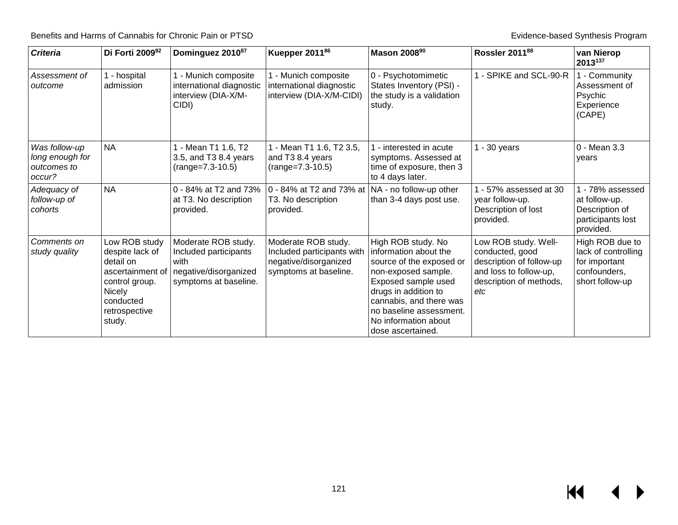| <b>Criteria</b>                                           | Di Forti 200992                                                                                                                       | Dominguez 201087                                                                                       | Kuepper 2011 <sup>86</sup>                                                                          | Mason 2008 <sup>90</sup>                                                                                                                                                                                                                         | Rossler 201188                                                                                                                  | van Nierop<br>2013137                                                                      |
|-----------------------------------------------------------|---------------------------------------------------------------------------------------------------------------------------------------|--------------------------------------------------------------------------------------------------------|-----------------------------------------------------------------------------------------------------|--------------------------------------------------------------------------------------------------------------------------------------------------------------------------------------------------------------------------------------------------|---------------------------------------------------------------------------------------------------------------------------------|--------------------------------------------------------------------------------------------|
| Assessment of<br>outcome                                  | 1 - hospital<br>admission                                                                                                             | 1 - Munich composite<br>international diagnostic<br>interview (DIA-X/M-<br>CIDI)                       | 1 - Munich composite<br>international diagnostic<br>interview (DIA-X/M-CIDI)                        | 0 - Psychotomimetic<br>States Inventory (PSI) -<br>the study is a validation<br>study.                                                                                                                                                           | - SPIKE and SCL-90-R                                                                                                            | 1 - Community<br>Assessment of<br>Psychic<br>Experience<br>(CAPE)                          |
| Was follow-up<br>long enough for<br>outcomes to<br>occur? | <b>NA</b>                                                                                                                             | - Mean T1 1.6, T2<br>3.5, and T3 8.4 years<br>$(range=7.3-10.5)$                                       | 1 - Mean T1 1.6, T2 3.5,<br>and T3 8.4 years<br>$(range=7.3-10.5)$                                  | - interested in acute<br>symptoms. Assessed at<br>time of exposure, then 3<br>to 4 days later.                                                                                                                                                   | $-30$ years                                                                                                                     | 0 - Mean 3.3<br>years                                                                      |
| Adequacy of<br>follow-up of<br>cohorts                    | <b>NA</b>                                                                                                                             | 0 - 84% at T2 and 73%<br>at T3. No description<br>provided.                                            | 0 - 84% at T2 and 73% at   NA - no follow-up other<br>T3. No description<br>provided.               | than 3-4 days post use.                                                                                                                                                                                                                          | - 57% assessed at 30<br>year follow-up.<br>Description of lost<br>provided.                                                     | 1 - 78% assessed<br>at follow-up.<br>Description of<br>participants lost<br>provided.      |
| Comments on<br>study quality                              | Low ROB study<br>despite lack of<br>detail on<br>ascertainment of<br>control group.<br>Nicely<br>conducted<br>retrospective<br>study. | Moderate ROB study.<br>Included participants<br>with<br>negative/disorganized<br>symptoms at baseline. | Moderate ROB study.<br>Included participants with<br>negative/disorganized<br>symptoms at baseline. | High ROB study. No<br>information about the<br>source of the exposed or<br>non-exposed sample.<br>Exposed sample used<br>drugs in addition to<br>cannabis, and there was<br>no baseline assessment.<br>No information about<br>dose ascertained. | Low ROB study. Well-<br>conducted, good<br>description of follow-up<br>and loss to follow-up,<br>description of methods,<br>etc | High ROB due to<br>lack of controlling<br>for important<br>confounders,<br>short follow-up |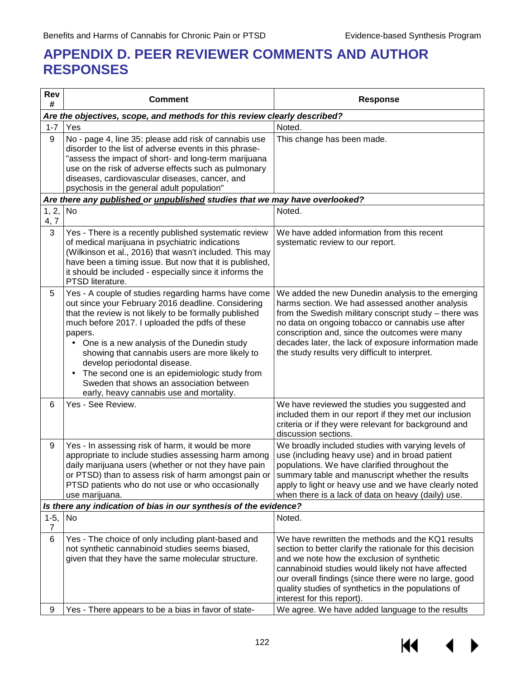# **APPENDIX D. PEER REVIEWER COMMENTS AND AUTHOR RESPONSES**

| We have added information from this recent                                                                                                                                                                                                                                                                                                                                            |
|---------------------------------------------------------------------------------------------------------------------------------------------------------------------------------------------------------------------------------------------------------------------------------------------------------------------------------------------------------------------------------------|
| We added the new Dunedin analysis to the emerging<br>harms section. We had assessed another analysis<br>from the Swedish military conscript study - there was<br>no data on ongoing tobacco or cannabis use after<br>conscription and, since the outcomes were many<br>decades later, the lack of exposure information made<br>the study results very difficult to interpret.         |
| We have reviewed the studies you suggested and<br>included them in our report if they met our inclusion<br>criteria or if they were relevant for background and                                                                                                                                                                                                                       |
| We broadly included studies with varying levels of<br>use (including heavy use) and in broad patient<br>populations. We have clarified throughout the<br>summary table and manuscript whether the results<br>apply to light or heavy use and we have clearly noted<br>when there is a lack of data on heavy (daily) use.                                                              |
|                                                                                                                                                                                                                                                                                                                                                                                       |
|                                                                                                                                                                                                                                                                                                                                                                                       |
| We have rewritten the methods and the KQ1 results<br>section to better clarify the rationale for this decision<br>and we note how the exclusion of synthetic<br>cannabinoid studies would likely not have affected<br>our overall findings (since there were no large, good<br>quality studies of synthetics in the populations of<br>We agree. We have added language to the results |
|                                                                                                                                                                                                                                                                                                                                                                                       |

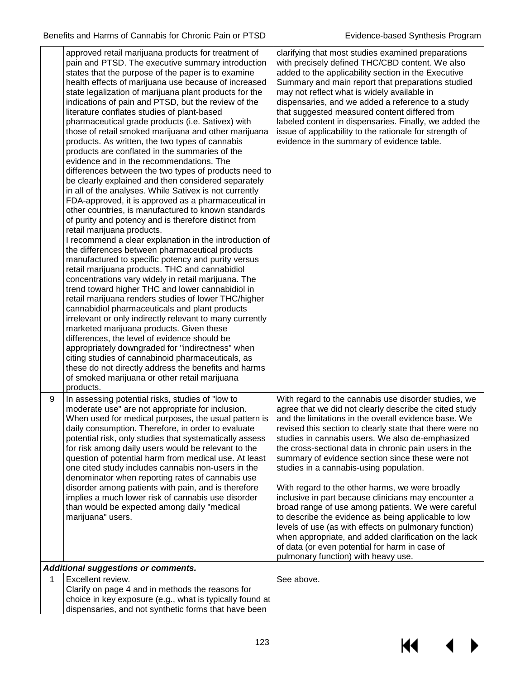|   | approved retail marijuana products for treatment of<br>pain and PTSD. The executive summary introduction<br>states that the purpose of the paper is to examine<br>health effects of marijuana use because of increased<br>state legalization of marijuana plant products for the<br>indications of pain and PTSD, but the review of the<br>literature conflates studies of plant-based<br>pharmaceutical grade products (i.e. Sativex) with<br>those of retail smoked marijuana and other marijuana<br>products. As written, the two types of cannabis<br>products are conflated in the summaries of the<br>evidence and in the recommendations. The<br>differences between the two types of products need to<br>be clearly explained and then considered separately<br>in all of the analyses. While Sativex is not currently<br>FDA-approved, it is approved as a pharmaceutical in<br>other countries, is manufactured to known standards<br>of purity and potency and is therefore distinct from<br>retail marijuana products.<br>I recommend a clear explanation in the introduction of<br>the differences between pharmaceutical products<br>manufactured to specific potency and purity versus<br>retail marijuana products. THC and cannabidiol<br>concentrations vary widely in retail marijuana. The<br>trend toward higher THC and lower cannabidiol in<br>retail marijuana renders studies of lower THC/higher<br>cannabidiol pharmaceuticals and plant products<br>irrelevant or only indirectly relevant to many currently<br>marketed marijuana products. Given these<br>differences, the level of evidence should be<br>appropriately downgraded for "indirectness" when<br>citing studies of cannabinoid pharmaceuticals, as<br>these do not directly address the benefits and harms<br>of smoked marijuana or other retail marijuana<br>products. | clarifying that most studies examined preparations<br>with precisely defined THC/CBD content. We also<br>added to the applicability section in the Executive<br>Summary and main report that preparations studied<br>may not reflect what is widely available in<br>dispensaries, and we added a reference to a study<br>that suggested measured content differed from<br>labeled content in dispensaries. Finally, we added the<br>issue of applicability to the rationale for strength of<br>evidence in the summary of evidence table.                                                                                                                                                                                                                                                                                                  |
|---|---------------------------------------------------------------------------------------------------------------------------------------------------------------------------------------------------------------------------------------------------------------------------------------------------------------------------------------------------------------------------------------------------------------------------------------------------------------------------------------------------------------------------------------------------------------------------------------------------------------------------------------------------------------------------------------------------------------------------------------------------------------------------------------------------------------------------------------------------------------------------------------------------------------------------------------------------------------------------------------------------------------------------------------------------------------------------------------------------------------------------------------------------------------------------------------------------------------------------------------------------------------------------------------------------------------------------------------------------------------------------------------------------------------------------------------------------------------------------------------------------------------------------------------------------------------------------------------------------------------------------------------------------------------------------------------------------------------------------------------------------------------------------------------------------------------------------------------------------------------------|--------------------------------------------------------------------------------------------------------------------------------------------------------------------------------------------------------------------------------------------------------------------------------------------------------------------------------------------------------------------------------------------------------------------------------------------------------------------------------------------------------------------------------------------------------------------------------------------------------------------------------------------------------------------------------------------------------------------------------------------------------------------------------------------------------------------------------------------|
| 9 | In assessing potential risks, studies of "low to<br>moderate use" are not appropriate for inclusion.<br>When used for medical purposes, the usual pattern is<br>daily consumption. Therefore, in order to evaluate<br>potential risk, only studies that systematically assess<br>for risk among daily users would be relevant to the<br>question of potential harm from medical use. At least<br>one cited study includes cannabis non-users in the<br>denominator when reporting rates of cannabis use<br>disorder among patients with pain, and is therefore<br>implies a much lower risk of cannabis use disorder<br>than would be expected among daily "medical<br>marijuana" users.                                                                                                                                                                                                                                                                                                                                                                                                                                                                                                                                                                                                                                                                                                                                                                                                                                                                                                                                                                                                                                                                                                                                                                            | With regard to the cannabis use disorder studies, we<br>agree that we did not clearly describe the cited study<br>and the limitations in the overall evidence base. We<br>revised this section to clearly state that there were no<br>studies in cannabis users. We also de-emphasized<br>the cross-sectional data in chronic pain users in the<br>summary of evidence section since these were not<br>studies in a cannabis-using population.<br>With regard to the other harms, we were broadly<br>inclusive in part because clinicians may encounter a<br>broad range of use among patients. We were careful<br>to describe the evidence as being applicable to low<br>levels of use (as with effects on pulmonary function)<br>when appropriate, and added clarification on the lack<br>of data (or even potential for harm in case of |
|   |                                                                                                                                                                                                                                                                                                                                                                                                                                                                                                                                                                                                                                                                                                                                                                                                                                                                                                                                                                                                                                                                                                                                                                                                                                                                                                                                                                                                                                                                                                                                                                                                                                                                                                                                                                                                                                                                     | pulmonary function) with heavy use.                                                                                                                                                                                                                                                                                                                                                                                                                                                                                                                                                                                                                                                                                                                                                                                                        |
|   | <b>Additional suggestions or comments.</b>                                                                                                                                                                                                                                                                                                                                                                                                                                                                                                                                                                                                                                                                                                                                                                                                                                                                                                                                                                                                                                                                                                                                                                                                                                                                                                                                                                                                                                                                                                                                                                                                                                                                                                                                                                                                                          |                                                                                                                                                                                                                                                                                                                                                                                                                                                                                                                                                                                                                                                                                                                                                                                                                                            |
| 1 | Excellent review.<br>Clarify on page 4 and in methods the reasons for                                                                                                                                                                                                                                                                                                                                                                                                                                                                                                                                                                                                                                                                                                                                                                                                                                                                                                                                                                                                                                                                                                                                                                                                                                                                                                                                                                                                                                                                                                                                                                                                                                                                                                                                                                                               | See above.                                                                                                                                                                                                                                                                                                                                                                                                                                                                                                                                                                                                                                                                                                                                                                                                                                 |
|   | choice in key exposure (e.g., what is typically found at                                                                                                                                                                                                                                                                                                                                                                                                                                                                                                                                                                                                                                                                                                                                                                                                                                                                                                                                                                                                                                                                                                                                                                                                                                                                                                                                                                                                                                                                                                                                                                                                                                                                                                                                                                                                            |                                                                                                                                                                                                                                                                                                                                                                                                                                                                                                                                                                                                                                                                                                                                                                                                                                            |
|   | dispensaries, and not synthetic forms that have been                                                                                                                                                                                                                                                                                                                                                                                                                                                                                                                                                                                                                                                                                                                                                                                                                                                                                                                                                                                                                                                                                                                                                                                                                                                                                                                                                                                                                                                                                                                                                                                                                                                                                                                                                                                                                |                                                                                                                                                                                                                                                                                                                                                                                                                                                                                                                                                                                                                                                                                                                                                                                                                                            |

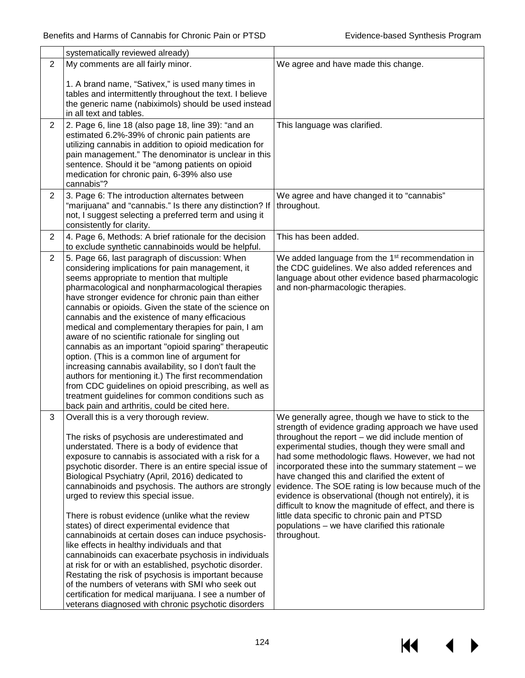|                | systematically reviewed already)                                                                                                                                                                                                                                                                                                                                                                                                                                                                                                                                                                                                                                                                                                                                                                                                                                                                                                                                           |                                                                                                                                                                                                                                                                                                                                                                                                                                                                                                                                                                                                                                                                                |
|----------------|----------------------------------------------------------------------------------------------------------------------------------------------------------------------------------------------------------------------------------------------------------------------------------------------------------------------------------------------------------------------------------------------------------------------------------------------------------------------------------------------------------------------------------------------------------------------------------------------------------------------------------------------------------------------------------------------------------------------------------------------------------------------------------------------------------------------------------------------------------------------------------------------------------------------------------------------------------------------------|--------------------------------------------------------------------------------------------------------------------------------------------------------------------------------------------------------------------------------------------------------------------------------------------------------------------------------------------------------------------------------------------------------------------------------------------------------------------------------------------------------------------------------------------------------------------------------------------------------------------------------------------------------------------------------|
| $\overline{2}$ | My comments are all fairly minor.                                                                                                                                                                                                                                                                                                                                                                                                                                                                                                                                                                                                                                                                                                                                                                                                                                                                                                                                          | We agree and have made this change.                                                                                                                                                                                                                                                                                                                                                                                                                                                                                                                                                                                                                                            |
|                | 1. A brand name, "Sativex," is used many times in<br>tables and intermittently throughout the text. I believe<br>the generic name (nabiximols) should be used instead<br>in all text and tables.                                                                                                                                                                                                                                                                                                                                                                                                                                                                                                                                                                                                                                                                                                                                                                           |                                                                                                                                                                                                                                                                                                                                                                                                                                                                                                                                                                                                                                                                                |
| $\overline{2}$ | 2. Page 6, line 18 (also page 18, line 39): "and an<br>estimated 6.2%-39% of chronic pain patients are<br>utilizing cannabis in addition to opioid medication for<br>pain management." The denominator is unclear in this<br>sentence. Should it be "among patients on opioid<br>medication for chronic pain, 6-39% also use<br>cannabis"?                                                                                                                                                                                                                                                                                                                                                                                                                                                                                                                                                                                                                                 | This language was clarified.                                                                                                                                                                                                                                                                                                                                                                                                                                                                                                                                                                                                                                                   |
| $\overline{2}$ | 3. Page 6: The introduction alternates between<br>"marijuana" and "cannabis." Is there any distinction? If<br>not, I suggest selecting a preferred term and using it<br>consistently for clarity.                                                                                                                                                                                                                                                                                                                                                                                                                                                                                                                                                                                                                                                                                                                                                                          | We agree and have changed it to "cannabis"<br>throughout.                                                                                                                                                                                                                                                                                                                                                                                                                                                                                                                                                                                                                      |
| $\overline{2}$ | 4. Page 6, Methods: A brief rationale for the decision<br>to exclude synthetic cannabinoids would be helpful.                                                                                                                                                                                                                                                                                                                                                                                                                                                                                                                                                                                                                                                                                                                                                                                                                                                              | This has been added.                                                                                                                                                                                                                                                                                                                                                                                                                                                                                                                                                                                                                                                           |
| 2              | 5. Page 66, last paragraph of discussion: When<br>considering implications for pain management, it<br>seems appropriate to mention that multiple<br>pharmacological and nonpharmacological therapies<br>have stronger evidence for chronic pain than either<br>cannabis or opioids. Given the state of the science on<br>cannabis and the existence of many efficacious<br>medical and complementary therapies for pain, I am<br>aware of no scientific rationale for singling out<br>cannabis as an important "opioid sparing" therapeutic<br>option. (This is a common line of argument for<br>increasing cannabis availability, so I don't fault the<br>authors for mentioning it.) The first recommendation<br>from CDC guidelines on opioid prescribing, as well as<br>treatment guidelines for common conditions such as<br>back pain and arthritis, could be cited here.                                                                                            | We added language from the 1 <sup>st</sup> recommendation in<br>the CDC guidelines. We also added references and<br>language about other evidence based pharmacologic<br>and non-pharmacologic therapies.                                                                                                                                                                                                                                                                                                                                                                                                                                                                      |
| 3              | Overall this is a very thorough review.<br>The risks of psychosis are underestimated and<br>understated. There is a body of evidence that<br>exposure to cannabis is associated with a risk for a<br>psychotic disorder. There is an entire special issue of<br>Biological Psychiatry (April, 2016) dedicated to<br>cannabinoids and psychosis. The authors are strongly<br>urged to review this special issue.<br>There is robust evidence (unlike what the review<br>states) of direct experimental evidence that<br>cannabinoids at certain doses can induce psychosis-<br>like effects in healthy individuals and that<br>cannabinoids can exacerbate psychosis in individuals<br>at risk for or with an established, psychotic disorder.<br>Restating the risk of psychosis is important because<br>of the numbers of veterans with SMI who seek out<br>certification for medical marijuana. I see a number of<br>veterans diagnosed with chronic psychotic disorders | We generally agree, though we have to stick to the<br>strength of evidence grading approach we have used<br>throughout the report $-$ we did include mention of<br>experimental studies, though they were small and<br>had some methodologic flaws. However, we had not<br>incorporated these into the summary statement $-$ we<br>have changed this and clarified the extent of<br>evidence. The SOE rating is low because much of the<br>evidence is observational (though not entirely), it is<br>difficult to know the magnitude of effect, and there is<br>little data specific to chronic pain and PTSD<br>populations - we have clarified this rationale<br>throughout. |

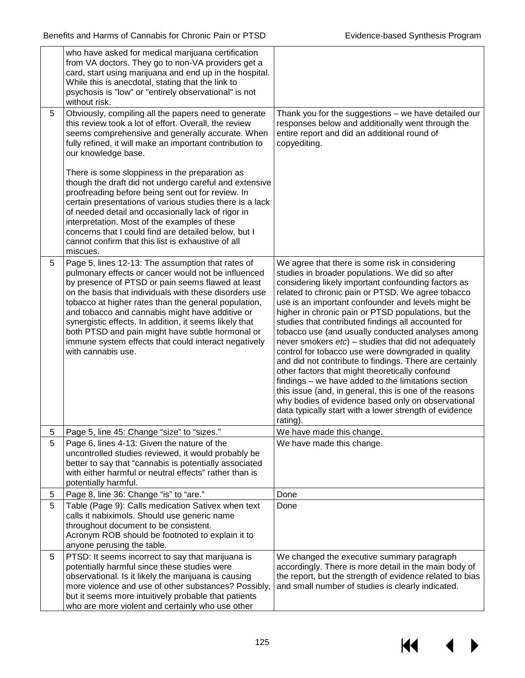|   | who have asked for medical marijuana certification<br>from VA doctors. They go to non-VA providers get a<br>card, start using marijuana and end up in the hospital.<br>While this is anecdotal, stating that the link to<br>psychosis is "low" or "entirely observational" is not<br>without risk.                                                                                                                                                                                                                             |                                                                                                                                                                                                                                                                                                                                                                                                                                                                                                                                                                                                                                                                                                                                                                                                                                                                                                                      |
|---|--------------------------------------------------------------------------------------------------------------------------------------------------------------------------------------------------------------------------------------------------------------------------------------------------------------------------------------------------------------------------------------------------------------------------------------------------------------------------------------------------------------------------------|----------------------------------------------------------------------------------------------------------------------------------------------------------------------------------------------------------------------------------------------------------------------------------------------------------------------------------------------------------------------------------------------------------------------------------------------------------------------------------------------------------------------------------------------------------------------------------------------------------------------------------------------------------------------------------------------------------------------------------------------------------------------------------------------------------------------------------------------------------------------------------------------------------------------|
| 5 | Obviously, compiling all the papers need to generate<br>this review took a lot of effort. Overall, the review<br>seems comprehensive and generally accurate. When<br>fully refined, it will make an important contribution to<br>our knowledge base.                                                                                                                                                                                                                                                                           | Thank you for the suggestions - we have detailed our<br>responses below and additionally went through the<br>entire report and did an additional round of<br>copyediting.                                                                                                                                                                                                                                                                                                                                                                                                                                                                                                                                                                                                                                                                                                                                            |
|   | There is some sloppiness in the preparation as<br>though the draft did not undergo careful and extensive<br>proofreading before being sent out for review. In<br>certain presentations of various studies there is a lack<br>of needed detail and occasionally lack of rigor in<br>interpretation. Most of the examples of these<br>concerns that I could find are detailed below, but I<br>cannot confirm that this list is exhaustive of all<br>miscues.                                                                     |                                                                                                                                                                                                                                                                                                                                                                                                                                                                                                                                                                                                                                                                                                                                                                                                                                                                                                                      |
| 5 | Page 5, lines 12-13: The assumption that rates of<br>pulmonary effects or cancer would not be influenced<br>by presence of PTSD or pain seems flawed at least<br>on the basis that individuals with these disorders use<br>tobacco at higher rates than the general population,<br>and tobacco and cannabis might have additive or<br>synergistic effects. In addition, it seems likely that<br>both PTSD and pain might have subtle hormonal or<br>immune system effects that could interact negatively<br>with cannabis use. | We agree that there is some risk in considering<br>studies in broader populations. We did so after<br>considering likely important confounding factors as<br>related to chronic pain or PTSD. We agree tobacco<br>use is an important confounder and levels might be<br>higher in chronic pain or PTSD populations, but the<br>studies that contributed findings all accounted for<br>tobacco use (and usually conducted analyses among<br>never smokers $etc$ ) – studies that did not adequately<br>control for tobacco use were downgraded in quality<br>and did not contribute to findings. There are certainly<br>other factors that might theoretically confound<br>findings – we have added to the limitations section<br>this issue (and, in general, this is one of the reasons<br>why bodies of evidence based only on observational<br>data typically start with a lower strength of evidence<br>rating). |
| 5 | Page 5, line 45: Change "size" to "sizes."                                                                                                                                                                                                                                                                                                                                                                                                                                                                                     | We have made this change.                                                                                                                                                                                                                                                                                                                                                                                                                                                                                                                                                                                                                                                                                                                                                                                                                                                                                            |
| 5 | Page 6, lines 4-13: Given the nature of the<br>uncontrolled studies reviewed, it would probably be<br>better to say that "cannabis is potentially associated<br>with either harmful or neutral effects" rather than is<br>potentially harmful.                                                                                                                                                                                                                                                                                 | We have made this change.                                                                                                                                                                                                                                                                                                                                                                                                                                                                                                                                                                                                                                                                                                                                                                                                                                                                                            |
| 5 | Page 8, line 36: Change "is" to "are."                                                                                                                                                                                                                                                                                                                                                                                                                                                                                         | Done                                                                                                                                                                                                                                                                                                                                                                                                                                                                                                                                                                                                                                                                                                                                                                                                                                                                                                                 |
| 5 | Table (Page 9): Calls medication Sativex when text<br>calls it nabiximols. Should use generic name<br>throughout document to be consistent.<br>Acronym ROB should be footnoted to explain it to<br>anyone perusing the table.                                                                                                                                                                                                                                                                                                  | Done                                                                                                                                                                                                                                                                                                                                                                                                                                                                                                                                                                                                                                                                                                                                                                                                                                                                                                                 |
| 5 | PTSD: It seems incorrect to say that marijuana is<br>potentially harmful since these studies were<br>observational. Is it likely the marijuana is causing<br>more violence and use of other substances? Possibly,<br>but it seems more intuitively probable that patients<br>who are more violent and certainly who use other                                                                                                                                                                                                  | We changed the executive summary paragraph<br>accordingly. There is more detail in the main body of<br>the report, but the strength of evidence related to bias<br>and small number of studies is clearly indicated.                                                                                                                                                                                                                                                                                                                                                                                                                                                                                                                                                                                                                                                                                                 |

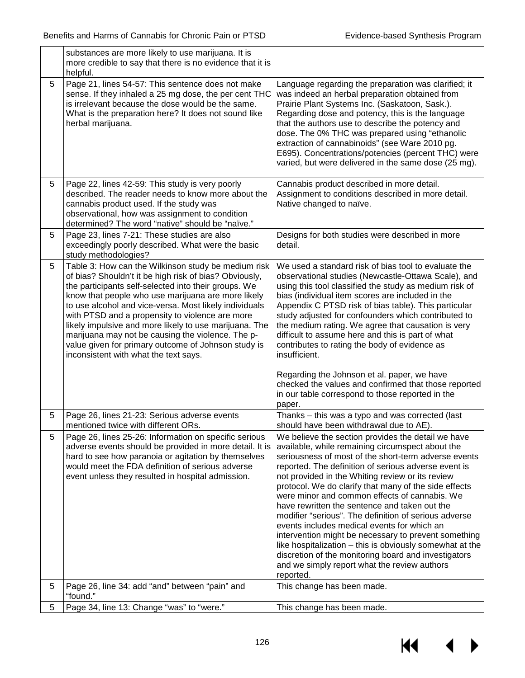|   | substances are more likely to use marijuana. It is<br>more credible to say that there is no evidence that it is<br>helpful.                                                                                                                                                                                                                                                                                                                                                                                                                             |                                                                                                                                                                                                                                                                                                                                                                                                                                                                                                                                                                                                                                                                                                                                                                                        |
|---|---------------------------------------------------------------------------------------------------------------------------------------------------------------------------------------------------------------------------------------------------------------------------------------------------------------------------------------------------------------------------------------------------------------------------------------------------------------------------------------------------------------------------------------------------------|----------------------------------------------------------------------------------------------------------------------------------------------------------------------------------------------------------------------------------------------------------------------------------------------------------------------------------------------------------------------------------------------------------------------------------------------------------------------------------------------------------------------------------------------------------------------------------------------------------------------------------------------------------------------------------------------------------------------------------------------------------------------------------------|
| 5 | Page 21, lines 54-57: This sentence does not make<br>sense. If they inhaled a 25 mg dose, the per cent THC<br>is irrelevant because the dose would be the same.<br>What is the preparation here? It does not sound like<br>herbal marijuana.                                                                                                                                                                                                                                                                                                            | Language regarding the preparation was clarified; it<br>was indeed an herbal preparation obtained from<br>Prairie Plant Systems Inc. (Saskatoon, Sask.).<br>Regarding dose and potency, this is the language<br>that the authors use to describe the potency and<br>dose. The 0% THC was prepared using "ethanolic<br>extraction of cannabinoids" (see Ware 2010 pg.<br>E695). Concentrations/potencies (percent THC) were<br>varied, but were delivered in the same dose (25 mg).                                                                                                                                                                                                                                                                                                     |
| 5 | Page 22, lines 42-59: This study is very poorly<br>described. The reader needs to know more about the<br>cannabis product used. If the study was<br>observational, how was assignment to condition<br>determined? The word "native" should be "naïve."                                                                                                                                                                                                                                                                                                  | Cannabis product described in more detail.<br>Assignment to conditions described in more detail.<br>Native changed to naïve.                                                                                                                                                                                                                                                                                                                                                                                                                                                                                                                                                                                                                                                           |
| 5 | Page 23, lines 7-21: These studies are also<br>exceedingly poorly described. What were the basic<br>study methodologies?                                                                                                                                                                                                                                                                                                                                                                                                                                | Designs for both studies were described in more<br>detail.                                                                                                                                                                                                                                                                                                                                                                                                                                                                                                                                                                                                                                                                                                                             |
| 5 | Table 3: How can the Wilkinson study be medium risk<br>of bias? Shouldn't it be high risk of bias? Obviously,<br>the participants self-selected into their groups. We<br>know that people who use marijuana are more likely<br>to use alcohol and vice-versa. Most likely individuals<br>with PTSD and a propensity to violence are more<br>likely impulsive and more likely to use marijuana. The<br>marijuana may not be causing the violence. The p-<br>value given for primary outcome of Johnson study is<br>inconsistent with what the text says. | We used a standard risk of bias tool to evaluate the<br>observational studies (Newcastle-Ottawa Scale), and<br>using this tool classified the study as medium risk of<br>bias (individual item scores are included in the<br>Appendix C PTSD risk of bias table). This particular<br>study adjusted for confounders which contributed to<br>the medium rating. We agree that causation is very<br>difficult to assume here and this is part of what<br>contributes to rating the body of evidence as<br>insufficient.<br>Regarding the Johnson et al. paper, we have<br>checked the values and confirmed that those reported                                                                                                                                                           |
|   |                                                                                                                                                                                                                                                                                                                                                                                                                                                                                                                                                         | in our table correspond to those reported in the<br>paper.                                                                                                                                                                                                                                                                                                                                                                                                                                                                                                                                                                                                                                                                                                                             |
| 5 | Page 26, lines 21-23: Serious adverse events<br>mentioned twice with different ORs.                                                                                                                                                                                                                                                                                                                                                                                                                                                                     | Thanks - this was a typo and was corrected (last<br>should have been withdrawal due to AE).                                                                                                                                                                                                                                                                                                                                                                                                                                                                                                                                                                                                                                                                                            |
| 5 | Page 26, lines 25-26: Information on specific serious<br>adverse events should be provided in more detail. It is<br>hard to see how paranoia or agitation by themselves<br>would meet the FDA definition of serious adverse<br>event unless they resulted in hospital admission.                                                                                                                                                                                                                                                                        | We believe the section provides the detail we have<br>available, while remaining circumspect about the<br>seriousness of most of the short-term adverse events<br>reported. The definition of serious adverse event is<br>not provided in the Whiting review or its review<br>protocol. We do clarify that many of the side effects<br>were minor and common effects of cannabis. We<br>have rewritten the sentence and taken out the<br>modifier "serious". The definition of serious adverse<br>events includes medical events for which an<br>intervention might be necessary to prevent something<br>like hospitalization - this is obviously somewhat at the<br>discretion of the monitoring board and investigators<br>and we simply report what the review authors<br>reported. |
| 5 | Page 26, line 34: add "and" between "pain" and<br>"found."                                                                                                                                                                                                                                                                                                                                                                                                                                                                                              | This change has been made.                                                                                                                                                                                                                                                                                                                                                                                                                                                                                                                                                                                                                                                                                                                                                             |
| 5 | Page 34, line 13: Change "was" to "were."                                                                                                                                                                                                                                                                                                                                                                                                                                                                                                               | This change has been made.                                                                                                                                                                                                                                                                                                                                                                                                                                                                                                                                                                                                                                                                                                                                                             |

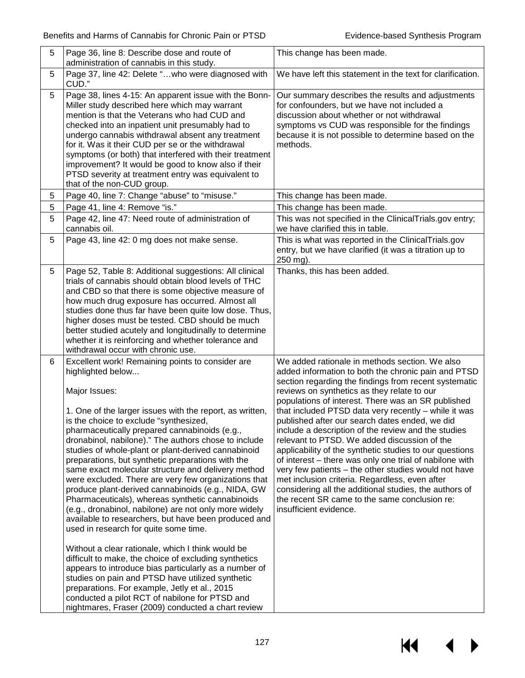$M \rightarrow$ 

| 5 | Page 36, line 8: Describe dose and route of<br>administration of cannabis in this study.                                                                                                                                                                                                                                                                                                                                                                                                                                                                                                                                                                                                                                                                                                                                                                                                                                                                                                                                                                                                                                                                                                | This change has been made.                                                                                                                                                                                                                                                                                                                                                                                                                                                                                                                                                                                                                                                                                                                                                                                                                                |
|---|-----------------------------------------------------------------------------------------------------------------------------------------------------------------------------------------------------------------------------------------------------------------------------------------------------------------------------------------------------------------------------------------------------------------------------------------------------------------------------------------------------------------------------------------------------------------------------------------------------------------------------------------------------------------------------------------------------------------------------------------------------------------------------------------------------------------------------------------------------------------------------------------------------------------------------------------------------------------------------------------------------------------------------------------------------------------------------------------------------------------------------------------------------------------------------------------|-----------------------------------------------------------------------------------------------------------------------------------------------------------------------------------------------------------------------------------------------------------------------------------------------------------------------------------------------------------------------------------------------------------------------------------------------------------------------------------------------------------------------------------------------------------------------------------------------------------------------------------------------------------------------------------------------------------------------------------------------------------------------------------------------------------------------------------------------------------|
| 5 | Page 37, line 42: Delete "who were diagnosed with<br>CUD."                                                                                                                                                                                                                                                                                                                                                                                                                                                                                                                                                                                                                                                                                                                                                                                                                                                                                                                                                                                                                                                                                                                              | We have left this statement in the text for clarification.                                                                                                                                                                                                                                                                                                                                                                                                                                                                                                                                                                                                                                                                                                                                                                                                |
| 5 | Page 38, lines 4-15: An apparent issue with the Bonn-<br>Miller study described here which may warrant<br>mention is that the Veterans who had CUD and<br>checked into an inpatient unit presumably had to<br>undergo cannabis withdrawal absent any treatment<br>for it. Was it their CUD per se or the withdrawal<br>symptoms (or both) that interfered with their treatment<br>improvement? It would be good to know also if their<br>PTSD severity at treatment entry was equivalent to<br>that of the non-CUD group.                                                                                                                                                                                                                                                                                                                                                                                                                                                                                                                                                                                                                                                               | Our summary describes the results and adjustments<br>for confounders, but we have not included a<br>discussion about whether or not withdrawal<br>symptoms vs CUD was responsible for the findings<br>because it is not possible to determine based on the<br>methods.                                                                                                                                                                                                                                                                                                                                                                                                                                                                                                                                                                                    |
| 5 | Page 40, line 7: Change "abuse" to "misuse."                                                                                                                                                                                                                                                                                                                                                                                                                                                                                                                                                                                                                                                                                                                                                                                                                                                                                                                                                                                                                                                                                                                                            | This change has been made.                                                                                                                                                                                                                                                                                                                                                                                                                                                                                                                                                                                                                                                                                                                                                                                                                                |
| 5 | Page 41, line 4: Remove "is."                                                                                                                                                                                                                                                                                                                                                                                                                                                                                                                                                                                                                                                                                                                                                                                                                                                                                                                                                                                                                                                                                                                                                           | This change has been made.                                                                                                                                                                                                                                                                                                                                                                                                                                                                                                                                                                                                                                                                                                                                                                                                                                |
| 5 | Page 42, line 47: Need route of administration of<br>cannabis oil.                                                                                                                                                                                                                                                                                                                                                                                                                                                                                                                                                                                                                                                                                                                                                                                                                                                                                                                                                                                                                                                                                                                      | This was not specified in the ClinicalTrials.gov entry;<br>we have clarified this in table.                                                                                                                                                                                                                                                                                                                                                                                                                                                                                                                                                                                                                                                                                                                                                               |
| 5 | Page 43, line 42: 0 mg does not make sense.                                                                                                                                                                                                                                                                                                                                                                                                                                                                                                                                                                                                                                                                                                                                                                                                                                                                                                                                                                                                                                                                                                                                             | This is what was reported in the ClinicalTrials.gov<br>entry, but we have clarified (it was a titration up to<br>250 mg).                                                                                                                                                                                                                                                                                                                                                                                                                                                                                                                                                                                                                                                                                                                                 |
| 5 | Page 52, Table 8: Additional suggestions: All clinical<br>trials of cannabis should obtain blood levels of THC<br>and CBD so that there is some objective measure of<br>how much drug exposure has occurred. Almost all<br>studies done thus far have been quite low dose. Thus,<br>higher doses must be tested. CBD should be much<br>better studied acutely and longitudinally to determine<br>whether it is reinforcing and whether tolerance and<br>withdrawal occur with chronic use.                                                                                                                                                                                                                                                                                                                                                                                                                                                                                                                                                                                                                                                                                              | Thanks, this has been added.                                                                                                                                                                                                                                                                                                                                                                                                                                                                                                                                                                                                                                                                                                                                                                                                                              |
| 6 | Excellent work! Remaining points to consider are<br>highlighted below<br>Major Issues:<br>1. One of the larger issues with the report, as written,<br>is the choice to exclude "synthesized,<br>pharmaceutically prepared cannabinoids (e.g.,<br>dronabinol, nabilone)." The authors chose to include<br>studies of whole-plant or plant-derived cannabinoid<br>preparations, but synthetic preparations with the<br>same exact molecular structure and delivery method<br>were excluded. There are very few organizations that<br>produce plant-derived cannabinoids (e.g., NIDA, GW<br>Pharmaceuticals), whereas synthetic cannabinoids<br>(e.g., dronabinol, nabilone) are not only more widely<br>available to researchers, but have been produced and<br>used in research for quite some time.<br>Without a clear rationale, which I think would be<br>difficult to make, the choice of excluding synthetics<br>appears to introduce bias particularly as a number of<br>studies on pain and PTSD have utilized synthetic<br>preparations. For example, Jetly et al., 2015<br>conducted a pilot RCT of nabilone for PTSD and<br>nightmares, Fraser (2009) conducted a chart review | We added rationale in methods section. We also<br>added information to both the chronic pain and PTSD<br>section regarding the findings from recent systematic<br>reviews on synthetics as they relate to our<br>populations of interest. There was an SR published<br>that included PTSD data very recently - while it was<br>published after our search dates ended, we did<br>include a description of the review and the studies<br>relevant to PTSD. We added discussion of the<br>applicability of the synthetic studies to our questions<br>of interest - there was only one trial of nabilone with<br>very few patients - the other studies would not have<br>met inclusion criteria. Regardless, even after<br>considering all the additional studies, the authors of<br>the recent SR came to the same conclusion re:<br>insufficient evidence. |

127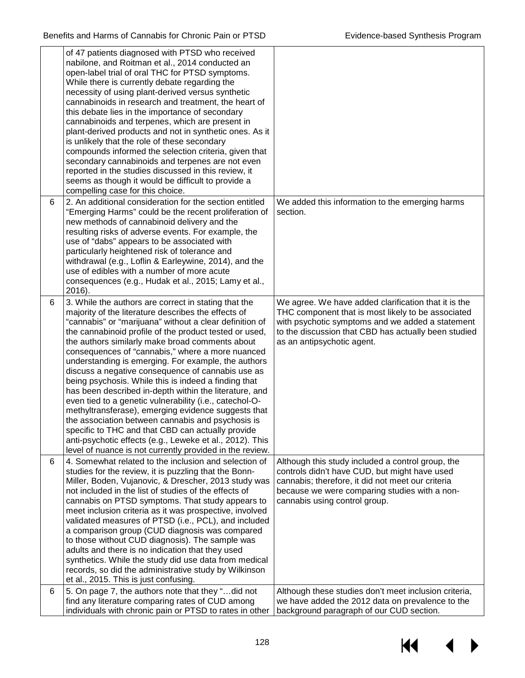|   | of 47 patients diagnosed with PTSD who received<br>nabilone, and Roitman et al., 2014 conducted an<br>open-label trial of oral THC for PTSD symptoms.<br>While there is currently debate regarding the<br>necessity of using plant-derived versus synthetic<br>cannabinoids in research and treatment, the heart of<br>this debate lies in the importance of secondary<br>cannabinoids and terpenes, which are present in<br>plant-derived products and not in synthetic ones. As it<br>is unlikely that the role of these secondary<br>compounds informed the selection criteria, given that<br>secondary cannabinoids and terpenes are not even<br>reported in the studies discussed in this review, it<br>seems as though it would be difficult to provide a<br>compelling case for this choice.                                                                                                                       |                                                                                                                                                                                                                                                      |
|---|---------------------------------------------------------------------------------------------------------------------------------------------------------------------------------------------------------------------------------------------------------------------------------------------------------------------------------------------------------------------------------------------------------------------------------------------------------------------------------------------------------------------------------------------------------------------------------------------------------------------------------------------------------------------------------------------------------------------------------------------------------------------------------------------------------------------------------------------------------------------------------------------------------------------------|------------------------------------------------------------------------------------------------------------------------------------------------------------------------------------------------------------------------------------------------------|
| 6 | 2. An additional consideration for the section entitled<br>"Emerging Harms" could be the recent proliferation of<br>new methods of cannabinoid delivery and the<br>resulting risks of adverse events. For example, the<br>use of "dabs" appears to be associated with<br>particularly heightened risk of tolerance and<br>withdrawal (e.g., Loflin & Earleywine, 2014), and the<br>use of edibles with a number of more acute<br>consequences (e.g., Hudak et al., 2015; Lamy et al.,<br>2016).                                                                                                                                                                                                                                                                                                                                                                                                                           | We added this information to the emerging harms<br>section.                                                                                                                                                                                          |
| 6 | 3. While the authors are correct in stating that the<br>majority of the literature describes the effects of<br>"cannabis" or "marijuana" without a clear definition of<br>the cannabinoid profile of the product tested or used,<br>the authors similarly make broad comments about<br>consequences of "cannabis," where a more nuanced<br>understanding is emerging. For example, the authors<br>discuss a negative consequence of cannabis use as<br>being psychosis. While this is indeed a finding that<br>has been described in-depth within the literature, and<br>even tied to a genetic vulnerability (i.e., catechol-O-<br>methyltransferase), emerging evidence suggests that<br>the association between cannabis and psychosis is<br>specific to THC and that CBD can actually provide<br>anti-psychotic effects (e.g., Leweke et al., 2012). This<br>level of nuance is not currently provided in the review. | We agree. We have added clarification that it is the<br>THC component that is most likely to be associated<br>with psychotic symptoms and we added a statement<br>to the discussion that CBD has actually been studied<br>as an antipsychotic agent. |
| 6 | 4. Somewhat related to the inclusion and selection of<br>studies for the review, it is puzzling that the Bonn-<br>Miller, Boden, Vujanovic, & Drescher, 2013 study was<br>not included in the list of studies of the effects of<br>cannabis on PTSD symptoms. That study appears to<br>meet inclusion criteria as it was prospective, involved<br>validated measures of PTSD (i.e., PCL), and included<br>a comparison group (CUD diagnosis was compared<br>to those without CUD diagnosis). The sample was<br>adults and there is no indication that they used<br>synthetics. While the study did use data from medical<br>records, so did the administrative study by Wilkinson<br>et al., 2015. This is just confusing.                                                                                                                                                                                                | Although this study included a control group, the<br>controls didn't have CUD, but might have used<br>cannabis; therefore, it did not meet our criteria<br>because we were comparing studies with a non-<br>cannabis using control group.            |
| 6 | 5. On page 7, the authors note that they "did not<br>find any literature comparing rates of CUD among<br>individuals with chronic pain or PTSD to rates in other                                                                                                                                                                                                                                                                                                                                                                                                                                                                                                                                                                                                                                                                                                                                                          | Although these studies don't meet inclusion criteria,<br>we have added the 2012 data on prevalence to the<br>background paragraph of our CUD section.                                                                                                |

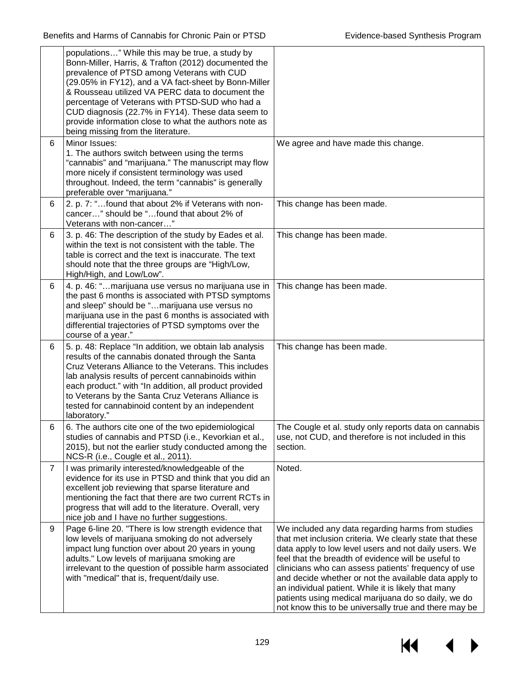|                | populations" While this may be true, a study by<br>Bonn-Miller, Harris, & Trafton (2012) documented the<br>prevalence of PTSD among Veterans with CUD<br>(29.05% in FY12), and a VA fact-sheet by Bonn-Miller<br>& Rousseau utilized VA PERC data to document the<br>percentage of Veterans with PTSD-SUD who had a<br>CUD diagnosis (22.7% in FY14). These data seem to<br>provide information close to what the authors note as<br>being missing from the literature. |                                                                                                                                                                                                                                                                                                                                                                                                                                                                                                                       |
|----------------|-------------------------------------------------------------------------------------------------------------------------------------------------------------------------------------------------------------------------------------------------------------------------------------------------------------------------------------------------------------------------------------------------------------------------------------------------------------------------|-----------------------------------------------------------------------------------------------------------------------------------------------------------------------------------------------------------------------------------------------------------------------------------------------------------------------------------------------------------------------------------------------------------------------------------------------------------------------------------------------------------------------|
| 6              | Minor Issues:<br>1. The authors switch between using the terms<br>"cannabis" and "marijuana." The manuscript may flow<br>more nicely if consistent terminology was used<br>throughout. Indeed, the term "cannabis" is generally<br>preferable over "marijuana."                                                                                                                                                                                                         | We agree and have made this change.                                                                                                                                                                                                                                                                                                                                                                                                                                                                                   |
| 6              | 2. p. 7: "found that about 2% if Veterans with non-<br>cancer" should be "found that about 2% of<br>Veterans with non-cancer"                                                                                                                                                                                                                                                                                                                                           | This change has been made.                                                                                                                                                                                                                                                                                                                                                                                                                                                                                            |
| 6              | 3. p. 46: The description of the study by Eades et al.<br>within the text is not consistent with the table. The<br>table is correct and the text is inaccurate. The text<br>should note that the three groups are "High/Low,<br>High/High, and Low/Low".                                                                                                                                                                                                                | This change has been made.                                                                                                                                                                                                                                                                                                                                                                                                                                                                                            |
| 6              | 4. p. 46: "marijuana use versus no marijuana use in<br>the past 6 months is associated with PTSD symptoms<br>and sleep" should be "marijuana use versus no<br>marijuana use in the past 6 months is associated with<br>differential trajectories of PTSD symptoms over the<br>course of a year."                                                                                                                                                                        | This change has been made.                                                                                                                                                                                                                                                                                                                                                                                                                                                                                            |
| 6              | 5. p. 48: Replace "In addition, we obtain lab analysis<br>results of the cannabis donated through the Santa<br>Cruz Veterans Alliance to the Veterans. This includes<br>lab analysis results of percent cannabinoids within<br>each product." with "In addition, all product provided<br>to Veterans by the Santa Cruz Veterans Alliance is<br>tested for cannabinoid content by an independent<br>laboratory."                                                         | This change has been made.                                                                                                                                                                                                                                                                                                                                                                                                                                                                                            |
|                | 6. The authors cite one of the two epidemiological<br>studies of cannabis and PTSD (i.e., Kevorkian et al.,<br>2015), but not the earlier study conducted among the<br>NCS-R (i.e., Cougle et al., 2011).                                                                                                                                                                                                                                                               | The Cougle et al. study only reports data on cannabis<br>use, not CUD, and therefore is not included in this<br>section.                                                                                                                                                                                                                                                                                                                                                                                              |
| $\overline{7}$ | I was primarily interested/knowledgeable of the<br>evidence for its use in PTSD and think that you did an<br>excellent job reviewing that sparse literature and<br>mentioning the fact that there are two current RCTs in<br>progress that will add to the literature. Overall, very<br>nice job and I have no further suggestions.                                                                                                                                     | Noted.                                                                                                                                                                                                                                                                                                                                                                                                                                                                                                                |
| 9              | Page 6-line 20. "There is low strength evidence that<br>low levels of marijuana smoking do not adversely<br>impact lung function over about 20 years in young<br>adults." Low levels of marijuana smoking are<br>irrelevant to the question of possible harm associated<br>with "medical" that is, frequent/daily use.                                                                                                                                                  | We included any data regarding harms from studies<br>that met inclusion criteria. We clearly state that these<br>data apply to low level users and not daily users. We<br>feel that the breadth of evidence will be useful to<br>clinicians who can assess patients' frequency of use<br>and decide whether or not the available data apply to<br>an individual patient. While it is likely that many<br>patients using medical marijuana do so daily, we do<br>not know this to be universally true and there may be |